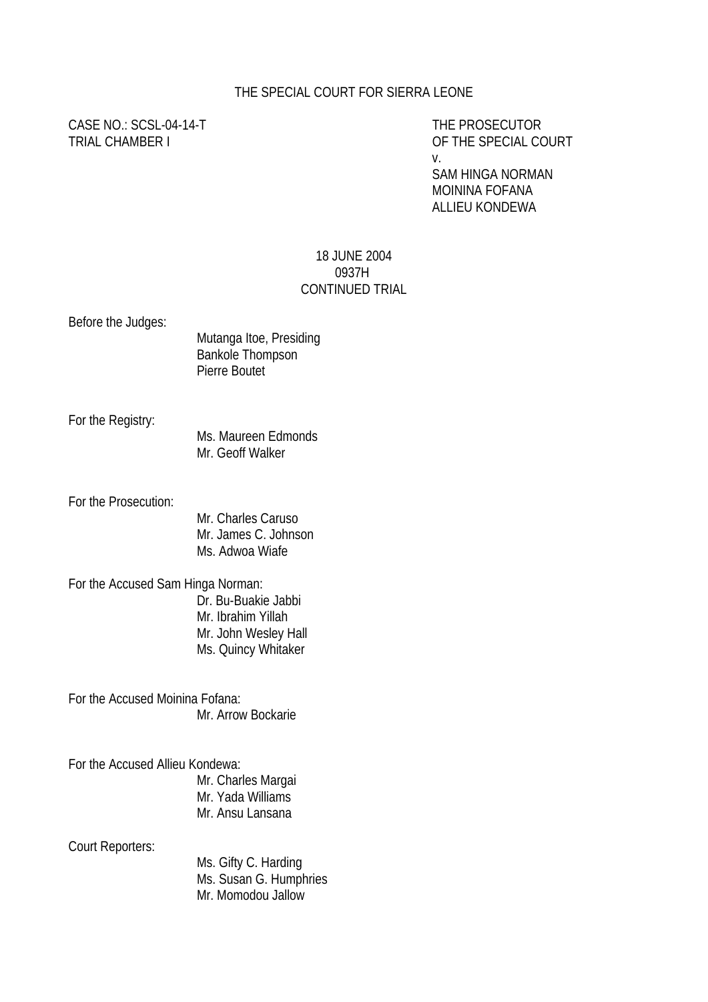### THE SPECIAL COURT FOR SIERRA LEONE

# CASE NO.: SCSL-04-14-T THE PROSECUTOR

TRIAL CHAMBER I OF THE SPECIAL COURT v.

> SAM HINGA NORMAN MOININA FOFANA ALLIEU KONDEWA

#### 18 JUNE 2004 0937H CONTINUED TRIAL

Before the Judges:

Mutanga Itoe, Presiding Bankole Thompson Pierre Boutet

For the Registry:

 Ms. Maureen Edmonds Mr. Geoff Walker

For the Prosecution:

Mr. Charles Caruso Mr. James C. Johnson Ms. Adwoa Wiafe

For the Accused Sam Hinga Norman: Dr. Bu-Buakie Jabbi Mr. Ibrahim Yillah Mr. John Wesley Hall Ms. Quincy Whitaker

For the Accused Moinina Fofana: Mr. Arrow Bockarie

For the Accused Allieu Kondewa:

Mr. Charles Margai Mr. Yada Williams Mr. Ansu Lansana

Court Reporters:

Ms. Gifty C. Harding Ms. Susan G. Humphries Mr. Momodou Jallow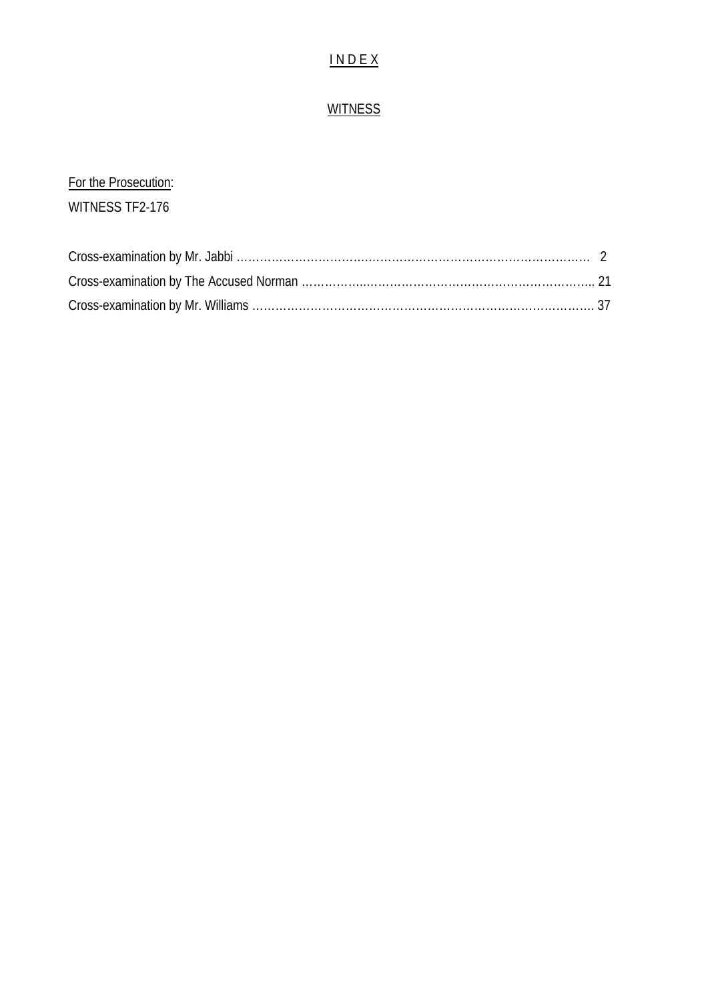### I N D E X

### **WITNESS**

## For the Prosecution:

## WITNESS TF2-176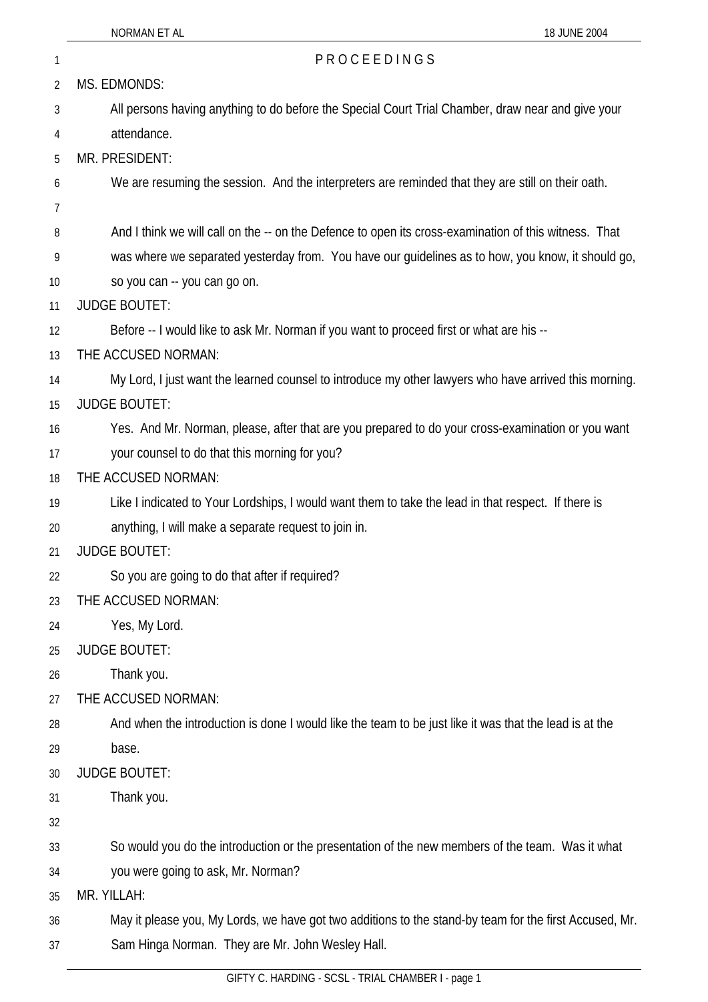| $\mathbf{1}$   | PROCEEDINGS                                                                                            |
|----------------|--------------------------------------------------------------------------------------------------------|
| $\overline{2}$ | MS. EDMONDS:                                                                                           |
| 3              | All persons having anything to do before the Special Court Trial Chamber, draw near and give your      |
| 4              | attendance.                                                                                            |
| 5              | MR. PRESIDENT:                                                                                         |
| 6              | We are resuming the session. And the interpreters are reminded that they are still on their oath.      |
| $\overline{7}$ |                                                                                                        |
| 8              | And I think we will call on the -- on the Defence to open its cross-examination of this witness. That  |
| 9              | was where we separated yesterday from. You have our guidelines as to how, you know, it should go,      |
| 10             | so you can -- you can go on.                                                                           |
| 11             | <b>JUDGE BOUTET:</b>                                                                                   |
| 12             | Before -- I would like to ask Mr. Norman if you want to proceed first or what are his --               |
| 13             | THE ACCUSED NORMAN:                                                                                    |
| 14             | My Lord, I just want the learned counsel to introduce my other lawyers who have arrived this morning.  |
| 15             | <b>JUDGE BOUTET:</b>                                                                                   |
| 16             | Yes. And Mr. Norman, please, after that are you prepared to do your cross-examination or you want      |
| 17             | your counsel to do that this morning for you?                                                          |
| 18             | THE ACCUSED NORMAN:                                                                                    |
| 19             | Like I indicated to Your Lordships, I would want them to take the lead in that respect. If there is    |
| 20             | anything, I will make a separate request to join in.                                                   |
| 21             | <b>JUDGE BOUTET:</b>                                                                                   |
| 22             | So you are going to do that after if required?                                                         |
| 23             | THE ACCUSED NORMAN:                                                                                    |
| 24             | Yes, My Lord.                                                                                          |
| 25             | <b>JUDGE BOUTET:</b>                                                                                   |
| 26             | Thank you.                                                                                             |
| 27             | THE ACCUSED NORMAN:                                                                                    |
| 28             | And when the introduction is done I would like the team to be just like it was that the lead is at the |
| 29             | base.                                                                                                  |
| 30             | <b>JUDGE BOUTET:</b>                                                                                   |
| 31             | Thank you.                                                                                             |
| 32             |                                                                                                        |
| 33             | So would you do the introduction or the presentation of the new members of the team. Was it what       |
| 34             | you were going to ask, Mr. Norman?                                                                     |
| 35             | MR. YILLAH:                                                                                            |
| 36             | May it please you, My Lords, we have got two additions to the stand-by team for the first Accused, Mr. |
| 37             | Sam Hinga Norman. They are Mr. John Wesley Hall.                                                       |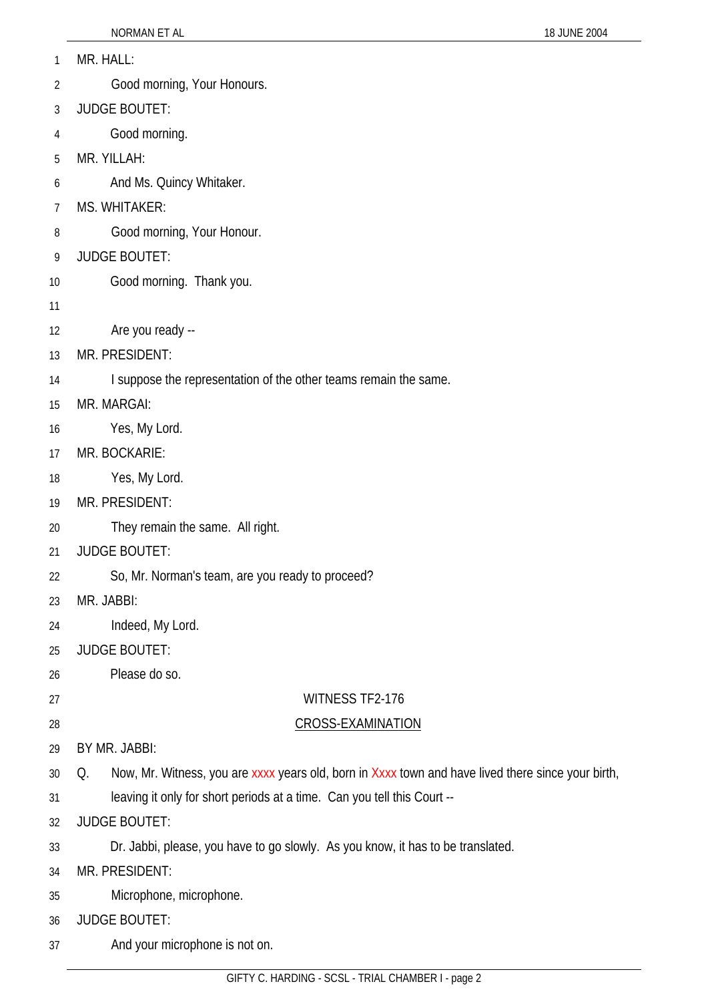|  |  | MR. HALL: |  |
|--|--|-----------|--|
|--|--|-----------|--|

- Good morning, Your Honours. 2
- 3 JUDGE BOUTET:
- 4 Good morning.
- 5 MR. YILLAH:
- 6 And Ms. Quincy Whitaker.
- 7 MS. WHITAKER:
- 8 Good morning, Your Honour.
- 9 JUDGE BOUTET:
- 10 Good morning. Thank you.
- 11
- 12 Are you ready --
- 13 MR. PRESIDENT:
- 14 I suppose the representation of the other teams remain the same.
- 15 MR. MARGAI:
- 16 Yes, My Lord.
- 17 MR. BOCKARIE:
- 18 Yes, My Lord.
- 19 MR. PRESIDENT:
- 20 They remain the same. All right.
- 21 JUDGE BOUTET:
- 22 So, Mr. Norman's team, are you ready to proceed?
- 23 MR. JABBI:
- 24 Indeed, My Lord.
- 25 JUDGE BOUTET:
- 26 Please do so.
- 27

29

#### WITNESS TF2-176

## 28 CROSS-EXAMINATION BY MR. JABBI: Q. Now, Mr. Witness, you are xxxx years old, born in Xxxx town and have lived there since your birth,

- 30 31 leaving it only for short periods at a time. Can you tell this Court --
- 32 JUDGE BOUTET:
- 33 Dr. Jabbi, please, you have to go slowly. As you know, it has to be translated.
- 34 MR. PRESIDENT:
- 35 Microphone, microphone.
- 36 JUDGE BOUTET:
- 37 And your microphone is not on.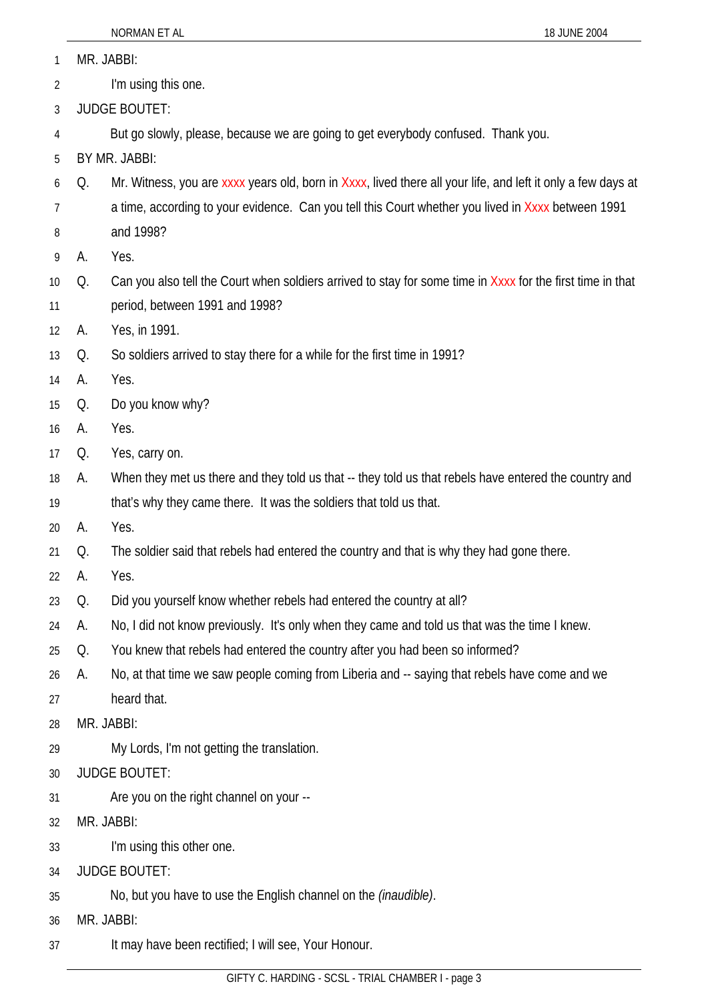|                |    | NORMAN ET AL<br>18 JUNE 2004                                                                                 |
|----------------|----|--------------------------------------------------------------------------------------------------------------|
| 1              |    | MR. JABBI:                                                                                                   |
| $\overline{2}$ |    | I'm using this one.                                                                                          |
| 3              |    | <b>JUDGE BOUTET:</b>                                                                                         |
| 4              |    | But go slowly, please, because we are going to get everybody confused. Thank you.                            |
| 5              |    | BY MR. JABBI:                                                                                                |
| 6              | Q. | Mr. Witness, you are xxxx years old, born in Xxxx, lived there all your life, and left it only a few days at |
| 7              |    | a time, according to your evidence. Can you tell this Court whether you lived in Xxxx between 1991           |
| 8              |    | and 1998?                                                                                                    |
| 9              | А. | Yes.                                                                                                         |
| 10             | Q. | Can you also tell the Court when soldiers arrived to stay for some time in Xxxx for the first time in that   |
| 11             |    | period, between 1991 and 1998?                                                                               |
| 12             | А. | Yes, in 1991.                                                                                                |
| 13             | Q. | So soldiers arrived to stay there for a while for the first time in 1991?                                    |
| 14             | А. | Yes.                                                                                                         |
| 15             | Q. | Do you know why?                                                                                             |
| 16             | А. | Yes.                                                                                                         |
| 17             | Q. | Yes, carry on.                                                                                               |
| 18             | А. | When they met us there and they told us that -- they told us that rebels have entered the country and        |
| 19             |    | that's why they came there. It was the soldiers that told us that.                                           |
| 20             | A. | Yes.                                                                                                         |
| 21             | Q. | The soldier said that rebels had entered the country and that is why they had gone there.                    |
| 22             | А. | Yes.                                                                                                         |
| 23             | Q. | Did you yourself know whether rebels had entered the country at all?                                         |
| 24             | А. | No, I did not know previously. It's only when they came and told us that was the time I knew.                |
| 25             | Q. | You knew that rebels had entered the country after you had been so informed?                                 |
| 26             | А. | No, at that time we saw people coming from Liberia and -- saying that rebels have come and we                |
| 27             |    | heard that.                                                                                                  |
| 28             |    | MR. JABBI:                                                                                                   |
| 29             |    | My Lords, I'm not getting the translation.                                                                   |
| 30             |    | <b>JUDGE BOUTET:</b>                                                                                         |
| 31             |    | Are you on the right channel on your --                                                                      |
| 32             |    | MR. JABBI:                                                                                                   |
| 33             |    | I'm using this other one.                                                                                    |
| 34             |    | <b>JUDGE BOUTET:</b>                                                                                         |
| 35             |    | No, but you have to use the English channel on the (inaudible).                                              |
| 36             |    | MR. JABBI:                                                                                                   |
| 37             |    | It may have been rectified; I will see, Your Honour.                                                         |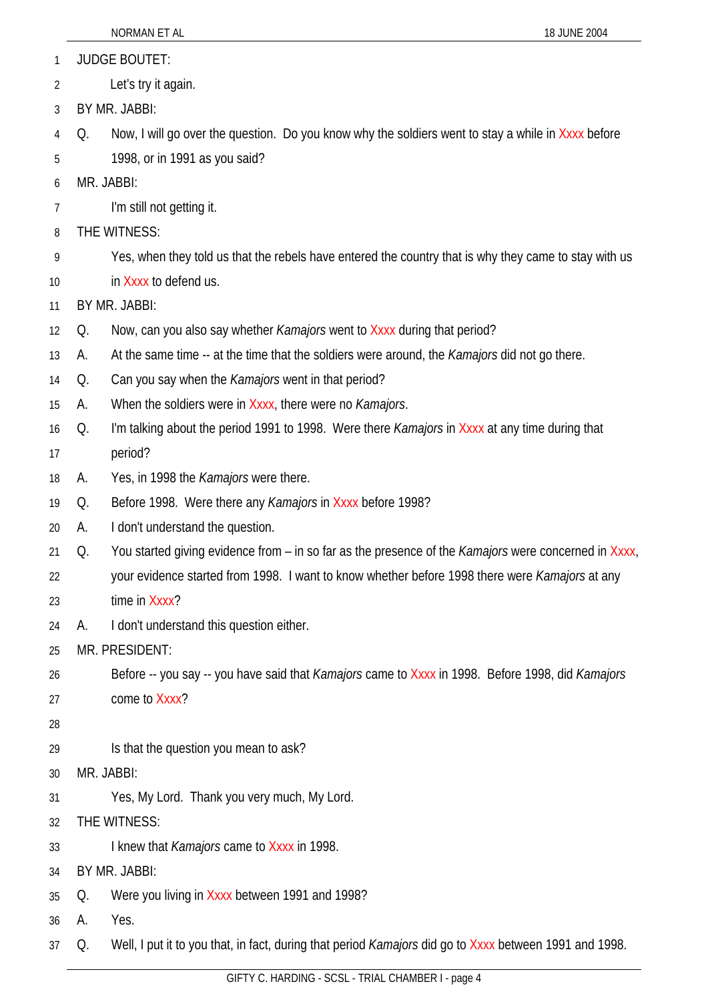- 1 JUDGE BOUTET:
- 2 Let's try it again.
- 3 BY MR. JABBI:
- 4 Q. Now, I will go over the question. Do you know why the soldiers went to stay a while in Xxxx before
- 5 1998, or in 1991 as you said?
- 6 MR. JABBI:
- 7 I'm still not getting it.
- 8 THE WITNESS:
- 9 Yes, when they told us that the rebels have entered the country that is why they came to stay with us
- 10 in Xxxx to defend us.
- 11 BY MR. JABBI:
- 12 Q. Now, can you also say whether *Kamajors* went to Xxxx during that period?
- 13 A. At the same time -- at the time that the soldiers were around, the *Kamajors* did not go there.
- 14 Q. Can you say when the *Kamajors* went in that period?
- 15 A. When the soldiers were in Xxxx, there were no *Kamajors*.
- 16 17 Q. I'm talking about the period 1991 to 1998. Were there *Kamajors* in Xxxx at any time during that period?
- 18 A. Yes, in 1998 the *Kamajors* were there.
- 19 Q. Before 1998. Were there any *Kamajors* in Xxxx before 1998?
- 20 A. I don't understand the question.
- 21 Q. You started giving evidence from – in so far as the presence of the *Kamajors* were concerned in Xxxx,
- 22 your evidence started from 1998. I want to know whether before 1998 there were *Kamajors* at any
- 23 time in Xxxx?
- 24 A. I don't understand this question either.
- 25 MR. PRESIDENT:
- 26 Before -- you say -- you have said that *Kamajors* came to Xxxx in 1998. Before 1998, did *Kamajors*
- 27 come to Xxxx?
- 28
- 29 Is that the question you mean to ask?
- 30 MR. JABBI:
- 31 Yes, My Lord. Thank you very much, My Lord.
- 32 THE WITNESS:
- 33 I knew that *Kamajors* came to Xxxx in 1998.
- 34 BY MR. JABBI:
- 35 Q. Were you living in Xxxx between 1991 and 1998?
- 36 A. Yes.
- 37 Q. Well, I put it to you that, in fact, during that period *Kamajors* did go to Xxxx between 1991 and 1998.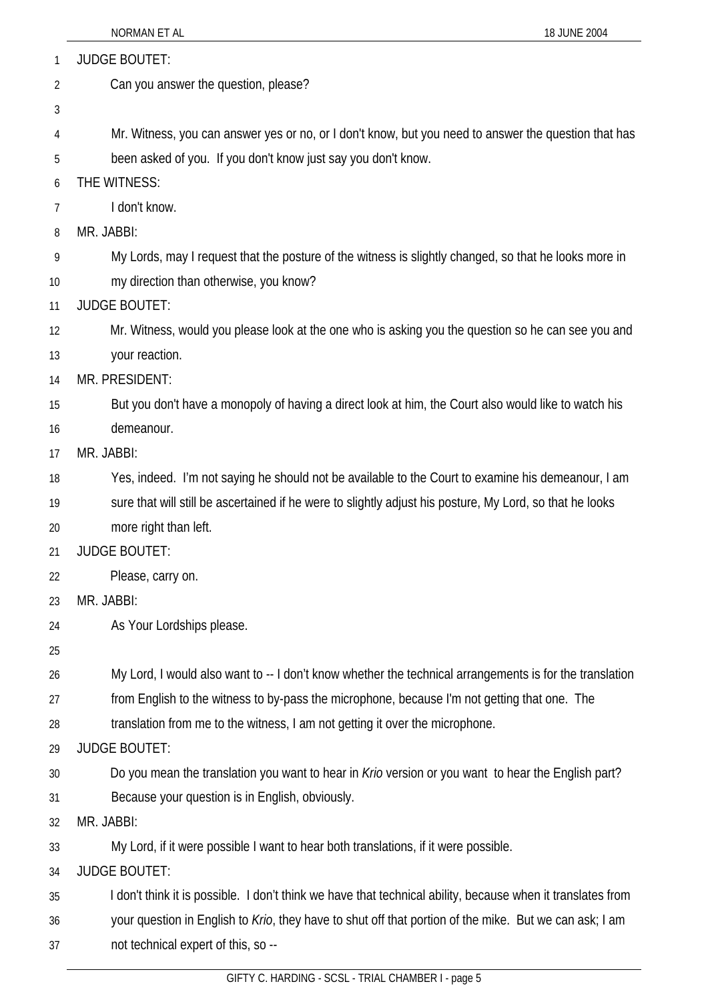|    | NORMAN ET AL<br>18 JUNE 2004                                                                                |
|----|-------------------------------------------------------------------------------------------------------------|
| 1  | <b>JUDGE BOUTET:</b>                                                                                        |
| 2  | Can you answer the question, please?                                                                        |
| 3  |                                                                                                             |
| 4  | Mr. Witness, you can answer yes or no, or I don't know, but you need to answer the question that has        |
| 5  | been asked of you. If you don't know just say you don't know.                                               |
| 6  | THE WITNESS:                                                                                                |
| 7  | I don't know.                                                                                               |
| 8  | MR. JABBI:                                                                                                  |
| 9  | My Lords, may I request that the posture of the witness is slightly changed, so that he looks more in       |
| 10 | my direction than otherwise, you know?                                                                      |
| 11 | <b>JUDGE BOUTET:</b>                                                                                        |
| 12 | Mr. Witness, would you please look at the one who is asking you the question so he can see you and          |
| 13 | your reaction.                                                                                              |
| 14 | MR. PRESIDENT:                                                                                              |
| 15 | But you don't have a monopoly of having a direct look at him, the Court also would like to watch his        |
| 16 | demeanour.                                                                                                  |
| 17 | MR. JABBI:                                                                                                  |
| 18 | Yes, indeed. I'm not saying he should not be available to the Court to examine his demeanour, I am          |
| 19 | sure that will still be ascertained if he were to slightly adjust his posture, My Lord, so that he looks    |
| 20 | more right than left.                                                                                       |
| 21 | <b>JUDGE BOUTET:</b>                                                                                        |
| 22 | Please, carry on.                                                                                           |
| 23 | MR. JABBI:                                                                                                  |
| 24 | As Your Lordships please.                                                                                   |
| 25 |                                                                                                             |
| 26 | My Lord, I would also want to -- I don't know whether the technical arrangements is for the translation     |
| 27 | from English to the witness to by-pass the microphone, because I'm not getting that one. The                |
| 28 | translation from me to the witness, I am not getting it over the microphone.                                |
| 29 | <b>JUDGE BOUTET:</b>                                                                                        |
| 30 | Do you mean the translation you want to hear in Krio version or you want to hear the English part?          |
| 31 | Because your question is in English, obviously.                                                             |
| 32 | MR. JABBI:                                                                                                  |
| 33 | My Lord, if it were possible I want to hear both translations, if it were possible.                         |
| 34 | <b>JUDGE BOUTET:</b>                                                                                        |
| 35 | I don't think it is possible. I don't think we have that technical ability, because when it translates from |
| 36 | your question in English to Krio, they have to shut off that portion of the mike. But we can ask; I am      |
| 37 | not technical expert of this, so --                                                                         |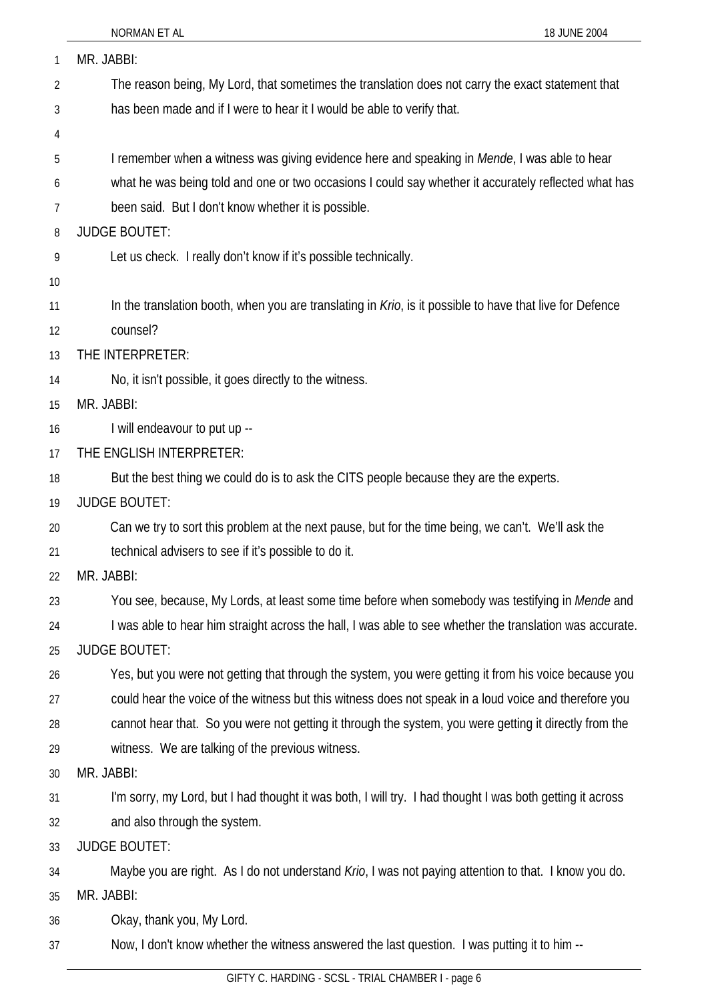| $\mathbf{1}$   | MR. JABBI:                                                                                                |
|----------------|-----------------------------------------------------------------------------------------------------------|
| $\overline{2}$ | The reason being, My Lord, that sometimes the translation does not carry the exact statement that         |
| 3              | has been made and if I were to hear it I would be able to verify that.                                    |
| 4              |                                                                                                           |
| 5              | I remember when a witness was giving evidence here and speaking in Mende, I was able to hear              |
| 6              | what he was being told and one or two occasions I could say whether it accurately reflected what has      |
| 7              | been said. But I don't know whether it is possible.                                                       |
| 8              | <b>JUDGE BOUTET:</b>                                                                                      |
| 9              | Let us check. I really don't know if it's possible technically.                                           |
| 10             |                                                                                                           |
| 11             | In the translation booth, when you are translating in Krio, is it possible to have that live for Defence  |
| 12             | counsel?                                                                                                  |
| 13             | THE INTERPRETER:                                                                                          |
| 14             | No, it isn't possible, it goes directly to the witness.                                                   |
| 15             | MR. JABBI:                                                                                                |
| 16             | I will endeavour to put up --                                                                             |
| 17             | THE ENGLISH INTERPRETER:                                                                                  |
| 18             | But the best thing we could do is to ask the CITS people because they are the experts.                    |
| 19             | <b>JUDGE BOUTET:</b>                                                                                      |
| 20             | Can we try to sort this problem at the next pause, but for the time being, we can't. We'll ask the        |
| 21             | technical advisers to see if it's possible to do it.                                                      |
| 22             | MR. JABBI:                                                                                                |
| 23             | You see, because, My Lords, at least some time before when somebody was testifying in Mende and           |
| 24             | I was able to hear him straight across the hall, I was able to see whether the translation was accurate.  |
| 25             | <b>JUDGE BOUTET:</b>                                                                                      |
| 26             | Yes, but you were not getting that through the system, you were getting it from his voice because you     |
| 27             | could hear the voice of the witness but this witness does not speak in a loud voice and therefore you     |
| 28             | cannot hear that. So you were not getting it through the system, you were getting it directly from the    |
| 29             | witness. We are talking of the previous witness.                                                          |
| 30             | MR. JABBI:                                                                                                |
| 31             | I'm sorry, my Lord, but I had thought it was both, I will try. I had thought I was both getting it across |
| 32             | and also through the system.                                                                              |
| 33             | <b>JUDGE BOUTET:</b>                                                                                      |
| 34             | Maybe you are right. As I do not understand Krio, I was not paying attention to that. I know you do.      |
| 35             | MR. JABBI:                                                                                                |
| 36             | Okay, thank you, My Lord.                                                                                 |
| 37             | Now, I don't know whether the witness answered the last question. I was putting it to him --              |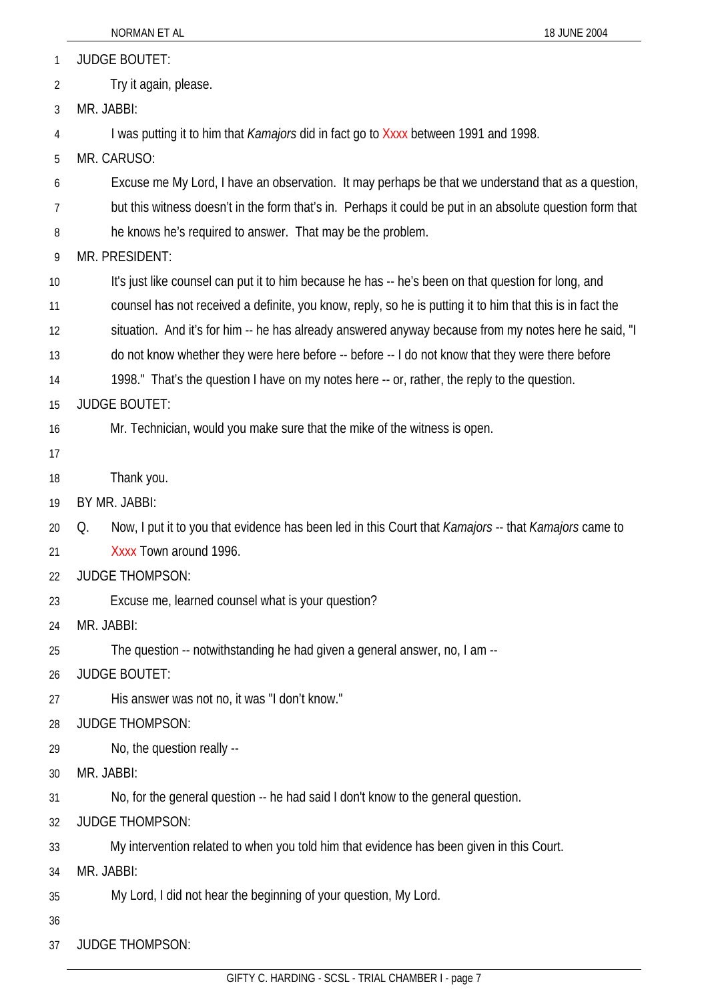|    | NORMAN ET AL<br>18 JUNE 2004                                                                               |
|----|------------------------------------------------------------------------------------------------------------|
| 1  | <b>JUDGE BOUTET:</b>                                                                                       |
| 2  | Try it again, please.                                                                                      |
| 3  | MR. JABBI:                                                                                                 |
| 4  | I was putting it to him that <i>Kamajors</i> did in fact go to Xxxx between 1991 and 1998.                 |
| 5  | MR. CARUSO:                                                                                                |
| 6  | Excuse me My Lord, I have an observation. It may perhaps be that we understand that as a question,         |
| 7  | but this witness doesn't in the form that's in. Perhaps it could be put in an absolute question form that  |
| 8  | he knows he's required to answer. That may be the problem.                                                 |
| 9  | MR. PRESIDENT:                                                                                             |
| 10 | It's just like counsel can put it to him because he has -- he's been on that question for long, and        |
| 11 | counsel has not received a definite, you know, reply, so he is putting it to him that this is in fact the  |
| 12 | situation. And it's for him -- he has already answered anyway because from my notes here he said, "I       |
| 13 | do not know whether they were here before -- before -- I do not know that they were there before           |
| 14 | 1998." That's the question I have on my notes here -- or, rather, the reply to the question.               |
| 15 | <b>JUDGE BOUTET:</b>                                                                                       |
| 16 | Mr. Technician, would you make sure that the mike of the witness is open.                                  |
| 17 |                                                                                                            |
| 18 | Thank you.                                                                                                 |
| 19 | BY MR. JABBI:                                                                                              |
| 20 | Now, I put it to you that evidence has been led in this Court that Kamajors -- that Kamajors came to<br>Q. |
| 21 | Xxxx Town around 1996.                                                                                     |
| 22 | <b>JUDGE THOMPSON:</b>                                                                                     |
| 23 | Excuse me, learned counsel what is your question?                                                          |
| 24 | MR. JABBI:                                                                                                 |
| 25 | The question -- notwithstanding he had given a general answer, no, I am --                                 |
| 26 | <b>JUDGE BOUTET:</b>                                                                                       |
| 27 | His answer was not no, it was "I don't know."                                                              |
| 28 | <b>JUDGE THOMPSON:</b>                                                                                     |
| 29 | No, the question really --                                                                                 |
| 30 | MR. JABBI:                                                                                                 |
| 31 | No, for the general question -- he had said I don't know to the general question.                          |
| 32 | <b>JUDGE THOMPSON:</b>                                                                                     |
| 33 | My intervention related to when you told him that evidence has been given in this Court.                   |
| 34 | MR. JABBI:                                                                                                 |
| 35 | My Lord, I did not hear the beginning of your question, My Lord.                                           |
| 36 |                                                                                                            |
| 37 | <b>JUDGE THOMPSON:</b>                                                                                     |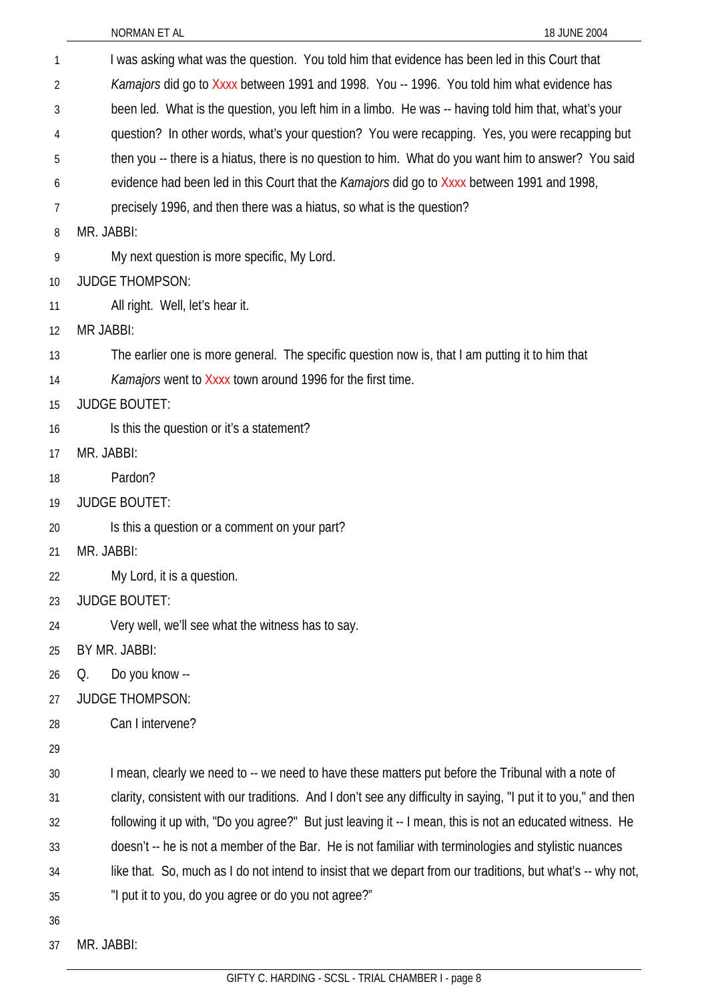| 1  | I was asking what was the question. You told him that evidence has been led in this Court that                 |
|----|----------------------------------------------------------------------------------------------------------------|
| 2  | Kamajors did go to Xxxx between 1991 and 1998. You -- 1996. You told him what evidence has                     |
| 3  | been led. What is the question, you left him in a limbo. He was -- having told him that, what's your           |
| 4  | question? In other words, what's your question? You were recapping. Yes, you were recapping but                |
| 5  | then you -- there is a hiatus, there is no question to him. What do you want him to answer? You said           |
| 6  | evidence had been led in this Court that the Kamajors did go to Xxxx between 1991 and 1998,                    |
| 7  | precisely 1996, and then there was a hiatus, so what is the question?                                          |
| 8  | MR. JABBI:                                                                                                     |
| 9  | My next question is more specific, My Lord.                                                                    |
| 10 | <b>JUDGE THOMPSON:</b>                                                                                         |
| 11 | All right. Well, let's hear it.                                                                                |
| 12 | <b>MR JABBI:</b>                                                                                               |
| 13 | The earlier one is more general. The specific question now is, that I am putting it to him that                |
| 14 | Kamajors went to Xxxx town around 1996 for the first time.                                                     |
| 15 | <b>JUDGE BOUTET:</b>                                                                                           |
| 16 | Is this the question or it's a statement?                                                                      |
| 17 | MR. JABBI:                                                                                                     |
| 18 | Pardon?                                                                                                        |
| 19 | <b>JUDGE BOUTET:</b>                                                                                           |
| 20 | Is this a question or a comment on your part?                                                                  |
| 21 | MR. JABBI:                                                                                                     |
| 22 | My Lord, it is a question.                                                                                     |
| 23 | <b>JUDGE BOUTET:</b>                                                                                           |
| 24 | Very well, we'll see what the witness has to say.                                                              |
| 25 | BY MR. JABBI:                                                                                                  |
| 26 | Do you know --<br>Q.                                                                                           |
| 27 | <b>JUDGE THOMPSON:</b>                                                                                         |
| 28 | Can I intervene?                                                                                               |
| 29 |                                                                                                                |
| 30 | I mean, clearly we need to -- we need to have these matters put before the Tribunal with a note of             |
| 31 | clarity, consistent with our traditions. And I don't see any difficulty in saying, "I put it to you," and then |
| 32 | following it up with, "Do you agree?" But just leaving it -- I mean, this is not an educated witness. He       |
| 33 | doesn't -- he is not a member of the Bar. He is not familiar with terminologies and stylistic nuances          |
| 34 | like that. So, much as I do not intend to insist that we depart from our traditions, but what's -- why not,    |
| 35 | "I put it to you, do you agree or do you not agree?"                                                           |

36

37 MR. JABBI: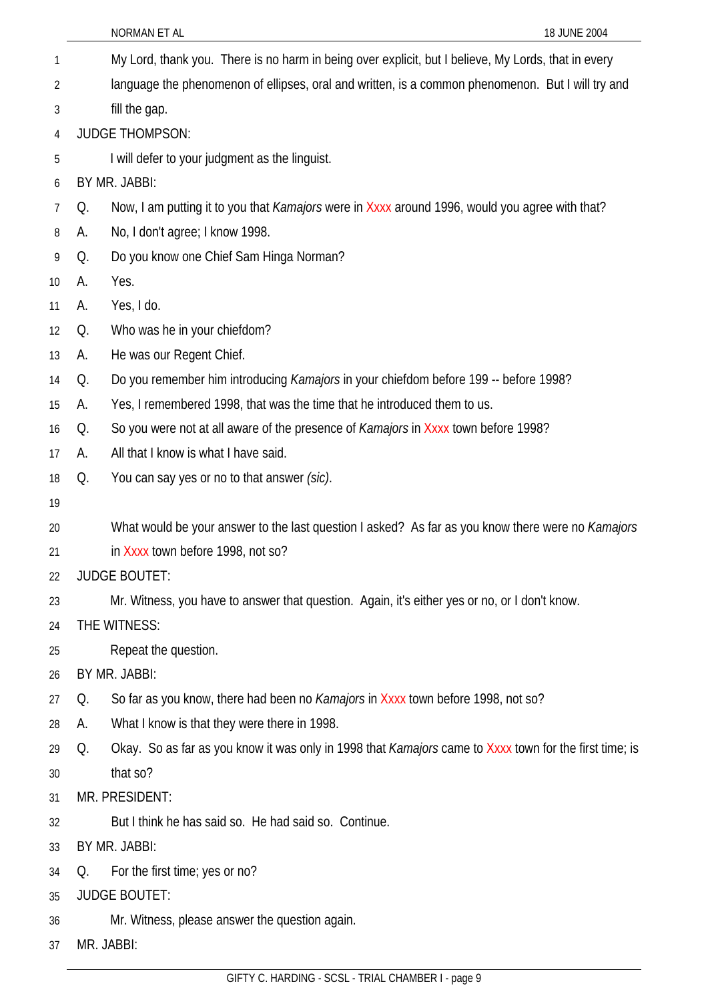|    |    | NORMAN ET AL<br>18 JUNE 2004                                                                           |
|----|----|--------------------------------------------------------------------------------------------------------|
| 1  |    | My Lord, thank you. There is no harm in being over explicit, but I believe, My Lords, that in every    |
| 2  |    | language the phenomenon of ellipses, oral and written, is a common phenomenon. But I will try and      |
| 3  |    | fill the gap.                                                                                          |
| 4  |    | <b>JUDGE THOMPSON:</b>                                                                                 |
| 5  |    | I will defer to your judgment as the linguist.                                                         |
| 6  |    | BY MR. JABBI:                                                                                          |
| 7  | Q. | Now, I am putting it to you that <i>Kamajors</i> were in Xxxx around 1996, would you agree with that?  |
| 8  | А. | No, I don't agree; I know 1998.                                                                        |
| 9  | Q. | Do you know one Chief Sam Hinga Norman?                                                                |
| 10 | А. | Yes.                                                                                                   |
| 11 | А. | Yes, I do.                                                                                             |
| 12 | Q. | Who was he in your chiefdom?                                                                           |
| 13 | А. | He was our Regent Chief.                                                                               |
| 14 | Q. | Do you remember him introducing <i>Kamajors</i> in your chiefdom before 199 -- before 1998?            |
| 15 | А. | Yes, I remembered 1998, that was the time that he introduced them to us.                               |
| 16 | Q. | So you were not at all aware of the presence of <i>Kamajors</i> in Xxxx town before 1998?              |
| 17 | А. | All that I know is what I have said.                                                                   |
| 18 | Q. | You can say yes or no to that answer (sic).                                                            |
| 19 |    |                                                                                                        |
| 20 |    | What would be your answer to the last question I asked? As far as you know there were no Kamajors      |
| 21 |    | in Xxxx town before 1998, not so?                                                                      |
| 22 |    | <b>JUDGE BOUTET:</b>                                                                                   |
| 23 |    | Mr. Witness, you have to answer that question. Again, it's either yes or no, or I don't know.          |
| 24 |    | THE WITNESS:                                                                                           |
| 25 |    | Repeat the question.                                                                                   |
| 26 |    | BY MR. JABBI:                                                                                          |
| 27 | Q. | So far as you know, there had been no <i>Kamajors</i> in Xxxx town before 1998, not so?                |
| 28 | A. | What I know is that they were there in 1998.                                                           |
| 29 | Q. | Okay. So as far as you know it was only in 1998 that Kamajors came to Xxxx town for the first time; is |

- 30 that so?
- 31 MR. PRESIDENT:
- 32 But I think he has said so. He had said so. Continue.
- 33 BY MR. JABBI:
- 34 Q. For the first time; yes or no?
- 35 JUDGE BOUTET:
- 36 Mr. Witness, please answer the question again.
- 37 MR. JABBI: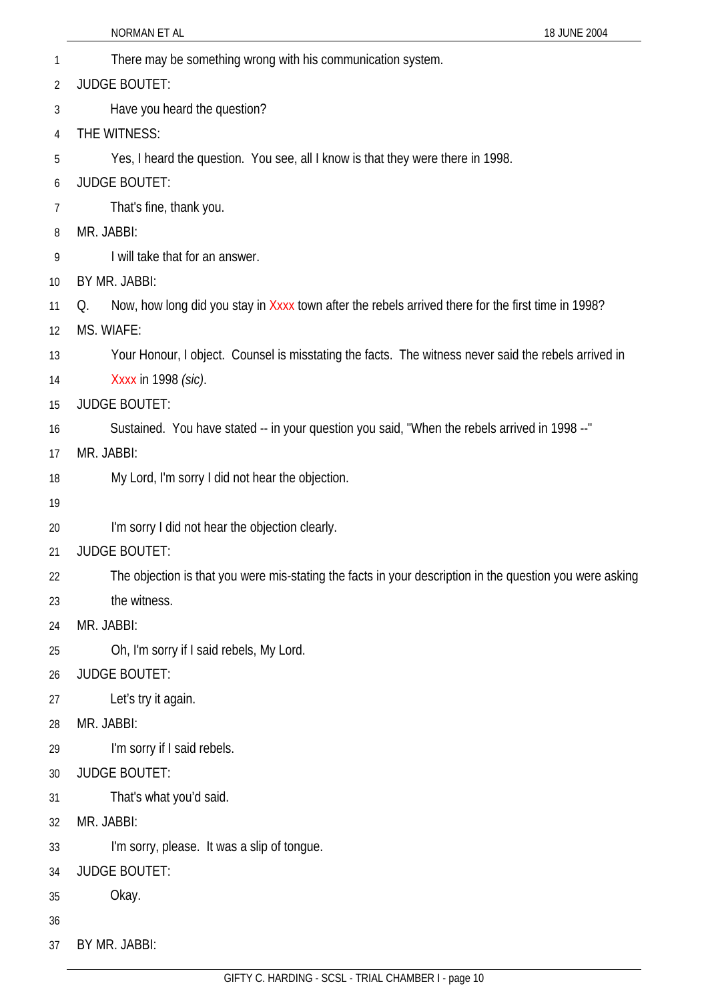- NORMAN ET AL 18 JUNE 2004 1 There may be something wrong with his communication system. 2 3 4 5 6 7 8 9 10 11 12 13 14 15 16 17 18 19 20 21 22 23 24 25 26 27 28 29 30 31 32 33 34 JUDGE BOUTET: Have you heard the question? THE WITNESS: Yes, I heard the question. You see, all I know is that they were there in 1998. JUDGE BOUTET: That's fine, thank you. MR. JABBI: I will take that for an answer. BY MR. JABBI: Q. Now, how long did you stay in Xxxx town after the rebels arrived there for the first time in 1998? MS. WIAFE: Your Honour, I object. Counsel is misstating the facts. The witness never said the rebels arrived in Xxxx in 1998 *(sic)*. JUDGE BOUTET: Sustained. You have stated -- in your question you said, "When the rebels arrived in 1998 --" MR. JABBI: My Lord, I'm sorry I did not hear the objection. I'm sorry I did not hear the objection clearly. JUDGE BOUTET: The objection is that you were mis-stating the facts in your description in the question you were asking the witness. MR. JABBI: Oh, I'm sorry if I said rebels, My Lord. JUDGE BOUTET: Let's try it again. MR. JABBI: I'm sorry if I said rebels. JUDGE BOUTET: That's what you'd said. MR. JABBI: I'm sorry, please. It was a slip of tongue. JUDGE BOUTET:
- 35 Okay.
- 36
- 37 BY MR. JABBI: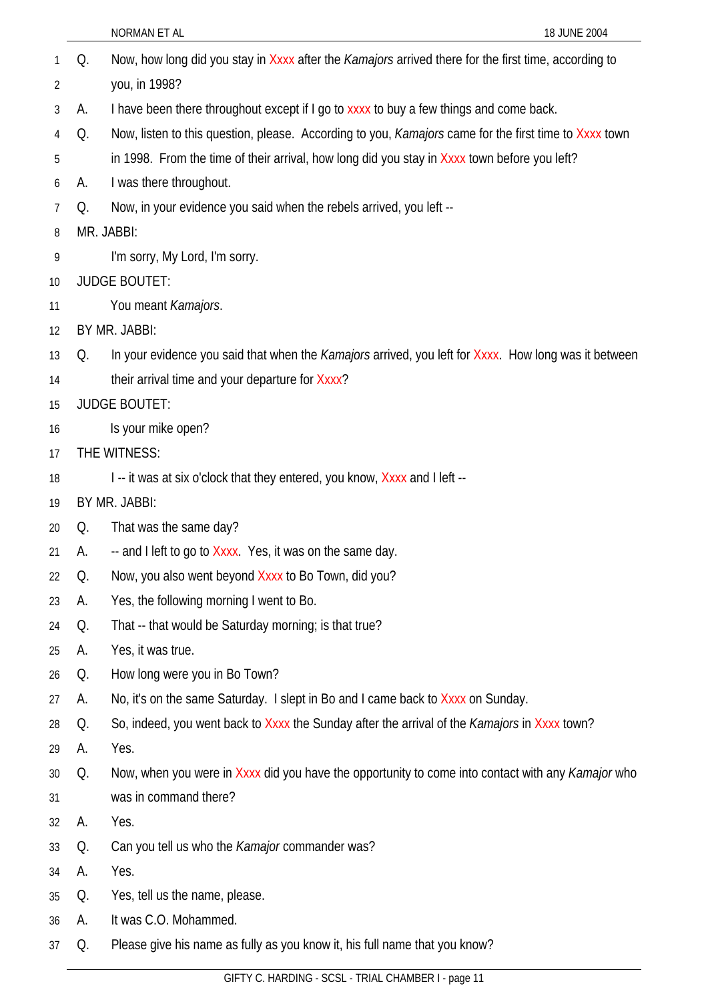|    |    | NORMAN ET AL<br>18 JUNE 2004                                                                          |
|----|----|-------------------------------------------------------------------------------------------------------|
| 1  | Q. | Now, how long did you stay in Xxxx after the Kamajors arrived there for the first time, according to  |
| 2  |    | you, in 1998?                                                                                         |
| 3  | Α. | I have been there throughout except if I go to xxxx to buy a few things and come back.                |
| 4  | Q. | Now, listen to this question, please. According to you, Kamajors came for the first time to Xxxx town |
| 5  |    | in 1998. From the time of their arrival, how long did you stay in Xxxx town before you left?          |
| 6  | А. | I was there throughout.                                                                               |
| 7  | Q. | Now, in your evidence you said when the rebels arrived, you left --                                   |
| 8  |    | MR. JABBI:                                                                                            |
| 9  |    | I'm sorry, My Lord, I'm sorry.                                                                        |
| 10 |    | <b>JUDGE BOUTET:</b>                                                                                  |
| 11 |    | You meant Kamajors.                                                                                   |
| 12 |    | BY MR. JABBI:                                                                                         |
| 13 | Q. | In your evidence you said that when the Kamajors arrived, you left for Xxxx. How long was it between  |
| 14 |    | their arrival time and your departure for Xxxx?                                                       |
| 15 |    | <b>JUDGE BOUTET:</b>                                                                                  |
| 16 |    | Is your mike open?                                                                                    |
| 17 |    | THE WITNESS:                                                                                          |
| 18 |    | I -- it was at six o'clock that they entered, you know, Xxxx and I left --                            |
| 19 |    | BY MR. JABBI:                                                                                         |
| 20 | Q. | That was the same day?                                                                                |
| 21 | A. | -- and I left to go to Xxxx. Yes, it was on the same day.                                             |
| 22 | Q. | Now, you also went beyond Xxxx to Bo Town, did you?                                                   |
| 23 | A. | Yes, the following morning I went to Bo.                                                              |
| 24 | Q. | That -- that would be Saturday morning; is that true?                                                 |
| 25 | А. | Yes, it was true.                                                                                     |
| 26 | Q. | How long were you in Bo Town?                                                                         |
| 27 | А. | No, it's on the same Saturday. I slept in Bo and I came back to Xxxx on Sunday.                       |
| 28 | Q. | So, indeed, you went back to Xxxx the Sunday after the arrival of the Kamajors in Xxxx town?          |
| 29 | А. | Yes.                                                                                                  |
| 30 | Q. | Now, when you were in Xxxx did you have the opportunity to come into contact with any Kamajor who     |
| 31 |    | was in command there?                                                                                 |
| 32 | A. | Yes.                                                                                                  |
| 33 | Q. | Can you tell us who the Kamajor commander was?                                                        |
| 34 | А. | Yes.                                                                                                  |
| 35 | Q. | Yes, tell us the name, please.                                                                        |
| 36 | А. | It was C.O. Mohammed.                                                                                 |
| 37 | Q. | Please give his name as fully as you know it, his full name that you know?                            |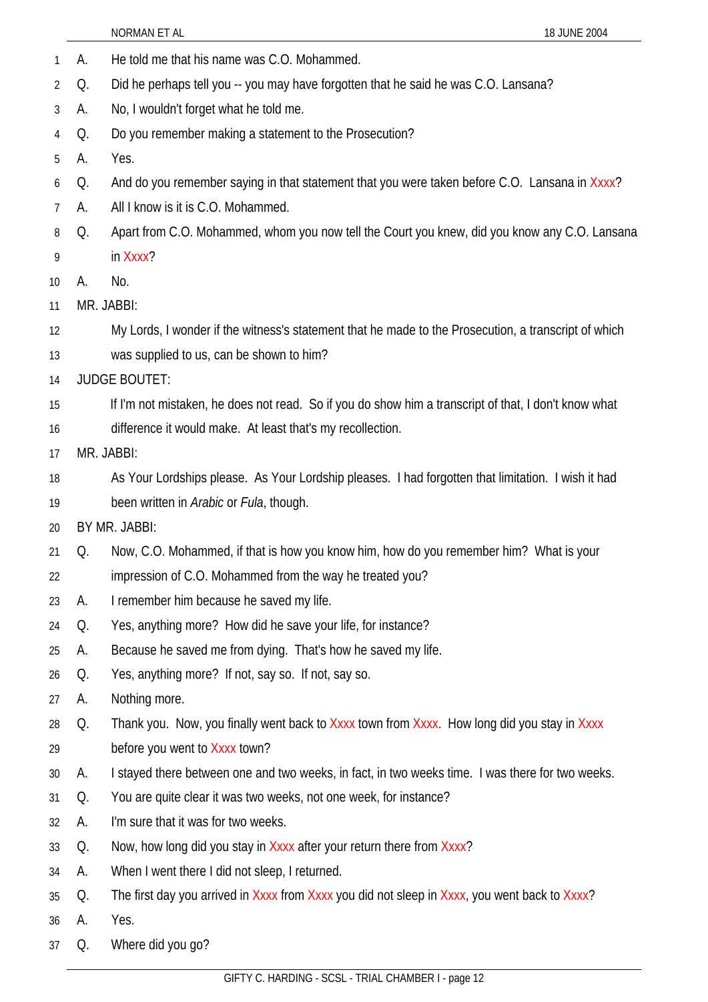|                 |    | NORMAN ET AL<br>18 JUNE 2004                                                                         |
|-----------------|----|------------------------------------------------------------------------------------------------------|
| 1               | А. | He told me that his name was C.O. Mohammed.                                                          |
| 2               | Q. | Did he perhaps tell you -- you may have forgotten that he said he was C.O. Lansana?                  |
| 3               | Α. | No, I wouldn't forget what he told me.                                                               |
| 4               | Q. | Do you remember making a statement to the Prosecution?                                               |
| 5               | А. | Yes.                                                                                                 |
| 6               | Q. | And do you remember saying in that statement that you were taken before C.O. Lansana in Xxxx?        |
| $\overline{7}$  | A. | All I know is it is C.O. Mohammed.                                                                   |
| 8               | Q. | Apart from C.O. Mohammed, whom you now tell the Court you knew, did you know any C.O. Lansana        |
| 9               |    | in Xxxx?                                                                                             |
| 10 <sup>°</sup> | А. | No.                                                                                                  |
| 11              |    | MR. JABBI:                                                                                           |
| 12              |    | My Lords, I wonder if the witness's statement that he made to the Prosecution, a transcript of which |
| 13              |    | was supplied to us, can be shown to him?                                                             |
| 14              |    | <b>JUDGE BOUTET:</b>                                                                                 |
| 15              |    | If I'm not mistaken, he does not read. So if you do show him a transcript of that, I don't know what |
| 16              |    | difference it would make. At least that's my recollection.                                           |
| 17              |    | MR. JABBI:                                                                                           |
| 18              |    | As Your Lordships please. As Your Lordship pleases. I had forgotten that limitation. I wish it had   |
| 19              |    | been written in Arabic or Fula, though.                                                              |
| 20              |    | BY MR. JABBI:                                                                                        |
| 21              | Q. | Now, C.O. Mohammed, if that is how you know him, how do you remember him? What is your               |
| 22              |    | impression of C.O. Mohammed from the way he treated you?                                             |
| 23              | А. | I remember him because he saved my life.                                                             |
| 24              | Q. | Yes, anything more? How did he save your life, for instance?                                         |
| 25              | A. | Because he saved me from dying. That's how he saved my life.                                         |
| 26              | Q. | Yes, anything more? If not, say so. If not, say so.                                                  |
| 27              | A. | Nothing more.                                                                                        |
| 28              | Q. | Thank you. Now, you finally went back to Xxxx town from Xxxx. How long did you stay in Xxxx          |
| 29              |    | before you went to Xxxx town?                                                                        |
| 30              | A. | I stayed there between one and two weeks, in fact, in two weeks time. I was there for two weeks.     |
| 31              | Q. | You are quite clear it was two weeks, not one week, for instance?                                    |
| 32              | А. | I'm sure that it was for two weeks.                                                                  |
| 33              | Q. | Now, how long did you stay in Xxxx after your return there from Xxxx?                                |
| 34              | A. | When I went there I did not sleep, I returned.                                                       |
| 35              | Q. | The first day you arrived in Xxxx from Xxxx you did not sleep in Xxxx, you went back to Xxxx?        |
| 36              | A. | Yes.                                                                                                 |
| 37              | Q. | Where did you go?                                                                                    |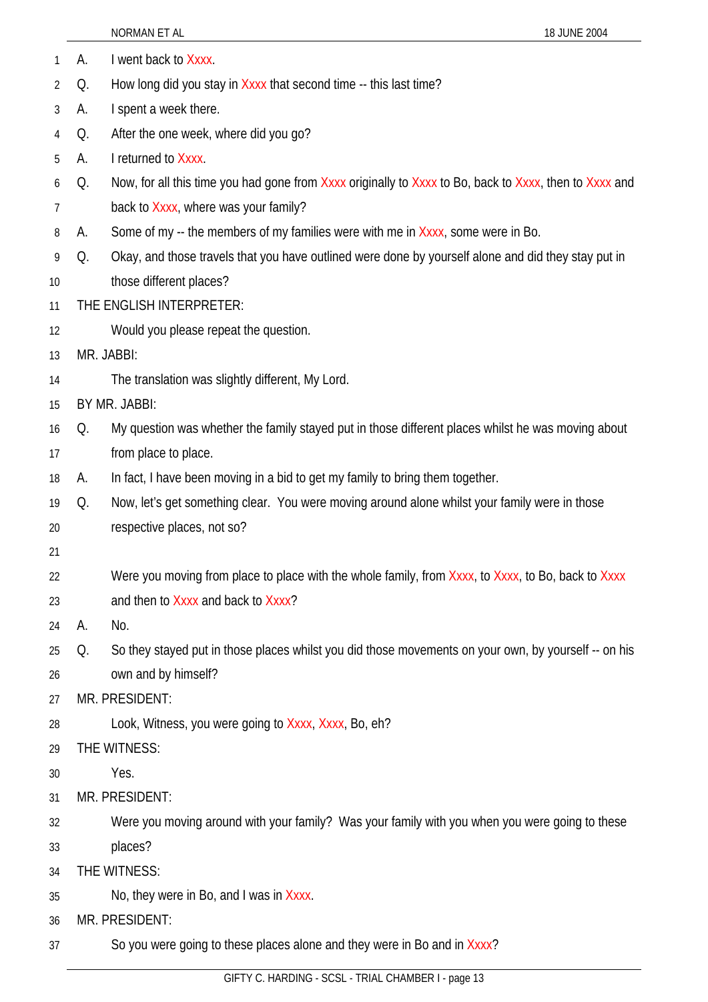|    |    | NORMAN ET AL<br>18 JUNE 2004                                                                           |
|----|----|--------------------------------------------------------------------------------------------------------|
| 1  | А. | I went back to Xxxx.                                                                                   |
| 2  | Q. | How long did you stay in Xxxx that second time -- this last time?                                      |
| 3  | А. | I spent a week there.                                                                                  |
| 4  | Q. | After the one week, where did you go?                                                                  |
| 5  | А. | I returned to Xxxx.                                                                                    |
| 6  | Q. | Now, for all this time you had gone from Xxxx originally to Xxxx to Bo, back to Xxxx, then to Xxxx and |
| 7  |    | back to Xxxx, where was your family?                                                                   |
| 8  | А. | Some of my -- the members of my families were with me in Xxxx, some were in Bo.                        |
| 9  | Q. | Okay, and those travels that you have outlined were done by yourself alone and did they stay put in    |
| 10 |    | those different places?                                                                                |
| 11 |    | THE ENGLISH INTERPRETER:                                                                               |
| 12 |    | Would you please repeat the question.                                                                  |
| 13 |    | MR. JABBI:                                                                                             |
| 14 |    | The translation was slightly different, My Lord.                                                       |
| 15 |    | BY MR. JABBI:                                                                                          |
| 16 | Q. | My question was whether the family stayed put in those different places whilst he was moving about     |
| 17 |    | from place to place.                                                                                   |
| 18 | А. | In fact, I have been moving in a bid to get my family to bring them together.                          |
| 19 | Q. | Now, let's get something clear. You were moving around alone whilst your family were in those          |
| 20 |    | respective places, not so?                                                                             |
| 21 |    |                                                                                                        |
| 22 |    | Were you moving from place to place with the whole family, from Xxxx, to Xxxx, to Bo, back to Xxxx     |
| 23 |    | and then to Xxxx and back to Xxxx?                                                                     |
| 24 | А. | No.                                                                                                    |
| 25 | Q. | So they stayed put in those places whilst you did those movements on your own, by yourself -- on his   |
| 26 |    | own and by himself?                                                                                    |
| 27 |    | MR. PRESIDENT:                                                                                         |
| 28 |    | Look, Witness, you were going to Xxxx, Xxxx, Bo, eh?                                                   |
| 29 |    | THE WITNESS:                                                                                           |
| 30 |    | Yes.                                                                                                   |
| 31 |    | MR. PRESIDENT:                                                                                         |
| 32 |    | Were you moving around with your family? Was your family with you when you were going to these         |
| 33 |    | places?                                                                                                |
| 34 |    | THE WITNESS:                                                                                           |
| 35 |    | No, they were in Bo, and I was in Xxxx.                                                                |
| 36 |    | MR. PRESIDENT:                                                                                         |
| 37 |    | So you were going to these places alone and they were in Bo and in Xxxx?                               |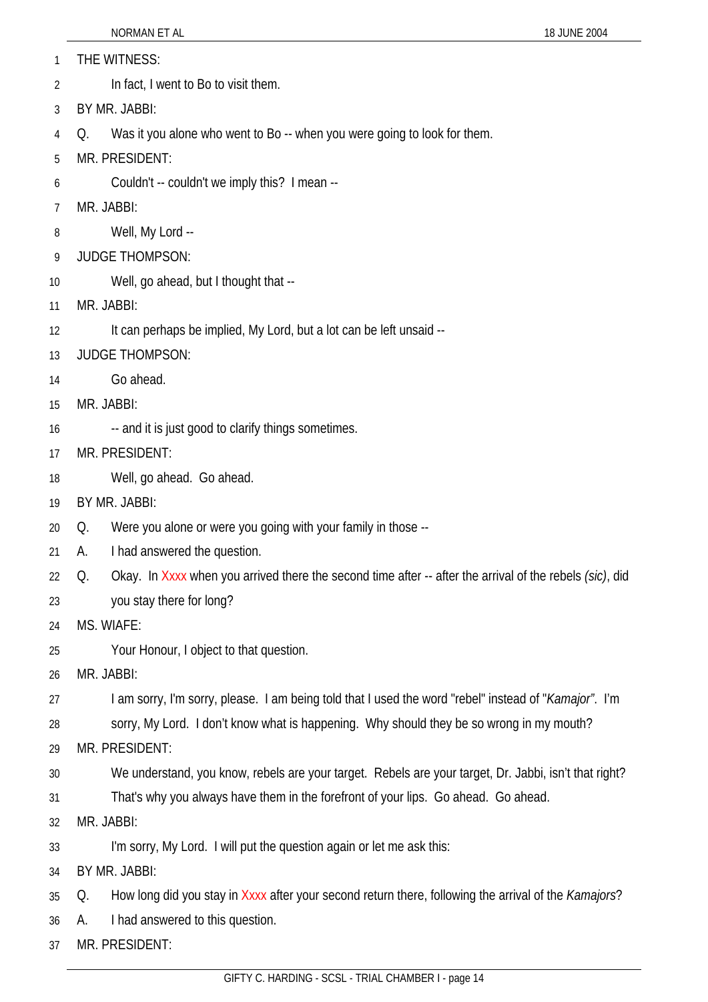- THE WITNESS: 1
- In fact, I went to Bo to visit them. 2
- 3 BY MR. JABBI:
- 4 Q. Was it you alone who went to Bo -- when you were going to look for them.
- 5 MR. PRESIDENT:
- 6 Couldn't -- couldn't we imply this? I mean --
- 7 MR. JABBI:
- 8 Well, My Lord --
- 9 JUDGE THOMPSON:
- 10 Well, go ahead, but I thought that --
- 11 MR. JABBI:
- 12 It can perhaps be implied, My Lord, but a lot can be left unsaid --
- 13 JUDGE THOMPSON:
- 14 Go ahead.
- 15 MR. JABBI:
- 16 -- and it is just good to clarify things sometimes.
- 17 MR. PRESIDENT:
- 18 Well, go ahead. Go ahead.
- 19 BY MR. JABBI:
- 20 Q. Were you alone or were you going with your family in those --
- 21 A. I had answered the question.
- 22 Q. Okay. In Xxxx when you arrived there the second time after -- after the arrival of the rebels *(sic)*, did
- 23 you stay there for long?
- 24 MS. WIAFE:
- 25 Your Honour, I object to that question.
- 26 MR. JABBI:
- 27 I am sorry, I'm sorry, please. I am being told that I used the word "rebel" instead of "*Kamajor"*. I'm
- 28 sorry, My Lord. I don't know what is happening. Why should they be so wrong in my mouth?
- 29 MR. PRESIDENT:
- 30 We understand, you know, rebels are your target. Rebels are your target, Dr. Jabbi, isn't that right?
- 31 That's why you always have them in the forefront of your lips. Go ahead. Go ahead.
- 32 MR. JABBI:
- 33 I'm sorry, My Lord. I will put the question again or let me ask this:
- 34 BY MR. JABBI:
- 35 Q. How long did you stay in Xxxx after your second return there, following the arrival of the *Kamajors*?
- 36 A. I had answered to this question.
- 37 MR. PRESIDENT: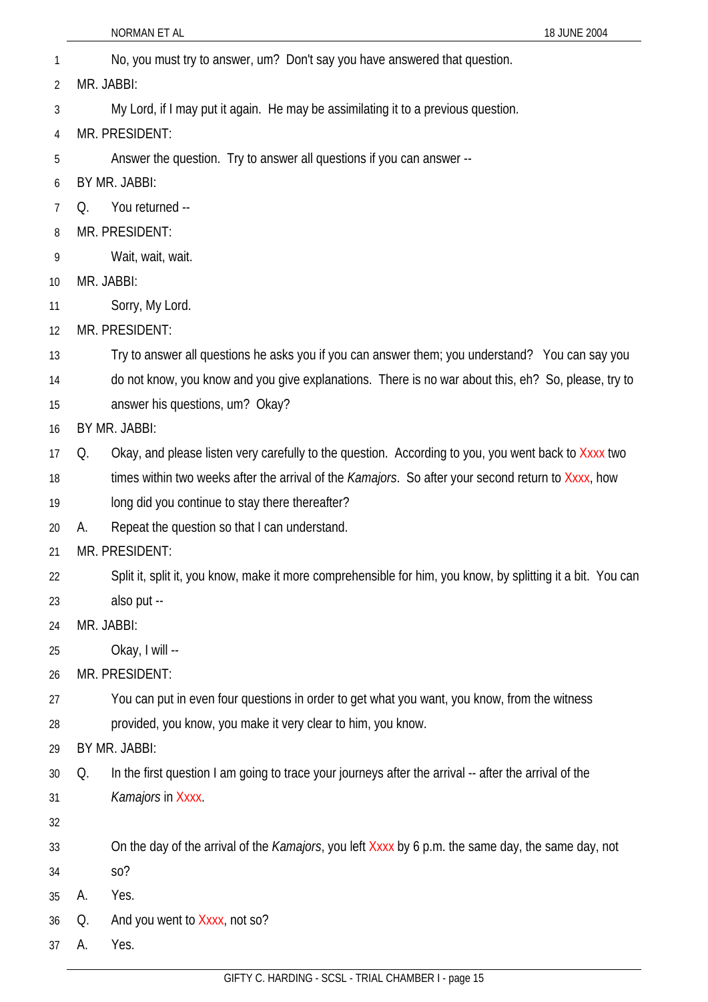| $\mathbf{1}$ |    | No, you must try to answer, um? Don't say you have answered that question.                                  |
|--------------|----|-------------------------------------------------------------------------------------------------------------|
| 2            |    | MR. JABBI:                                                                                                  |
| 3            |    | My Lord, if I may put it again. He may be assimilating it to a previous question.                           |
| 4            |    | MR. PRESIDENT:                                                                                              |
| 5            |    | Answer the question. Try to answer all questions if you can answer --                                       |
| 6            |    | BY MR. JABBI:                                                                                               |
| 7            | Q. | You returned --                                                                                             |
| 8            |    | MR. PRESIDENT:                                                                                              |
| 9            |    | Wait, wait, wait.                                                                                           |
| 10           |    | MR. JABBI:                                                                                                  |
| 11           |    | Sorry, My Lord.                                                                                             |
| 12           |    | MR. PRESIDENT:                                                                                              |
| 13           |    | Try to answer all questions he asks you if you can answer them; you understand? You can say you             |
| 14           |    | do not know, you know and you give explanations. There is no war about this, eh? So, please, try to         |
| 15           |    | answer his questions, um? Okay?                                                                             |
| 16           |    | BY MR. JABBI:                                                                                               |
| 17           | Q. | Okay, and please listen very carefully to the question. According to you, you went back to Xxxx two         |
| 18           |    | times within two weeks after the arrival of the Kamajors. So after your second return to Xxxx, how          |
| 19           |    | long did you continue to stay there thereafter?                                                             |
| 20           | А. | Repeat the question so that I can understand.                                                               |
| 21           |    | MR. PRESIDENT:                                                                                              |
| 22           |    | Split it, split it, you know, make it more comprehensible for him, you know, by splitting it a bit. You can |
| 23           |    | also put --                                                                                                 |
| 24           |    | MR. JABBI:                                                                                                  |
| 25           |    | Okay, I will --                                                                                             |
| 26           |    | MR. PRESIDENT:                                                                                              |
| 27           |    | You can put in even four questions in order to get what you want, you know, from the witness                |
| 28           |    | provided, you know, you make it very clear to him, you know.                                                |
| 29           |    | BY MR. JABBI:                                                                                               |
| 30           | Q. | In the first question I am going to trace your journeys after the arrival -- after the arrival of the       |
| 31           |    | Kamajors in Xxxx.                                                                                           |
| 32           |    |                                                                                                             |
| 33           |    | On the day of the arrival of the Kamajors, you left Xxxx by 6 p.m. the same day, the same day, not          |
| 34           |    | SO <sub>2</sub>                                                                                             |
| 35           | А. | Yes.                                                                                                        |
| 36           | Q. | And you went to Xxxx, not so?                                                                               |
| 37           | А. | Yes.                                                                                                        |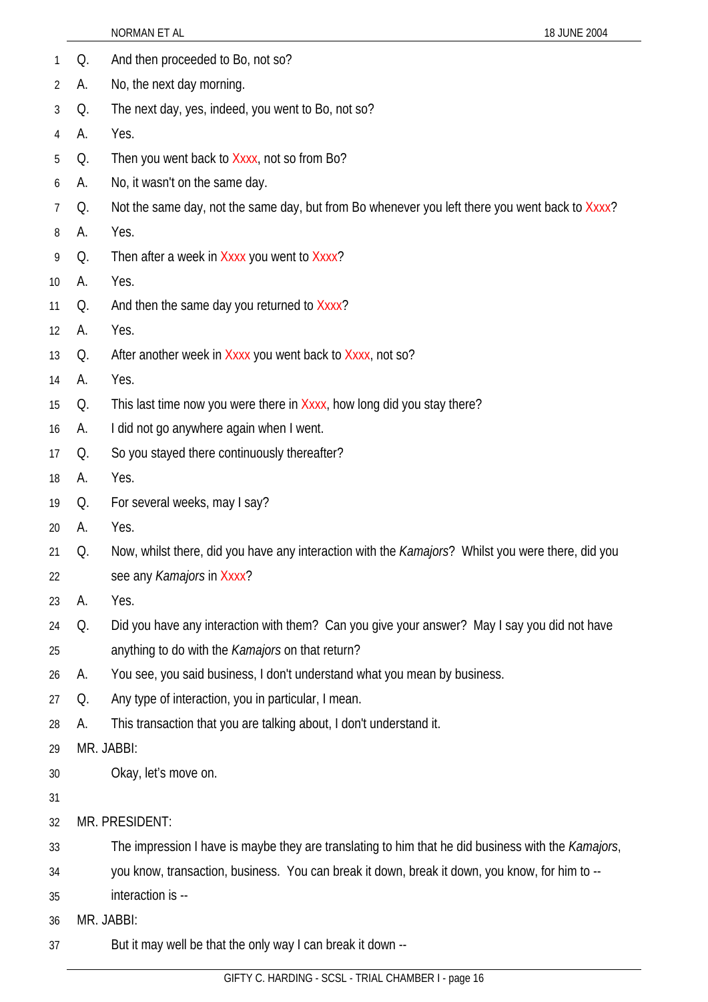|                 |            | NORMAN ET AL<br>18 JUNE 2004                                                                       |
|-----------------|------------|----------------------------------------------------------------------------------------------------|
| 1               | Q.         | And then proceeded to Bo, not so?                                                                  |
| 2               | А.         | No, the next day morning.                                                                          |
| 3               | Q.         | The next day, yes, indeed, you went to Bo, not so?                                                 |
| 4               | А.         | Yes.                                                                                               |
| 5               | Q.         | Then you went back to Xxxx, not so from Bo?                                                        |
| 6               | А.         | No, it wasn't on the same day.                                                                     |
| $\overline{7}$  | Q.         | Not the same day, not the same day, but from Bo whenever you left there you went back to Xxxx?     |
| 8               | А.         | Yes.                                                                                               |
| 9               | Q.         | Then after a week in Xxxx you went to Xxxx?                                                        |
| 10 <sup>°</sup> | А.         | Yes.                                                                                               |
| 11              | Q.         | And then the same day you returned to Xxxx?                                                        |
| 12              | А.         | Yes.                                                                                               |
| 13              | Q.         | After another week in Xxxx you went back to Xxxx, not so?                                          |
| 14              | А.         | Yes.                                                                                               |
| 15              | Q.         | This last time now you were there in Xxxx, how long did you stay there?                            |
| 16              | А.         | I did not go anywhere again when I went.                                                           |
| 17              | Q.         | So you stayed there continuously thereafter?                                                       |
| 18              | А.         | Yes.                                                                                               |
| 19              | Q.         | For several weeks, may I say?                                                                      |
| 20              | А.         | Yes.                                                                                               |
| 21              | Q.         | Now, whilst there, did you have any interaction with the Kamajors? Whilst you were there, did you  |
| 22              |            | see any Kamajors in Xxxx?                                                                          |
| 23              | А.         | Yes.                                                                                               |
| 24              | Q.         | Did you have any interaction with them? Can you give your answer? May I say you did not have       |
| 25              |            | anything to do with the Kamajors on that return?                                                   |
| 26              | А.         | You see, you said business, I don't understand what you mean by business.                          |
| 27              | Q.         | Any type of interaction, you in particular, I mean.                                                |
| 28              | А.         | This transaction that you are talking about, I don't understand it.                                |
| 29              | MR. JABBI: |                                                                                                    |
| 30              |            | Okay, let's move on.                                                                               |
| 31              |            |                                                                                                    |
| 32              |            | MR. PRESIDENT:                                                                                     |
| 33              |            | The impression I have is maybe they are translating to him that he did business with the Kamajors, |
| 34              |            | you know, transaction, business. You can break it down, break it down, you know, for him to --     |
| 35              |            | interaction is --                                                                                  |
| 36              | MR. JABBI: |                                                                                                    |
| 37              |            | But it may well be that the only way I can break it down --                                        |
|                 |            |                                                                                                    |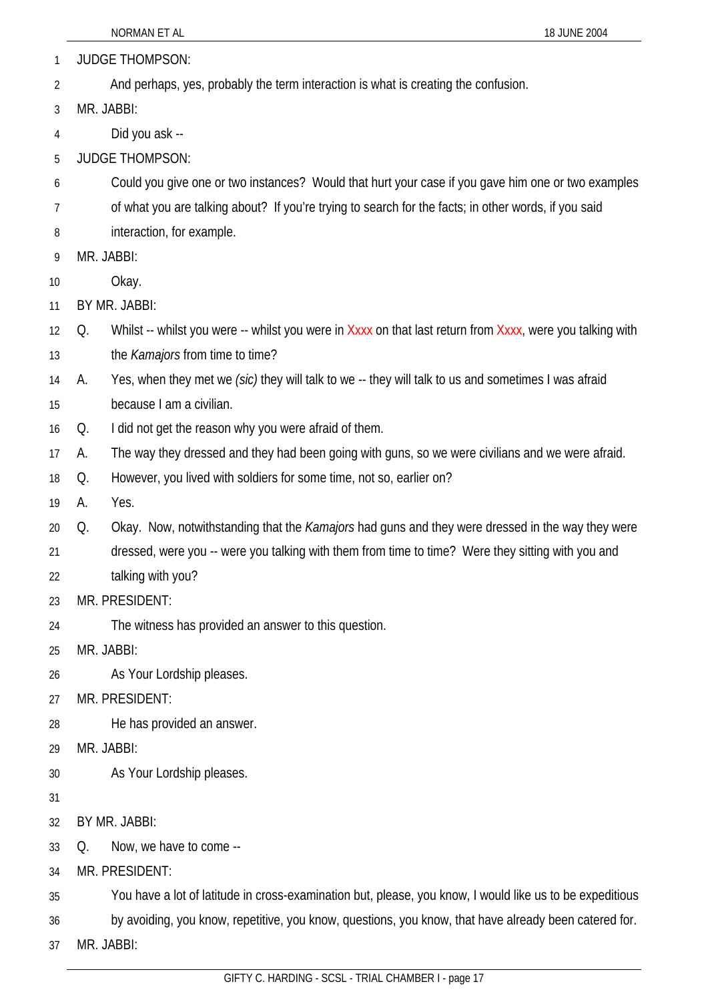1 JUDGE THOMPSON:

- 2 And perhaps, yes, probably the term interaction is what is creating the confusion.
- 3 MR. JABBI:

4 Did you ask --

- 5 JUDGE THOMPSON:
- 6 Could you give one or two instances? Would that hurt your case if you gave him one or two examples
- 7 of what you are talking about? If you're trying to search for the facts; in other words, if you said
- 8 interaction, for example.

9 MR. JABBI:

10 Okay.

11 BY MR. JABBI:

- 12 Q. Whilst -- whilst you were -- whilst you were in Xxxx on that last return from Xxxx, were you talking with
- 13 the *Kamajors* from time to time?
- 14 A. Yes, when they met we *(sic)* they will talk to we -- they will talk to us and sometimes I was afraid
- 15 because I am a civilian.
- 16 Q. I did not get the reason why you were afraid of them.
- 17 A. The way they dressed and they had been going with guns, so we were civilians and we were afraid.
- 18 Q. However, you lived with soldiers for some time, not so, earlier on?
- 19 A. Yes.
- 20 Q. Okay. Now, notwithstanding that the *Kamajors* had guns and they were dressed in the way they were
- 21 dressed, were you -- were you talking with them from time to time? Were they sitting with you and
- 22 talking with you?
- 23 MR. PRESIDENT:
- 24 The witness has provided an answer to this question.
- 25 MR. JABBI:
- 26 As Your Lordship pleases.
- 27 MR. PRESIDENT:
- 28 He has provided an answer.
- 29 MR. JABBI:
- 30 As Your Lordship pleases.
- 31
- 32 BY MR. JABBI:
- 33 Q. Now, we have to come --
- 34 MR. PRESIDENT:
- 35 You have a lot of latitude in cross-examination but, please, you know, I would like us to be expeditious

36 by avoiding, you know, repetitive, you know, questions, you know, that have already been catered for.

37 MR. JABBI: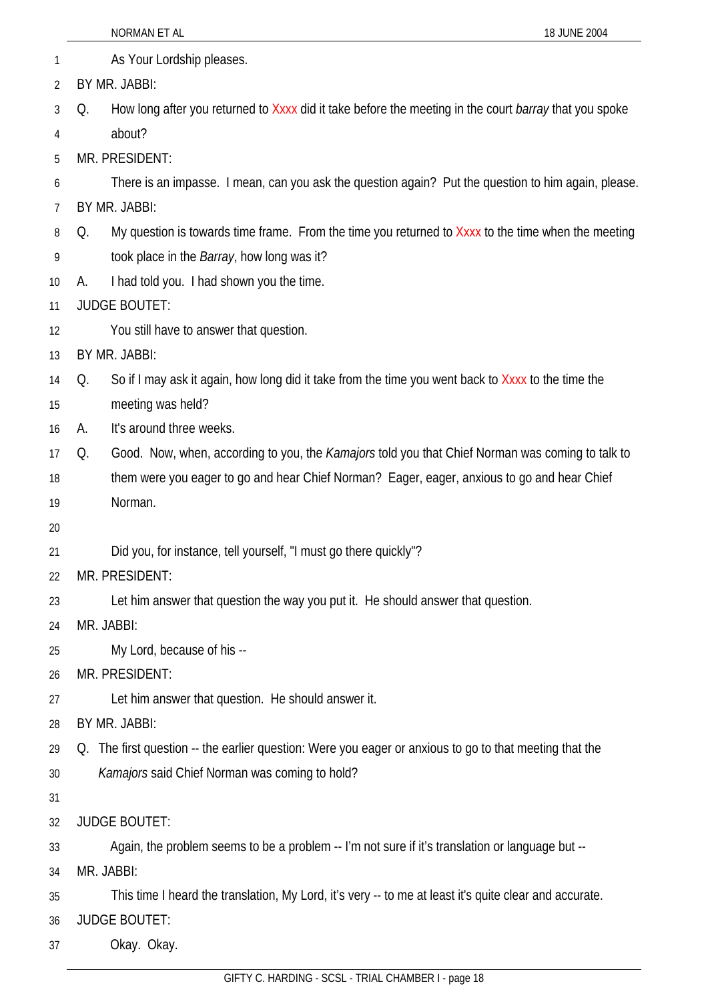- 1 As Your Lordship pleases. 2 BY MR. JABBI:
- 3 4 Q. How long after you returned to Xxxx did it take before the meeting in the court *barray* that you spoke about?
- 5 MR. PRESIDENT:
- 6 There is an impasse. I mean, can you ask the question again? Put the question to him again, please.
- 7 BY MR. JABBI:
- 8 Q. My question is towards time frame. From the time you returned to Xxxx to the time when the meeting
- 9 took place in the *Barray*, how long was it?
- 10 A. I had told you. I had shown you the time.
- 11 JUDGE BOUTET:
- 12 You still have to answer that question.
- 13 BY MR. JABBI:
- 14 Q. So if I may ask it again, how long did it take from the time you went back to Xxxx to the time the
- 15 meeting was held?
- 16 A. It's around three weeks.
- 17 18 Q. Good. Now, when, according to you, the *Kamajors* told you that Chief Norman was coming to talk to them were you eager to go and hear Chief Norman? Eager, eager, anxious to go and hear Chief
- 19 Norman.
- 20
- 21 Did you, for instance, tell yourself, "I must go there quickly"?
- 22 MR. PRESIDENT:
- 23 Let him answer that question the way you put it. He should answer that question.
- 24 MR. JABBI:
- 25 My Lord, because of his --
- 26 MR. PRESIDENT:
- 27 Let him answer that question. He should answer it.
- 28 BY MR. JABBI:
- 29 Q. The first question -- the earlier question: Were you eager or anxious to go to that meeting that the
- 30 *Kamajors* said Chief Norman was coming to hold?
- 31
- 32 JUDGE BOUTET:
- 33 Again, the problem seems to be a problem -- I'm not sure if it's translation or language but --
- 34 MR. JABBI:
- 35 This time I heard the translation, My Lord, it's very -- to me at least it's quite clear and accurate.
- 36 JUDGE BOUTET:
- 37 Okay. Okay.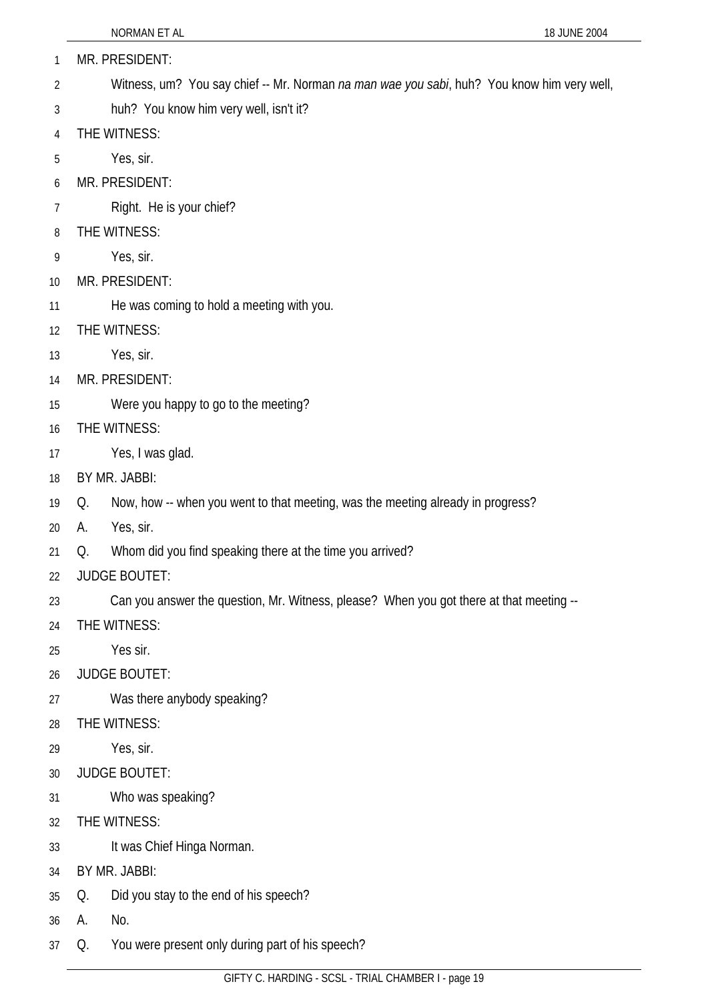| 1              | MR. PRESIDENT:                                                                             |  |  |
|----------------|--------------------------------------------------------------------------------------------|--|--|
| $\overline{2}$ | Witness, um? You say chief -- Mr. Norman na man wae you sabi, huh? You know him very well, |  |  |
| 3              | huh? You know him very well, isn't it?                                                     |  |  |
| 4              | THE WITNESS:                                                                               |  |  |
| 5              | Yes, sir.                                                                                  |  |  |
| 6              | MR. PRESIDENT:                                                                             |  |  |
| 7              | Right. He is your chief?                                                                   |  |  |
| 8              | THE WITNESS:                                                                               |  |  |
| 9              | Yes, sir.                                                                                  |  |  |
| 10             | MR. PRESIDENT:                                                                             |  |  |
| 11             | He was coming to hold a meeting with you.                                                  |  |  |
| 12             | THE WITNESS:                                                                               |  |  |
| 13             | Yes, sir.                                                                                  |  |  |
| 14             | MR. PRESIDENT:                                                                             |  |  |
| 15             | Were you happy to go to the meeting?                                                       |  |  |
| 16             | THE WITNESS:                                                                               |  |  |
| 17             | Yes, I was glad.                                                                           |  |  |
| 18             | BY MR. JABBI:                                                                              |  |  |
| 19             | Now, how -- when you went to that meeting, was the meeting already in progress?<br>Q.      |  |  |
| 20             | Yes, sir.<br>А.                                                                            |  |  |
| 21             | Whom did you find speaking there at the time you arrived?<br>Q.                            |  |  |
| 22             | <b>JUDGE BOUTET:</b>                                                                       |  |  |
| 23             | Can you answer the question, Mr. Witness, please? When you got there at that meeting --    |  |  |
| 24             | THE WITNESS:                                                                               |  |  |
| 25             | Yes sir.                                                                                   |  |  |
| 26             | <b>JUDGE BOUTET:</b>                                                                       |  |  |
| 27             | Was there anybody speaking?                                                                |  |  |
| 28             | THE WITNESS:                                                                               |  |  |
| 29             | Yes, sir.                                                                                  |  |  |
| 30             | <b>JUDGE BOUTET:</b>                                                                       |  |  |
| 31             | Who was speaking?                                                                          |  |  |
| 32             | THE WITNESS:                                                                               |  |  |
| 33             | It was Chief Hinga Norman.                                                                 |  |  |
| 34             | BY MR. JABBI:                                                                              |  |  |
| 35             | Did you stay to the end of his speech?<br>Q.                                               |  |  |
| 36             | No.<br>А.                                                                                  |  |  |
| 37             | You were present only during part of his speech?<br>Q.                                     |  |  |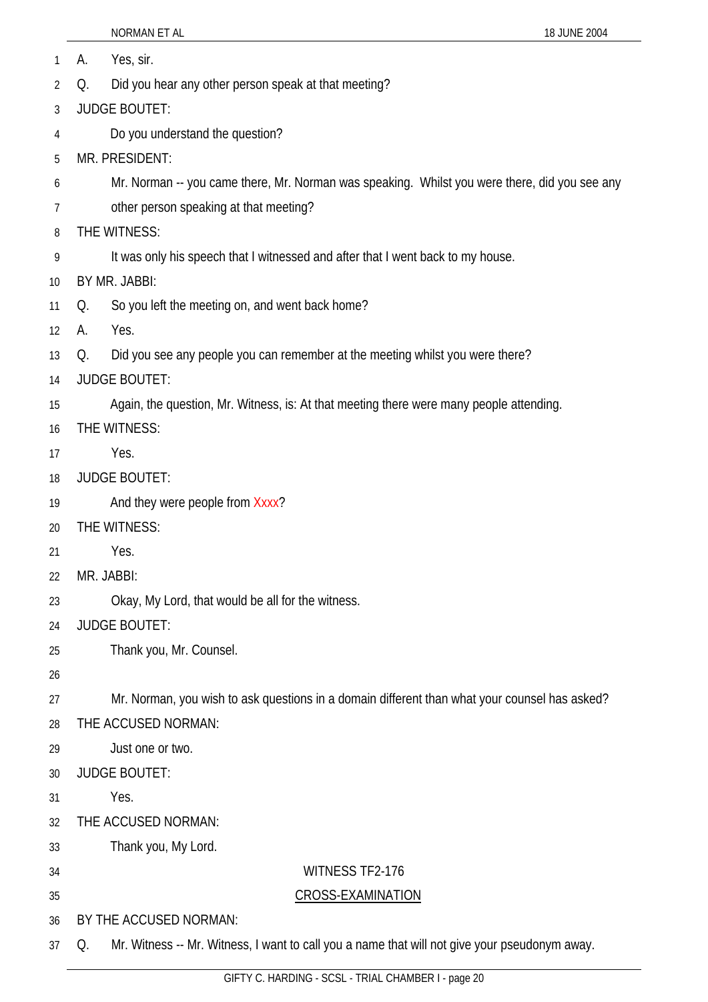- 1 A. Yes, sir.
- 2 Q. Did you hear any other person speak at that meeting?
- 3 JUDGE BOUTET:
- 4 Do you understand the question?
- 5 MR. PRESIDENT:
- 6 Mr. Norman -- you came there, Mr. Norman was speaking. Whilst you were there, did you see any
- 7 other person speaking at that meeting?
- 8 THE WITNESS:
- 9 It was only his speech that I witnessed and after that I went back to my house.
- 10 BY MR. JABBI:
- 11 Q. So you left the meeting on, and went back home?
- 12 A. Yes.
- 13 Q. Did you see any people you can remember at the meeting whilst you were there?
- 14 JUDGE BOUTET:
- 15 Again, the question, Mr. Witness, is: At that meeting there were many people attending.
- 16 THE WITNESS:
- 17 Yes.
- 18 JUDGE BOUTET:
- 19 And they were people from Xxxx?
- 20 THE WITNESS:
- 21 Yes.
- $22$ MR. JABBI:
- 23 Okay, My Lord, that would be all for the witness.
- 24 JUDGE BOUTET:
- 25 Thank you, Mr. Counsel.
- 26
- 27 Mr. Norman, you wish to ask questions in a domain different than what your counsel has asked?
- 28 THE ACCUSED NORMAN:
- 29 Just one or two.
- 30 JUDGE BOUTET:
- 31 Yes.
- 32 THE ACCUSED NORMAN:
- 33 Thank you, My Lord.
- 34
- 35 CROSS-EXAMINATION

### WITNESS TF2-176

- 36 BY THE ACCUSED NORMAN:
- 37 Q. Mr. Witness -- Mr. Witness, I want to call you a name that will not give your pseudonym away.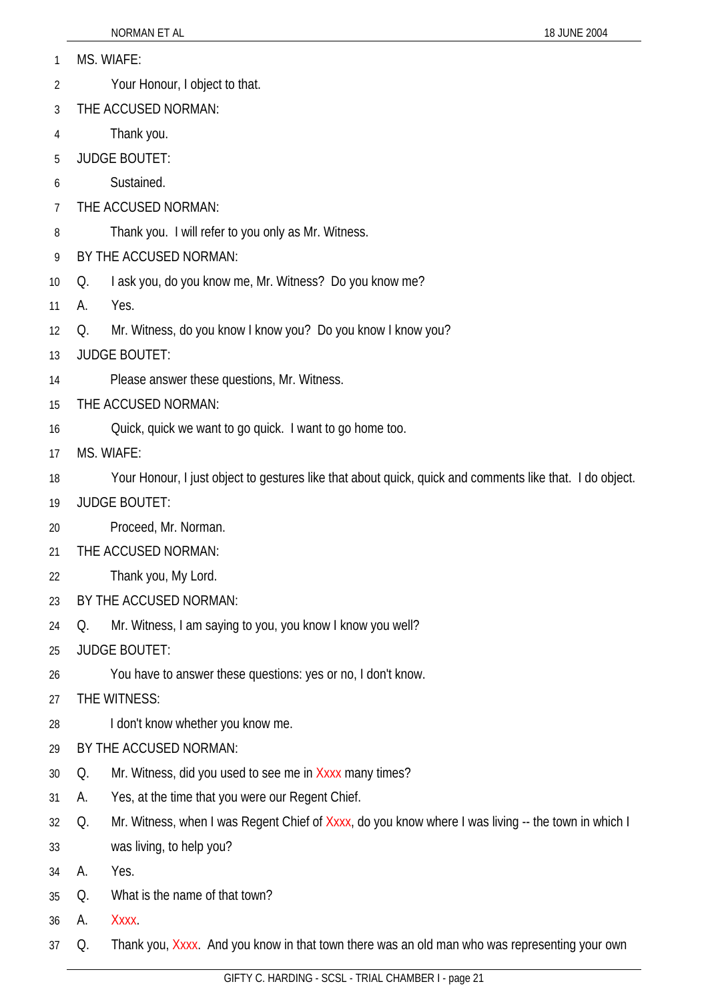- MS. WIAFE: 1
- Your Honour, I object to that. 2
- 3 THE ACCUSED NORMAN:
- 4 Thank you.
- 5 JUDGE BOUTET:
- 6 Sustained.
- 7 THE ACCUSED NORMAN:
- 8 Thank you. I will refer to you only as Mr. Witness.
- 9 BY THE ACCUSED NORMAN:
- 10 Q. I ask you, do you know me, Mr. Witness? Do you know me?
- 11 A. Yes.
- 12 Q. Mr. Witness, do you know I know you? Do you know I know you?
- 13 JUDGE BOUTET:
- 14 Please answer these questions, Mr. Witness.
- 15 THE ACCUSED NORMAN:
- 16 Quick, quick we want to go quick. I want to go home too.
- 17 MS. WIAFE:
- 18 Your Honour, I just object to gestures like that about quick, quick and comments like that. I do object.
- 19 JUDGE BOUTET:
- 20 Proceed, Mr. Norman.
- 21 THE ACCUSED NORMAN:
- 22 Thank you, My Lord.
- 23 BY THE ACCUSED NORMAN:
- 24 Q. Mr. Witness, I am saying to you, you know I know you well?
- 25 JUDGE BOUTET:
- 26 You have to answer these questions: yes or no, I don't know.
- 27 THE WITNESS:
- 28 I don't know whether you know me.
- 29 BY THE ACCUSED NORMAN:
- 30 Q. Mr. Witness, did you used to see me in Xxxx many times?
- 31 A. Yes, at the time that you were our Regent Chief.
- 32 Q. Mr. Witness, when I was Regent Chief of Xxxx, do you know where I was living -- the town in which I
- 33 was living, to help you?
- 34 A. Yes.
- 35 Q. What is the name of that town?
- 36 A. Xxxx.
- 37 Q. Thank you, Xxxx. And you know in that town there was an old man who was representing your own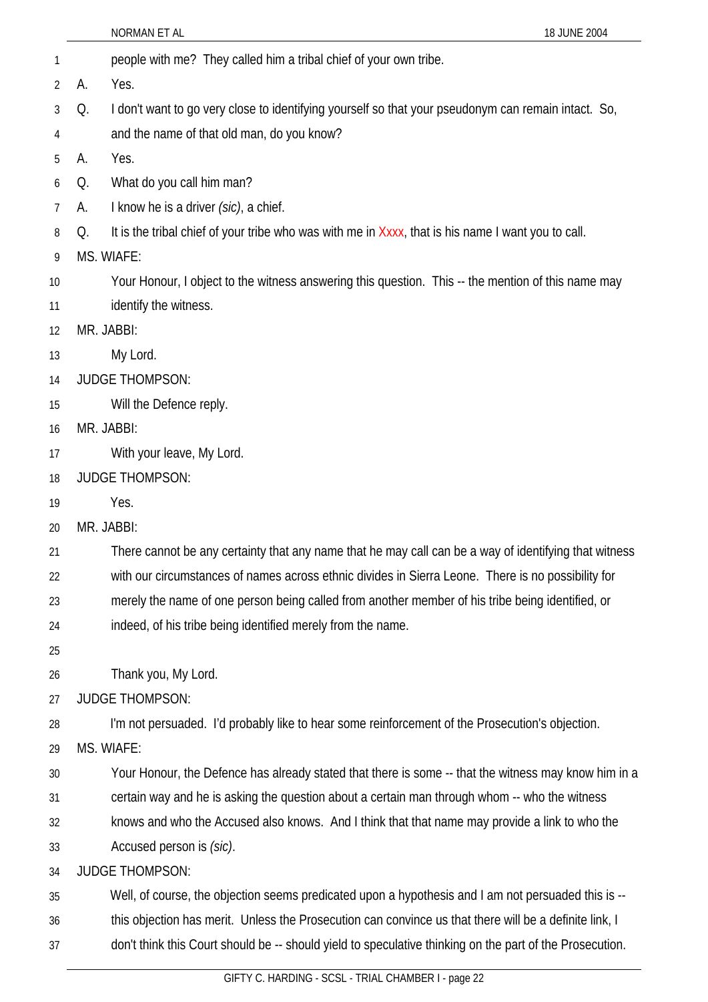|    |    | NORMAN ET AL<br>18 JUNE 2004                                                                             |
|----|----|----------------------------------------------------------------------------------------------------------|
| 1  |    | people with me? They called him a tribal chief of your own tribe.                                        |
| 2  | А. | Yes.                                                                                                     |
| 3  | Q. | I don't want to go very close to identifying yourself so that your pseudonym can remain intact. So,      |
| 4  |    | and the name of that old man, do you know?                                                               |
| 5  | А. | Yes.                                                                                                     |
| 6  | Q. | What do you call him man?                                                                                |
| 7  | А. | I know he is a driver (sic), a chief.                                                                    |
| 8  | Q. | It is the tribal chief of your tribe who was with me in Xxxx, that is his name I want you to call.       |
| 9  |    | MS. WIAFE:                                                                                               |
| 10 |    | Your Honour, I object to the witness answering this question. This -- the mention of this name may       |
| 11 |    | identify the witness.                                                                                    |
| 12 |    | MR. JABBI:                                                                                               |
| 13 |    | My Lord.                                                                                                 |
| 14 |    | <b>JUDGE THOMPSON:</b>                                                                                   |
| 15 |    | Will the Defence reply.                                                                                  |
| 16 |    | MR. JABBI:                                                                                               |
| 17 |    | With your leave, My Lord.                                                                                |
| 18 |    | <b>JUDGE THOMPSON:</b>                                                                                   |
| 19 |    | Yes.                                                                                                     |
| 20 |    | MR. JABBI:                                                                                               |
| 21 |    | There cannot be any certainty that any name that he may call can be a way of identifying that witness    |
| 22 |    | with our circumstances of names across ethnic divides in Sierra Leone. There is no possibility for       |
| 23 |    | merely the name of one person being called from another member of his tribe being identified, or         |
| 24 |    | indeed, of his tribe being identified merely from the name.                                              |
| 25 |    |                                                                                                          |
| 26 |    | Thank you, My Lord.                                                                                      |
| 27 |    | <b>JUDGE THOMPSON:</b>                                                                                   |
| 28 |    | I'm not persuaded. I'd probably like to hear some reinforcement of the Prosecution's objection.          |
| 29 |    | MS. WIAFE:                                                                                               |
| 30 |    | Your Honour, the Defence has already stated that there is some -- that the witness may know him in a     |
| 31 |    | certain way and he is asking the question about a certain man through whom -- who the witness            |
| 32 |    | knows and who the Accused also knows. And I think that that name may provide a link to who the           |
| 33 |    | Accused person is (sic).                                                                                 |
| 34 |    | <b>JUDGE THOMPSON:</b>                                                                                   |
| 35 |    | Well, of course, the objection seems predicated upon a hypothesis and I am not persuaded this is --      |
| 36 |    | this objection has merit. Unless the Prosecution can convince us that there will be a definite link, I   |
| 37 |    | don't think this Court should be -- should yield to speculative thinking on the part of the Prosecution. |
|    |    |                                                                                                          |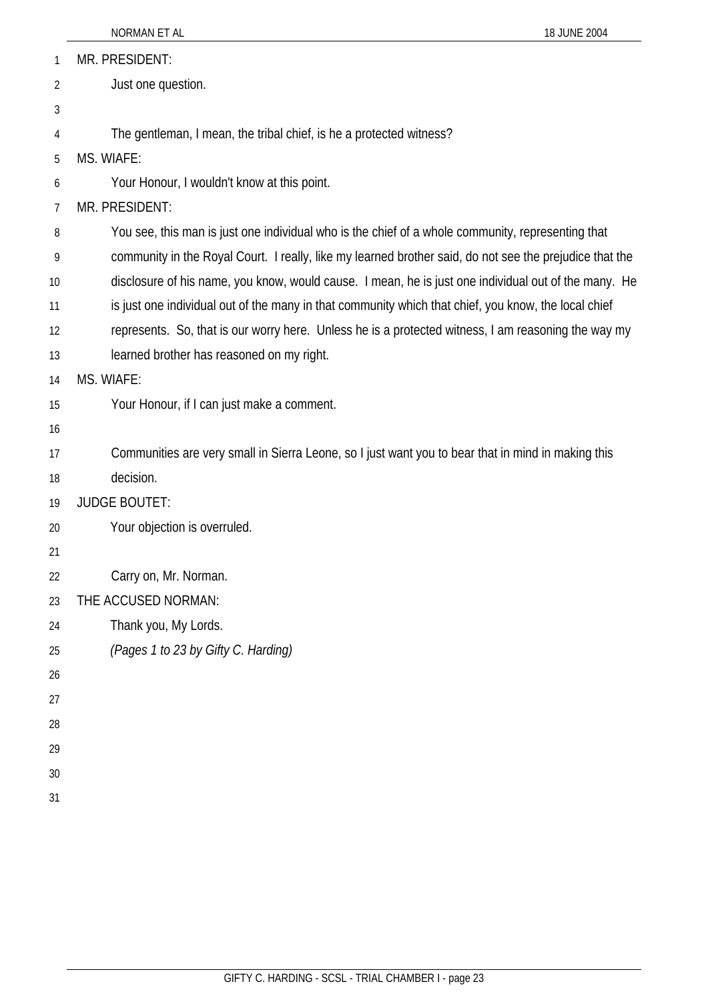|    | NORMAN ET AL<br>18 JUNE 2004                                                                            |
|----|---------------------------------------------------------------------------------------------------------|
| 1  | MR. PRESIDENT:                                                                                          |
| 2  | Just one question.                                                                                      |
| 3  |                                                                                                         |
| 4  | The gentleman, I mean, the tribal chief, is he a protected witness?                                     |
| 5  | MS. WIAFE:                                                                                              |
| 6  | Your Honour, I wouldn't know at this point.                                                             |
| 7  | MR. PRESIDENT:                                                                                          |
| 8  | You see, this man is just one individual who is the chief of a whole community, representing that       |
| 9  | community in the Royal Court. I really, like my learned brother said, do not see the prejudice that the |
| 10 | disclosure of his name, you know, would cause. I mean, he is just one individual out of the many. He    |
| 11 | is just one individual out of the many in that community which that chief, you know, the local chief    |
| 12 | represents. So, that is our worry here. Unless he is a protected witness, I am reasoning the way my     |
| 13 | learned brother has reasoned on my right.                                                               |
| 14 | MS. WIAFE:                                                                                              |
| 15 | Your Honour, if I can just make a comment.                                                              |
| 16 |                                                                                                         |
| 17 | Communities are very small in Sierra Leone, so I just want you to bear that in mind in making this      |
| 18 | decision.                                                                                               |
| 19 | <b>JUDGE BOUTET:</b>                                                                                    |
| 20 | Your objection is overruled.                                                                            |
| 21 |                                                                                                         |
| 22 | Carry on, Mr. Norman.                                                                                   |
| 23 | THE ACCUSED NORMAN:                                                                                     |
| 24 | Thank you, My Lords.                                                                                    |
| 25 | (Pages 1 to 23 by Gifty C. Harding)                                                                     |
| 26 |                                                                                                         |
| 27 |                                                                                                         |
| 28 |                                                                                                         |
| 29 |                                                                                                         |
| 30 |                                                                                                         |
| 31 |                                                                                                         |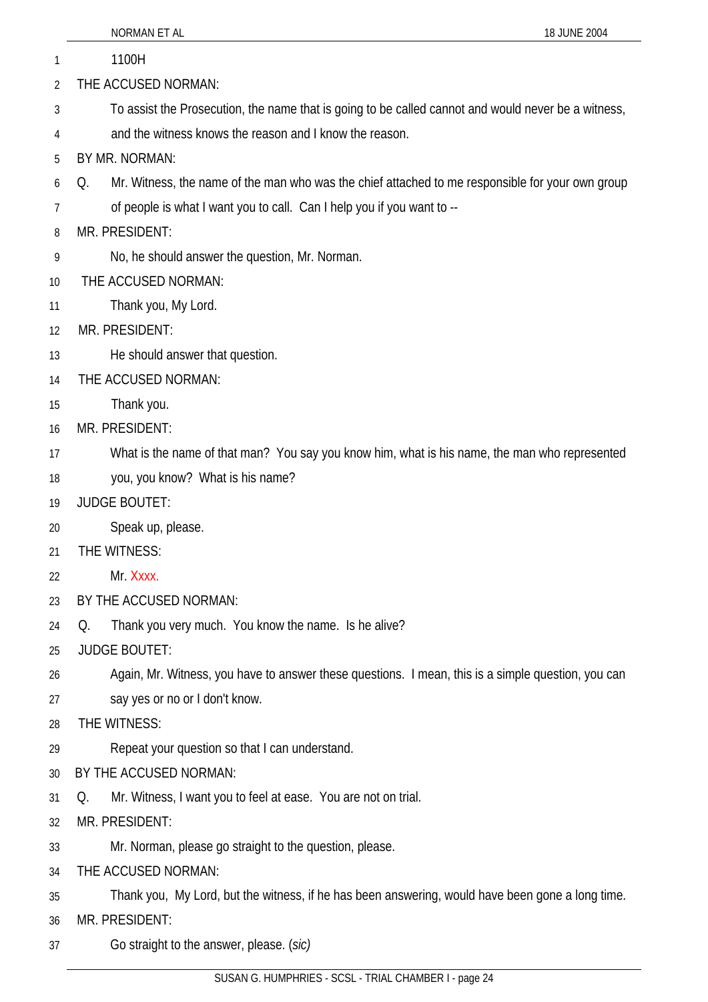|    | NORMAN ET AL<br>18 JUNE 2004                                                                           |
|----|--------------------------------------------------------------------------------------------------------|
| 1  | 1100H                                                                                                  |
| 2  | THE ACCUSED NORMAN:                                                                                    |
| 3  | To assist the Prosecution, the name that is going to be called cannot and would never be a witness,    |
| 4  | and the witness knows the reason and I know the reason.                                                |
| 5  | BY MR. NORMAN:                                                                                         |
| 6  | Mr. Witness, the name of the man who was the chief attached to me responsible for your own group<br>Q. |
| 7  | of people is what I want you to call. Can I help you if you want to --                                 |
| 8  | MR. PRESIDENT:                                                                                         |
| 9  | No, he should answer the question, Mr. Norman.                                                         |
| 10 | THE ACCUSED NORMAN:                                                                                    |
| 11 | Thank you, My Lord.                                                                                    |
| 12 | MR. PRESIDENT:                                                                                         |
| 13 | He should answer that question.                                                                        |
| 14 | THE ACCUSED NORMAN:                                                                                    |
| 15 | Thank you.                                                                                             |
| 16 | MR. PRESIDENT:                                                                                         |
| 17 | What is the name of that man? You say you know him, what is his name, the man who represented          |
| 18 | you, you know? What is his name?                                                                       |
| 19 | <b>JUDGE BOUTET:</b>                                                                                   |
| 20 | Speak up, please.                                                                                      |
| 21 | THE WITNESS:                                                                                           |
| 22 | Mr Xxxx.                                                                                               |
| 23 | BY THE ACCUSED NORMAN:                                                                                 |
| 24 | Thank you very much. You know the name. Is he alive?<br>Q.                                             |
| 25 | <b>JUDGE BOUTET:</b>                                                                                   |
| 26 | Again, Mr. Witness, you have to answer these questions. I mean, this is a simple question, you can     |
| 27 | say yes or no or I don't know.                                                                         |
| 28 | THE WITNESS:                                                                                           |
| 29 | Repeat your question so that I can understand.                                                         |
| 30 | BY THE ACCUSED NORMAN:                                                                                 |
| 31 | Mr. Witness, I want you to feel at ease. You are not on trial.<br>Q.                                   |
| 32 | MR. PRESIDENT:                                                                                         |
| 33 | Mr. Norman, please go straight to the question, please.                                                |
| 34 | THE ACCUSED NORMAN:                                                                                    |
| 35 | Thank you, My Lord, but the witness, if he has been answering, would have been gone a long time.       |
| 36 | MR. PRESIDENT:                                                                                         |
| 37 | Go straight to the answer, please. (sic)                                                               |
|    |                                                                                                        |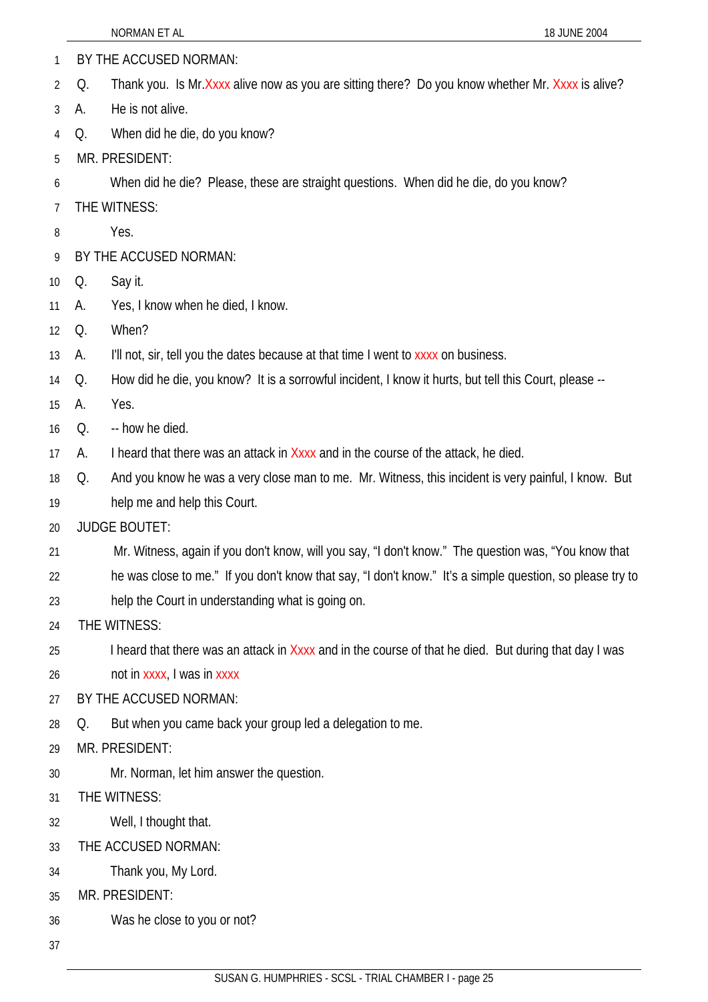- 1 BY THE ACCUSED NORMAN:
- 2 Q. Thank you. Is Mr. Xxxx alive now as you are sitting there? Do you know whether Mr. Xxxx is alive?
- 3 A. He is not alive.
- 4 Q. When did he die, do you know?
- 5 MR. PRESIDENT:
- 6 When did he die? Please, these are straight questions. When did he die, do you know?
- 7 THE WITNESS:
- 8 Yes.
- 9 BY THE ACCUSED NORMAN:
- 10 Q. Say it.
- 11 A. Yes, I know when he died, I know.
- 12 Q. When?
- 13 A. I'll not, sir, tell you the dates because at that time I went to xxxx on business.
- 14 Q. How did he die, you know? It is a sorrowful incident, I know it hurts, but tell this Court, please --
- 15 A. Yes.
- 16 Q. -- how he died.
- 17 A. I heard that there was an attack in Xxxx and in the course of the attack, he died.
- 18 Q. And you know he was a very close man to me. Mr. Witness, this incident is very painful, I know. But
- 19 help me and help this Court.
- 20 JUDGE BOUTET:
- 21 Mr. Witness, again if you don't know, will you say, "I don't know." The question was, "You know that
- 22 he was close to me." If you don't know that say, "I don't know." It's a simple question, so please try to
- 23 help the Court in understanding what is going on.
- 24 THE WITNESS:
- 25 I heard that there was an attack in Xxxx and in the course of that he died. But during that day I was
- 26 not in xxxx, I was in xxxx
- 27 BY THE ACCUSED NORMAN:
- 28 Q. But when you came back your group led a delegation to me.
- 29 MR. PRESIDENT:
- 30 Mr. Norman, let him answer the question.
- 31 THE WITNESS:
- 32 Well, I thought that.
- 33 THE ACCUSED NORMAN:
- 34 Thank you, My Lord.
- 35 MR. PRESIDENT:
- 36 Was he close to you or not?
- 37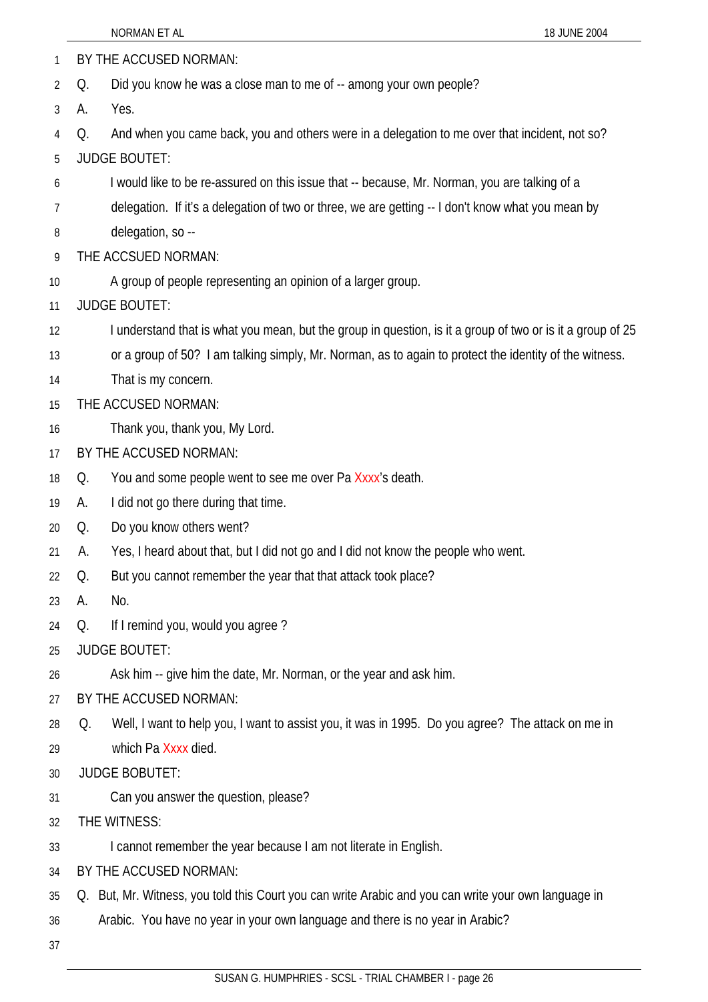- 1 BY THE ACCUSED NORMAN:
- 2 Q. Did you know he was a close man to me of -- among your own people?
- 3 A. Yes.
- 4 Q. And when you came back, you and others were in a delegation to me over that incident, not so?
- 5 JUDGE BOUTET:
- 6 I would like to be re-assured on this issue that -- because, Mr. Norman, you are talking of a
- 7 delegation. If it's a delegation of two or three, we are getting -- I don't know what you mean by
- 8 delegation, so --
- 9 THE ACCSUED NORMAN:
- 10 A group of people representing an opinion of a larger group.
- 11 JUDGE BOUTET:
- 12 I understand that is what you mean, but the group in question, is it a group of two or is it a group of 25
- 13 or a group of 50? I am talking simply, Mr. Norman, as to again to protect the identity of the witness.
- 14 That is my concern.
- 15 THE ACCUSED NORMAN:
- 16 Thank you, thank you, My Lord.
- 17 BY THE ACCUSED NORMAN:
- 18 Q. You and some people went to see me over Pa Xxxx's death.
- 19 A. I did not go there during that time.
- 20 Q. Do you know others went?
- 21 A. Yes, I heard about that, but I did not go and I did not know the people who went.
- 22 Q. But you cannot remember the year that that attack took place?
- 23 A. No.
- 24 Q. If I remind you, would you agree ?
- 25 JUDGE BOUTET:
- 26 Ask him -- give him the date, Mr. Norman, or the year and ask him.
- 27 BY THE ACCUSED NORMAN:
- 28 Q. Well, I want to help you, I want to assist you, it was in 1995. Do you agree? The attack on me in
- 29 which Pa Xxxx died.
- 30 JUDGE BOBUTET:
- 31 Can you answer the question, please?
- 32 THE WITNESS:
- 33 I cannot remember the year because I am not literate in English.
- 34 BY THE ACCUSED NORMAN:
- 35 Q. But, Mr. Witness, you told this Court you can write Arabic and you can write your own language in
- 36 Arabic. You have no year in your own language and there is no year in Arabic?
- 37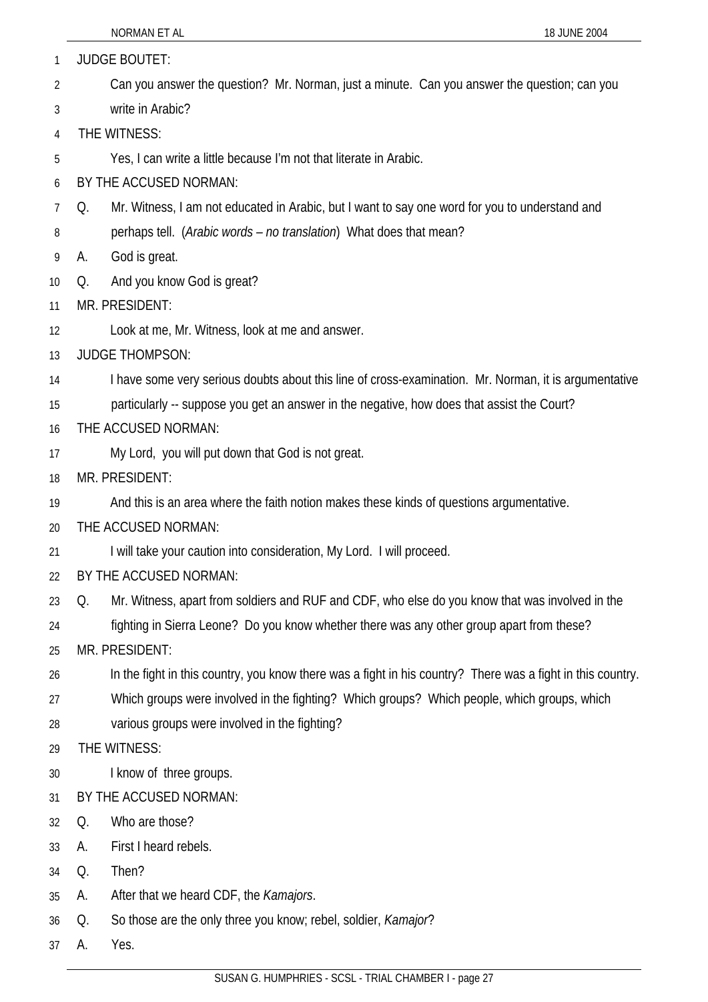1 JUDGE BOUTET:

- 2 Can you answer the question? Mr. Norman, just a minute. Can you answer the question; can you
- 3 write in Arabic?
- 4 THE WITNESS:
- 5 Yes, I can write a little because I'm not that literate in Arabic.
- 6 BY THE ACCUSED NORMAN:
- 7 Q. Mr. Witness, I am not educated in Arabic, but I want to say one word for you to understand and
- 8 perhaps tell. (*Arabic words – no translation*) What does that mean?
- 9 A. God is great.
- 10 Q. And you know God is great?
- 11 MR. PRESIDENT:
- 12 Look at me, Mr. Witness, look at me and answer.
- 13 JUDGE THOMPSON:
- 14 I have some very serious doubts about this line of cross-examination. Mr. Norman, it is argumentative
- 15 particularly -- suppose you get an answer in the negative, how does that assist the Court?
- 16 THE ACCUSED NORMAN:
- 17 My Lord, you will put down that God is not great.
- 18 MR. PRESIDENT:
- 19 And this is an area where the faith notion makes these kinds of questions argumentative.
- 20 THE ACCUSED NORMAN:
- 21 I will take your caution into consideration, My Lord. I will proceed.
- 22 BY THE ACCUSED NORMAN:
- 23 Q. Mr. Witness, apart from soldiers and RUF and CDF, who else do you know that was involved in the
- 24 fighting in Sierra Leone? Do you know whether there was any other group apart from these?
- 25 MR. PRESIDENT:
- 26 In the fight in this country, you know there was a fight in his country? There was a fight in this country.
- 27 Which groups were involved in the fighting? Which groups? Which people, which groups, which
- 28 various groups were involved in the fighting?
- 29 THE WITNESS:
- 30 I know of three groups.
- 31 BY THE ACCUSED NORMAN:
- 32 Q. Who are those?
- 33 A. First I heard rebels.
- 34 Q. Then?
- 35 A. After that we heard CDF, the *Kamajors*.
- 36 Q. So those are the only three you know; rebel, soldier, *Kamajor*?
- 37 A. Yes.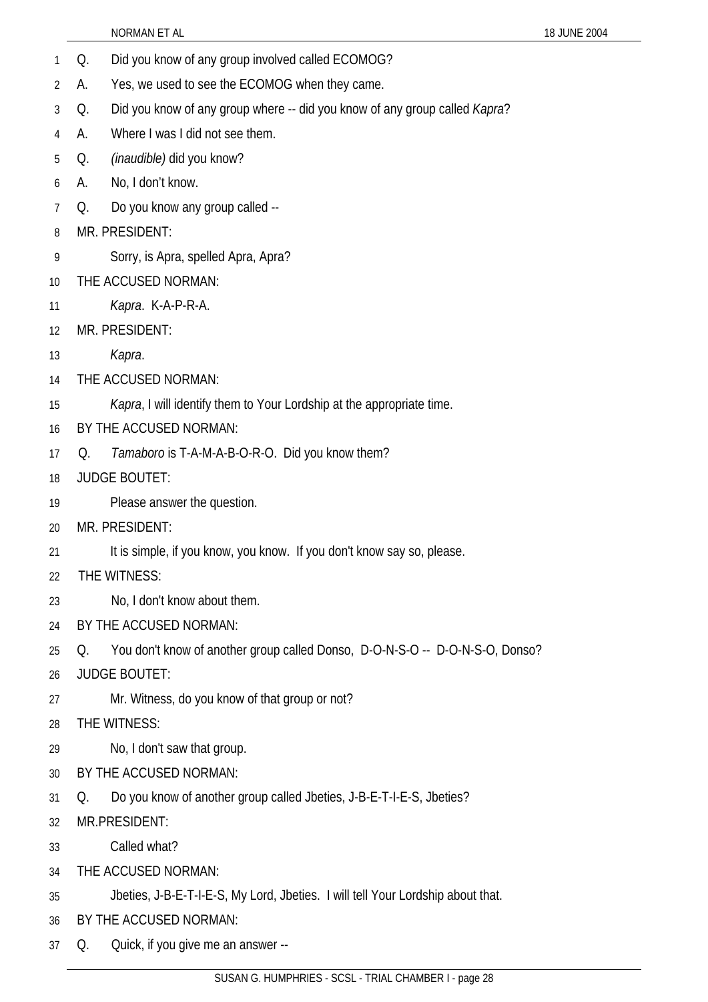- 1 Q. Did you know of any group involved called ECOMOG?
- 2 A. Yes, we used to see the ECOMOG when they came.
- 3 Q. Did you know of any group where -- did you know of any group called *Kapra*?
- 4 A. Where I was I did not see them.
- 5 Q. *(inaudible)* did you know?
- 6 A. No, I don't know.
- 7 Q. Do you know any group called --
- 8 MR. PRESIDENT:
- 9 Sorry, is Apra, spelled Apra, Apra?
- 10 THE ACCUSED NORMAN:
- 11 *Kapra*. K-A-P-R-A.
- 12 MR. PRESIDENT:
- 13 *Kapra*.
- 14 THE ACCUSED NORMAN:
- 15 *Kapra*, I will identify them to Your Lordship at the appropriate time.
- 16 BY THE ACCUSED NORMAN:
- 17 Q. *Tamaboro* is T-A-M-A-B-O-R-O. Did you know them?
- 18 JUDGE BOUTET:
- 19 Please answer the question.
- 20 MR. PRESIDENT:
- 21 It is simple, if you know, you know. If you don't know say so, please.
- 22 THE WITNESS:
- 23 No, I don't know about them.
- 24 BY THE ACCUSED NORMAN:
- 25 Q. You don't know of another group called Donso, D-O-N-S-O -- D-O-N-S-O, Donso?
- 26 JUDGE BOUTET:
- 27 Mr. Witness, do you know of that group or not?
- 28 THE WITNESS:
- 29 No, I don't saw that group.
- 30 BY THE ACCUSED NORMAN:
- 31 Q. Do you know of another group called Jbeties, J-B-E-T-I-E-S, Jbeties?
- 32 MR.PRESIDENT:
- 33 Called what?
- 34 THE ACCUSED NORMAN:
- 35 Jbeties, J-B-E-T-I-E-S, My Lord, Jbeties. I will tell Your Lordship about that.
- 36 BY THE ACCUSED NORMAN:
- 37 Q. Quick, if you give me an answer --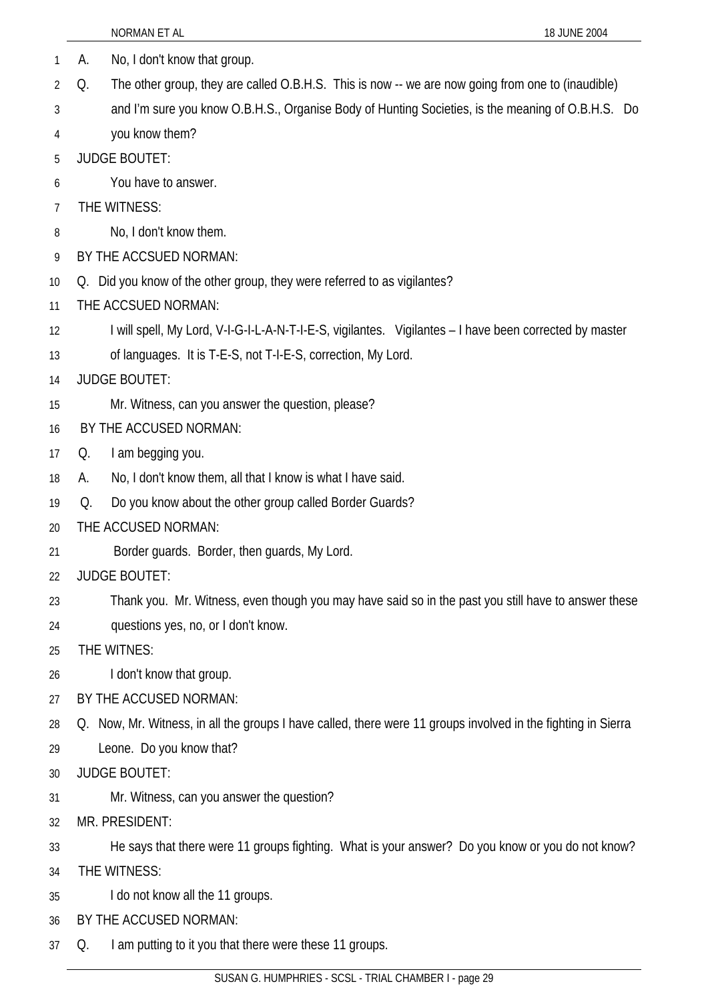|    |    | NORMAN ET AL                                                                                                  | 18 JUNE 2004 |
|----|----|---------------------------------------------------------------------------------------------------------------|--------------|
| 1  | А. | No, I don't know that group.                                                                                  |              |
| 2  | Q. | The other group, they are called O.B.H.S. This is now -- we are now going from one to (inaudible)             |              |
| 3  |    | and I'm sure you know O.B.H.S., Organise Body of Hunting Societies, is the meaning of O.B.H.S. Do             |              |
| 4  |    | you know them?                                                                                                |              |
| 5  |    | <b>JUDGE BOUTET:</b>                                                                                          |              |
| 6  |    | You have to answer.                                                                                           |              |
| 7  |    | THE WITNESS:                                                                                                  |              |
| 8  |    | No, I don't know them.                                                                                        |              |
| 9  |    | BY THE ACCSUED NORMAN:                                                                                        |              |
| 10 |    | Q. Did you know of the other group, they were referred to as vigilantes?                                      |              |
| 11 |    | THE ACCSUED NORMAN:                                                                                           |              |
| 12 |    | I will spell, My Lord, V-I-G-I-L-A-N-T-I-E-S, vigilantes. Vigilantes - I have been corrected by master        |              |
| 13 |    | of languages. It is T-E-S, not T-I-E-S, correction, My Lord.                                                  |              |
| 14 |    | <b>JUDGE BOUTET:</b>                                                                                          |              |
| 15 |    | Mr. Witness, can you answer the question, please?                                                             |              |
| 16 |    | BY THE ACCUSED NORMAN:                                                                                        |              |
| 17 | Q. | I am begging you.                                                                                             |              |
| 18 | А. | No, I don't know them, all that I know is what I have said.                                                   |              |
| 19 | Q. | Do you know about the other group called Border Guards?                                                       |              |
| 20 |    | THE ACCUSED NORMAN:                                                                                           |              |
| 21 |    | Border guards. Border, then guards, My Lord.                                                                  |              |
| 22 |    | <b>JUDGE BOUTET:</b>                                                                                          |              |
| 23 |    | Thank you. Mr. Witness, even though you may have said so in the past you still have to answer these           |              |
| 24 |    | questions yes, no, or I don't know.                                                                           |              |
| 25 |    | THE WITNES:                                                                                                   |              |
| 26 |    | I don't know that group.                                                                                      |              |
| 27 |    | BY THE ACCUSED NORMAN:                                                                                        |              |
| 28 |    | Q. Now, Mr. Witness, in all the groups I have called, there were 11 groups involved in the fighting in Sierra |              |
| 29 |    | Leone. Do you know that?                                                                                      |              |
| 30 |    | <b>JUDGE BOUTET:</b>                                                                                          |              |
| 31 |    | Mr. Witness, can you answer the question?                                                                     |              |
| 32 |    | MR. PRESIDENT:                                                                                                |              |
| 33 |    | He says that there were 11 groups fighting. What is your answer? Do you know or you do not know?              |              |
| 34 |    | THE WITNESS:                                                                                                  |              |
| 35 |    | I do not know all the 11 groups.                                                                              |              |
| 36 |    | BY THE ACCUSED NORMAN:                                                                                        |              |
| 37 | Q. | I am putting to it you that there were these 11 groups.                                                       |              |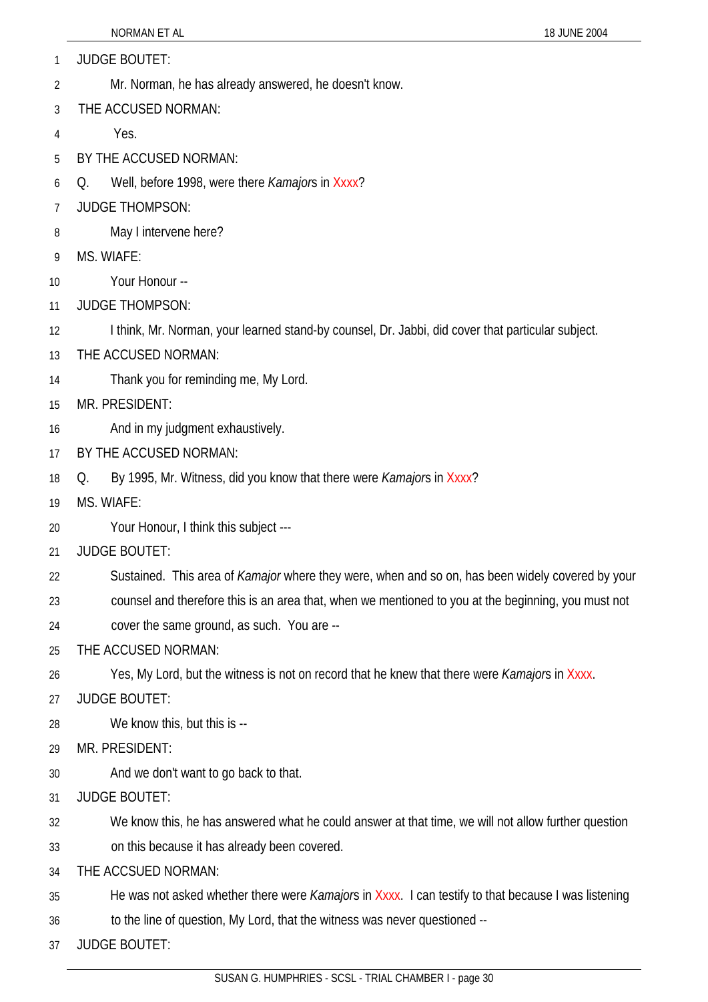1 JUDGE BOUTET:

- 2 Mr. Norman, he has already answered, he doesn't know.
- 3 THE ACCUSED NORMAN:
- 4 Yes.
- 5 BY THE ACCUSED NORMAN:
- 6 Q. Well, before 1998, were there *Kamajor*s in Xxxx?
- 7 JUDGE THOMPSON:
- 8 May I intervene here?
- 9 MS. WIAFE:
- 10 Your Honour --
- 11 JUDGE THOMPSON:
- 12 I think, Mr. Norman, your learned stand-by counsel, Dr. Jabbi, did cover that particular subject.
- 13 THE ACCUSED NORMAN:
- 14 Thank you for reminding me, My Lord.
- 15 MR. PRESIDENT:
- 16 And in my judgment exhaustively.
- 17 BY THE ACCUSED NORMAN:
- 18 Q. By 1995, Mr. Witness, did you know that there were *Kamajor*s in Xxxx?
- 19 MS. WIAFE:
- 20 Your Honour, I think this subject ---
- 21 JUDGE BOUTET:
- 22 Sustained. This area of *Kamajor* where they were, when and so on, has been widely covered by your
- 23 counsel and therefore this is an area that, when we mentioned to you at the beginning, you must not
- 24 cover the same ground, as such. You are --
- 25 THE ACCUSED NORMAN:
- 26 Yes, My Lord, but the witness is not on record that he knew that there were *Kamajor*s in Xxxx.
- 27 JUDGE BOUTET:
- 28 We know this, but this is --
- 29 MR. PRESIDENT:
- 30 And we don't want to go back to that.
- 31 JUDGE BOUTET:
- 32 We know this, he has answered what he could answer at that time, we will not allow further question
- 33 on this because it has already been covered.
- 34 THE ACCSUED NORMAN:
- 35 He was not asked whether there were *Kamajor*s in Xxxx. I can testify to that because I was listening
- 36 to the line of question, My Lord, that the witness was never questioned --
- 37 JUDGE BOUTET: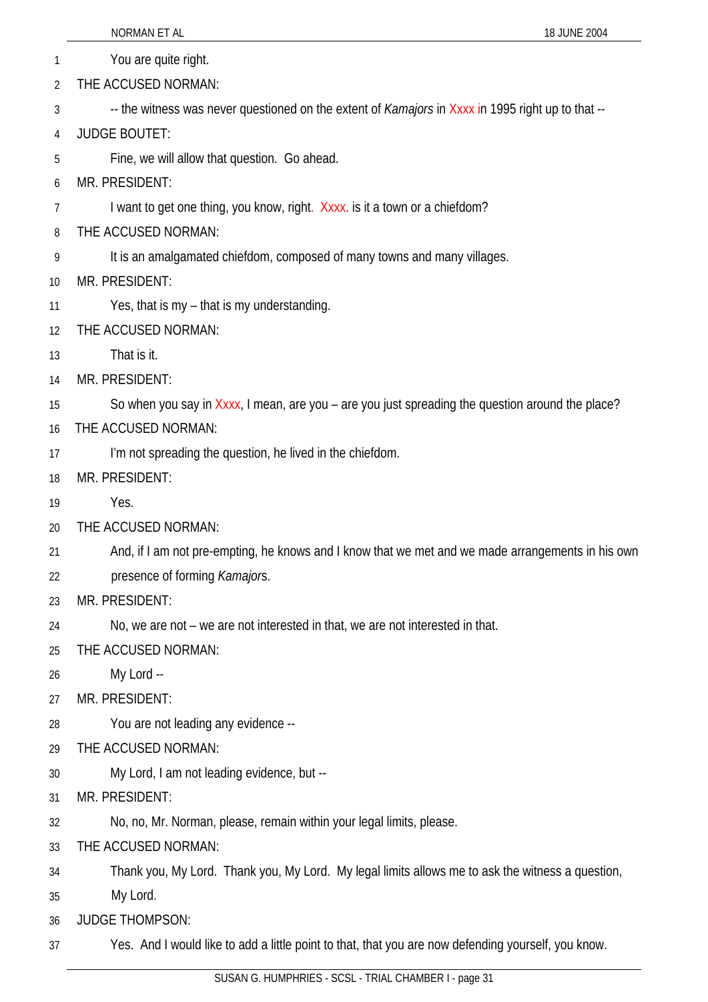- 1 You are quite right.
- 2 THE ACCUSED NORMAN:
- 3 -- the witness was never questioned on the extent of *Kamajors* in Xxxx in 1995 right up to that --
- 4 JUDGE BOUTET:
- 5 Fine, we will allow that question. Go ahead.
- 6 MR. PRESIDENT:
- 7 I want to get one thing, you know, right. Xxxx. is it a town or a chiefdom?
- 8 THE ACCUSED NORMAN:
- 9 It is an amalgamated chiefdom, composed of many towns and many villages.
- 10 MR. PRESIDENT:
- 11 Yes, that is my – that is my understanding.
- 12 THE ACCUSED NORMAN:
- 13 That is it.
- 14 MR. PRESIDENT:
- 15 So when you say in Xxxx, I mean, are you – are you just spreading the question around the place?
- 16 THE ACCUSED NORMAN:
- 17 I'm not spreading the question, he lived in the chiefdom.
- 18 MR. PRESIDENT:
- 19 Yes.
- 20 THE ACCUSED NORMAN:
- 21 And, if I am not pre-empting, he knows and I know that we met and we made arrangements in his own
- 22 presence of forming *Kamajor*s.
- 23 MR. PRESIDENT:
- 24 No, we are not – we are not interested in that, we are not interested in that.
- 25 THE ACCUSED NORMAN:
- 26 My Lord --
- 27 MR. PRESIDENT:
- 28 You are not leading any evidence --
- 29 THE ACCUSED NORMAN:
- 30 My Lord, I am not leading evidence, but --
- 31 MR. PRESIDENT:
- 32 No, no, Mr. Norman, please, remain within your legal limits, please.
- 33 THE ACCUSED NORMAN:
- 34 Thank you, My Lord. Thank you, My Lord. My legal limits allows me to ask the witness a question,
- 35 My Lord.
- 36 JUDGE THOMPSON:
- 37 Yes. And I would like to add a little point to that, that you are now defending yourself, you know.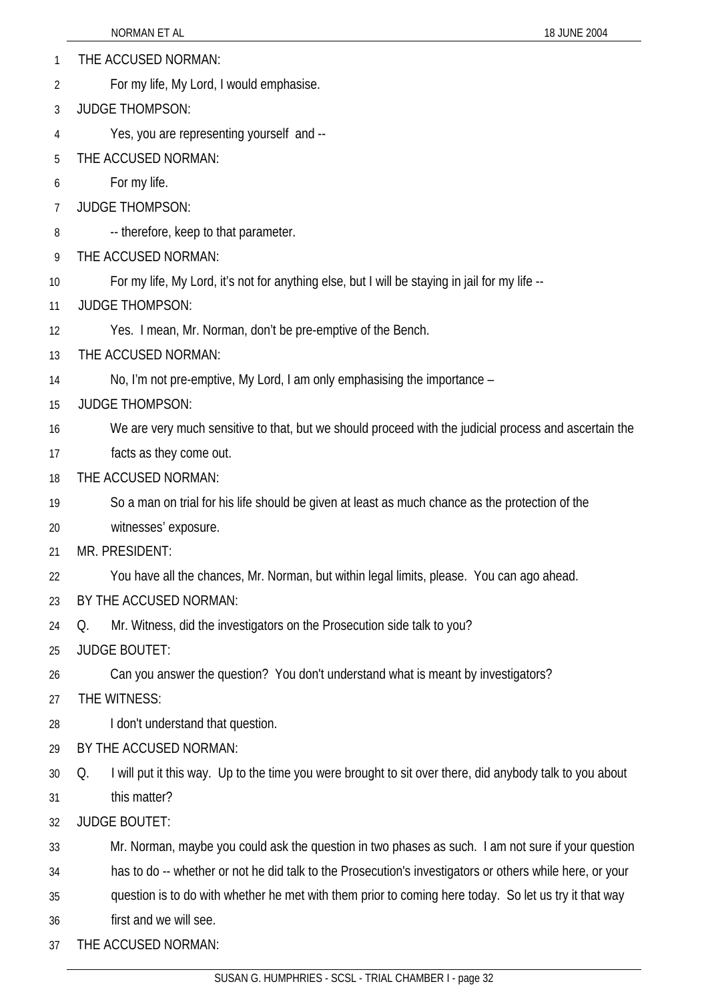- 1 THE ACCUSED NORMAN:
- 2 For my life, My Lord, I would emphasise.
- 3 JUDGE THOMPSON:
- 4 Yes, you are representing yourself and --
- 5 THE ACCUSED NORMAN:
- 6 For my life.
- 7 JUDGE THOMPSON:
- 8 -- therefore, keep to that parameter.
- 9 THE ACCUSED NORMAN:
- 10 For my life, My Lord, it's not for anything else, but I will be staying in jail for my life --
- 11 JUDGE THOMPSON:
- 12 Yes. I mean, Mr. Norman, don't be pre-emptive of the Bench.
- 13 THE ACCUSED NORMAN:
- 14 No, I'm not pre-emptive, My Lord, I am only emphasising the importance –
- 15 JUDGE THOMPSON:
- 16 We are very much sensitive to that, but we should proceed with the judicial process and ascertain the
- 17 facts as they come out.
- 18 THE ACCUSED NORMAN:
- 19 So a man on trial for his life should be given at least as much chance as the protection of the
- 20 witnesses' exposure.
- 21 MR. PRESIDENT:
- 22 You have all the chances, Mr. Norman, but within legal limits, please. You can ago ahead.
- 23 BY THE ACCUSED NORMAN:
- 24 Q. Mr. Witness, did the investigators on the Prosecution side talk to you?
- 25 JUDGE BOUTET:
- 26 Can you answer the question? You don't understand what is meant by investigators?
- 27 THE WITNESS:
- 28 I don't understand that question.
- 29 BY THE ACCUSED NORMAN:
- 30 31 Q. I will put it this way. Up to the time you were brought to sit over there, did anybody talk to you about this matter?
- 32 JUDGE BOUTET:
- 33 Mr. Norman, maybe you could ask the question in two phases as such. I am not sure if your question
- 34 has to do -- whether or not he did talk to the Prosecution's investigators or others while here, or your
- 35 question is to do with whether he met with them prior to coming here today. So let us try it that way
- 36 first and we will see.
- 37 THE ACCUSED NORMAN: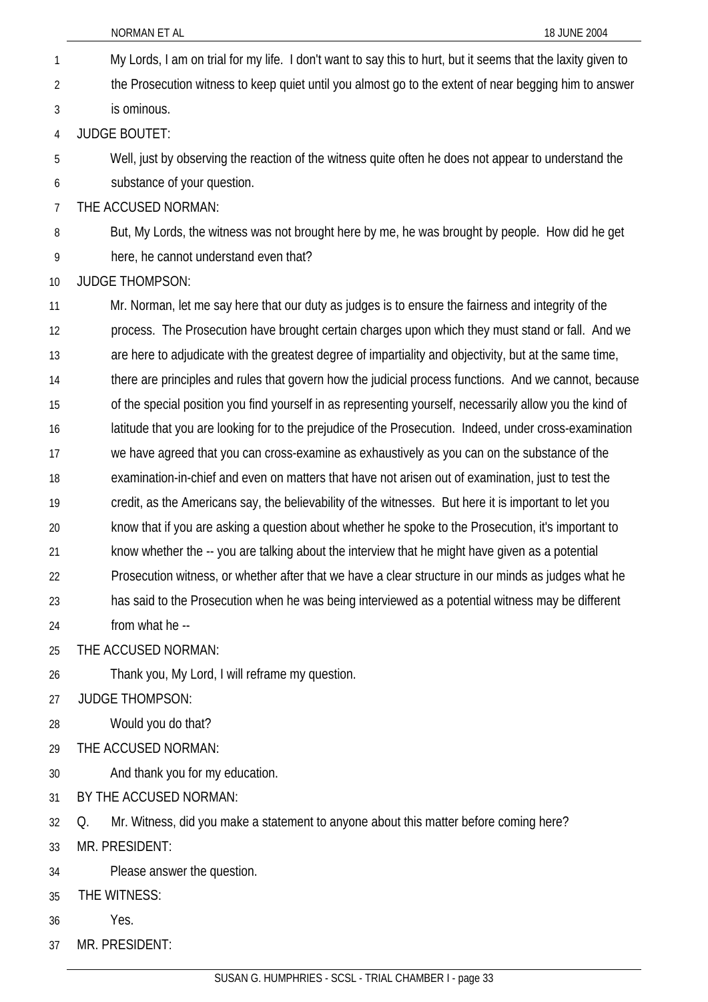| 1              | My Lords, I am on trial for my life. I don't want to say this to hurt, but it seems that the laxity given to |
|----------------|--------------------------------------------------------------------------------------------------------------|
| 2              | the Prosecution witness to keep quiet until you almost go to the extent of near begging him to answer        |
| 3              | is ominous.                                                                                                  |
| $\overline{4}$ | <b>JUDGE BOUTET:</b>                                                                                         |
| 5              | Well, just by observing the reaction of the witness quite often he does not appear to understand the         |
| 6              | substance of your question.                                                                                  |
| 7              | THE ACCUSED NORMAN:                                                                                          |
| 8              | But, My Lords, the witness was not brought here by me, he was brought by people. How did he get              |
| 9              | here, he cannot understand even that?                                                                        |
| 10             | <b>JUDGE THOMPSON:</b>                                                                                       |
| 11             | Mr. Norman, let me say here that our duty as judges is to ensure the fairness and integrity of the           |
| 12             | process. The Prosecution have brought certain charges upon which they must stand or fall. And we             |
| 13             | are here to adjudicate with the greatest degree of impartiality and objectivity, but at the same time,       |
| 14             | there are principles and rules that govern how the judicial process functions. And we cannot, because        |
| 15             | of the special position you find yourself in as representing yourself, necessarily allow you the kind of     |
| 16             | latitude that you are looking for to the prejudice of the Prosecution. Indeed, under cross-examination       |
| 17             | we have agreed that you can cross-examine as exhaustively as you can on the substance of the                 |
| 18             | examination-in-chief and even on matters that have not arisen out of examination, just to test the           |
| 19             | credit, as the Americans say, the believability of the witnesses. But here it is important to let you        |
| 20             | know that if you are asking a question about whether he spoke to the Prosecution, it's important to          |
| 21             | know whether the -- you are talking about the interview that he might have given as a potential              |
| 22             | Prosecution witness, or whether after that we have a clear structure in our minds as judges what he          |
| 23             | has said to the Prosecution when he was being interviewed as a potential witness may be different            |
| 24             | from what he --                                                                                              |
| 25             | THE ACCUSED NORMAN:                                                                                          |
| 26             | Thank you, My Lord, I will reframe my question.                                                              |
| 27             | <b>JUDGE THOMPSON:</b>                                                                                       |
| 28             | Would you do that?                                                                                           |
| 29             | THE ACCUSED NORMAN:                                                                                          |
| 30             | And thank you for my education.                                                                              |
| 31             | BY THE ACCUSED NORMAN:                                                                                       |
| 32             | Mr. Witness, did you make a statement to anyone about this matter before coming here?<br>Q.                  |
| 33             | MR. PRESIDENT:                                                                                               |
| 34             | Please answer the question.                                                                                  |
| 35             | THE WITNESS:                                                                                                 |

37 MR. PRESIDENT: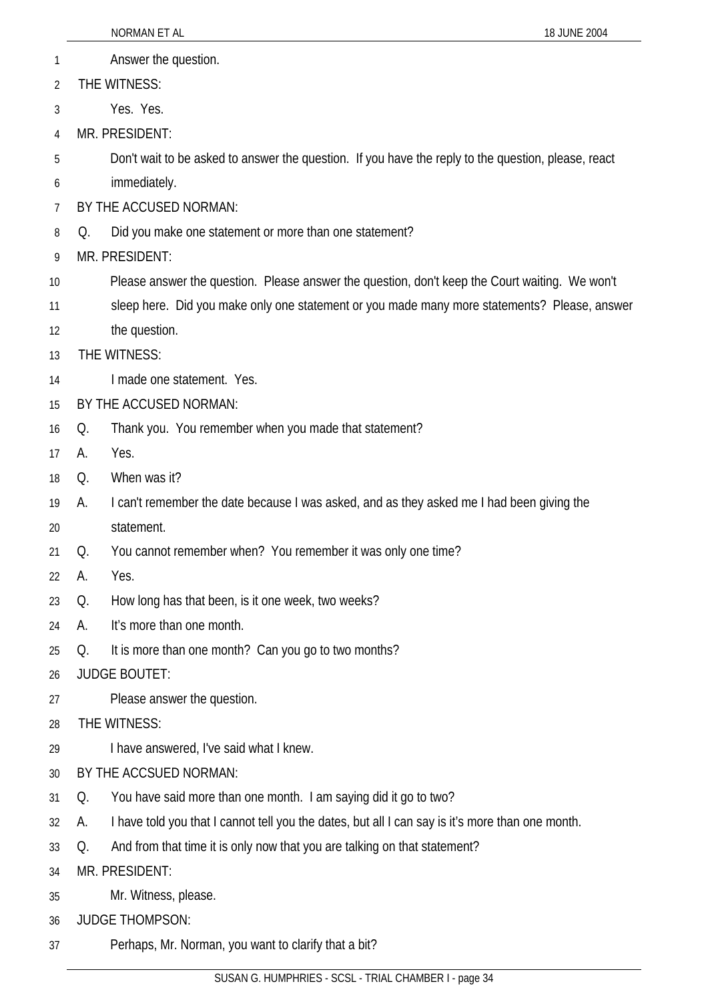- 1 Answer the question.
- 2 THE WITNESS:
- 3 Yes. Yes.
- 4 MR. PRESIDENT:

5 Don't wait to be asked to answer the question. If you have the reply to the question, please, react

- 6 immediately.
- 7 BY THE ACCUSED NORMAN:
- 8 Q. Did you make one statement or more than one statement?
- 9 MR. PRESIDENT:
- 10 Please answer the question. Please answer the question, don't keep the Court waiting. We won't
- 11 sleep here. Did you make only one statement or you made many more statements? Please, answer
- 12 the question.
- 13 THE WITNESS:
- 14 I made one statement. Yes.
- 15 BY THE ACCUSED NORMAN:
- 16 Q. Thank you. You remember when you made that statement?
- 17 A. Yes.
- 18 Q. When was it?
- 19 A. I can't remember the date because I was asked, and as they asked me I had been giving the
- 20 statement.
- 21 Q. You cannot remember when? You remember it was only one time?
- $22$ A. Yes.
- 23 Q. How long has that been, is it one week, two weeks?
- 24 A. It's more than one month.
- 25 Q. It is more than one month? Can you go to two months?
- 26 JUDGE BOUTET:
- 27 Please answer the question.
- 28 THE WITNESS:
- 29 I have answered, I've said what I knew.
- 30 BY THE ACCSUED NORMAN:
- 31 Q. You have said more than one month. I am saying did it go to two?
- 32 A. I have told you that I cannot tell you the dates, but all I can say is it's more than one month.
- 33 Q. And from that time it is only now that you are talking on that statement?
- 34 MR. PRESIDENT:
- 35 Mr. Witness, please.
- 36 JUDGE THOMPSON:
- 37 Perhaps, Mr. Norman, you want to clarify that a bit?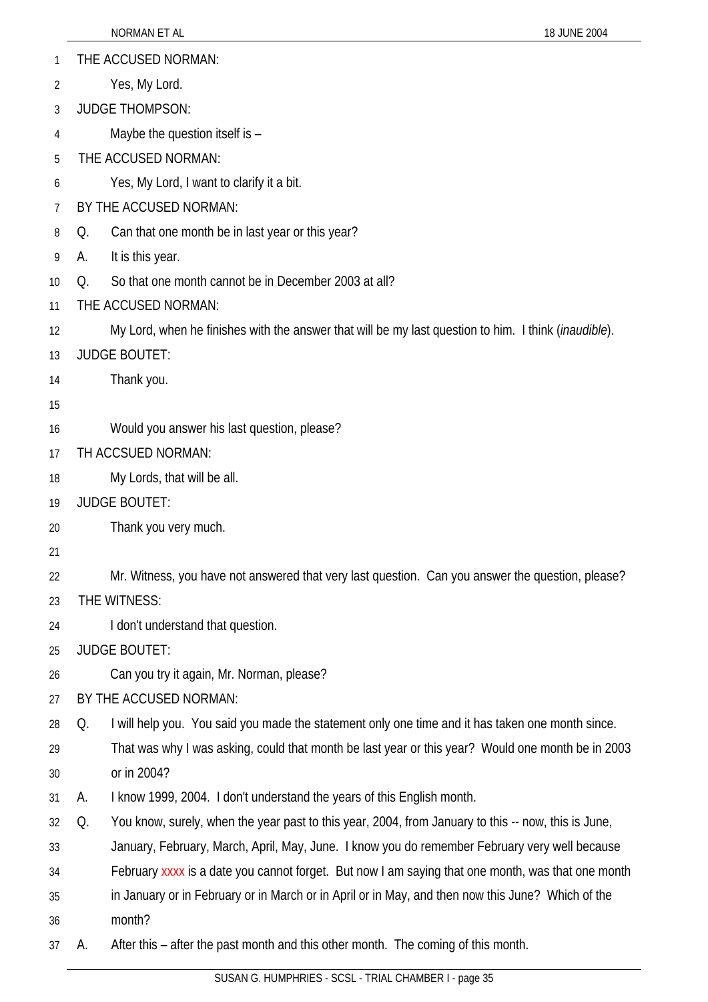- 1 THE ACCUSED NORMAN:
- 2 Yes, My Lord.
- 3 JUDGE THOMPSON:
- 4 Maybe the question itself is –
- 5 THE ACCUSED NORMAN:
- 6 Yes, My Lord, I want to clarify it a bit.
- 7 BY THE ACCUSED NORMAN:
- 8 Q. Can that one month be in last year or this year?
- 9 A. It is this year.
- 10 Q. So that one month cannot be in December 2003 at all?
- 11 THE ACCUSED NORMAN:
- 12 My Lord, when he finishes with the answer that will be my last question to him. I think (*inaudible*).
- 13 JUDGE BOUTET:
- 14 Thank you.
- 15
- 16 Would you answer his last question, please?
- 17 TH ACCSUED NORMAN:
- 18 My Lords, that will be all.
- 19 JUDGE BOUTET:
- 20 Thank you very much.
- 21
- 22 Mr. Witness, you have not answered that very last question. Can you answer the question, please?
- 23 THE WITNESS:
- 24 I don't understand that question.
- 25 JUDGE BOUTET:
- 26 Can you try it again, Mr. Norman, please?
- 27 BY THE ACCUSED NORMAN:

28 Q. I will help you. You said you made the statement only one time and it has taken one month since.

- 29 30 That was why I was asking, could that month be last year or this year? Would one month be in 2003 or in 2004?
- 31 A. I know 1999, 2004. I don't understand the years of this English month.
- 32 Q. You know, surely, when the year past to this year, 2004, from January to this -- now, this is June,
- 33 January, February, March, April, May, June. I know you do remember February very well because
- 34 February xxxx is a date you cannot forget. But now I am saying that one month, was that one month
- 35 in January or in February or in March or in April or in May, and then now this June? Which of the
- 36 month?
- 37 A. After this – after the past month and this other month. The coming of this month.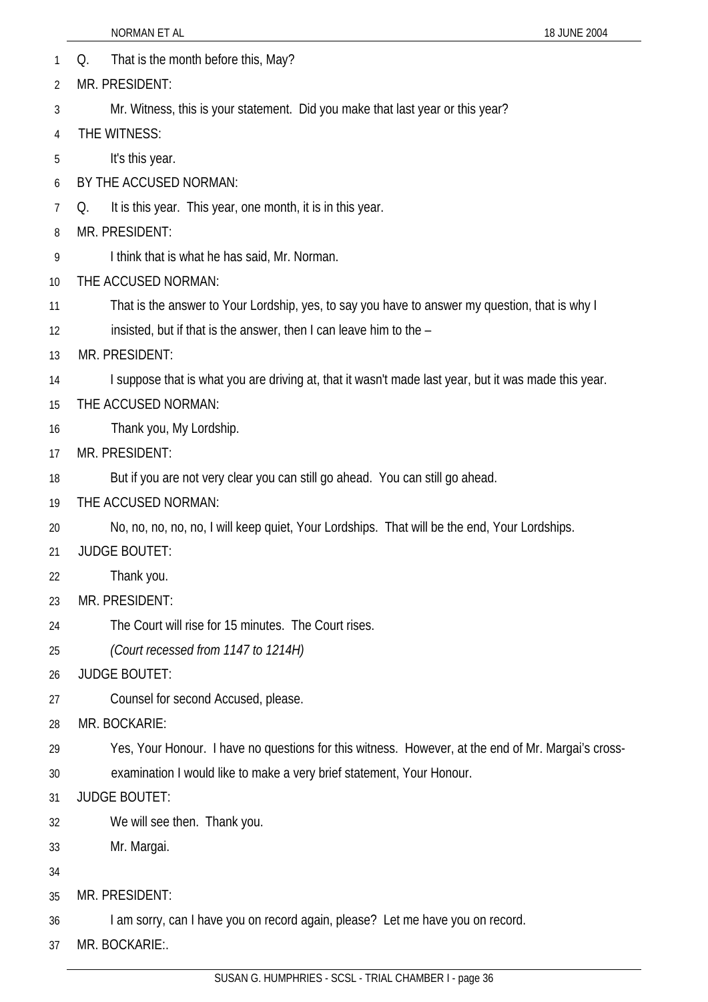- 1 Q. That is the month before this, May?
- 2 MR. PRESIDENT:
- 3 Mr. Witness, this is your statement. Did you make that last year or this year?
- 4 THE WITNESS:
- 5 It's this year.
- 6 BY THE ACCUSED NORMAN:
- 7 Q. It is this year. This year, one month, it is in this year.
- 8 MR. PRESIDENT:
- 9 I think that is what he has said, Mr. Norman.
- 10 THE ACCUSED NORMAN:
- 11 That is the answer to Your Lordship, yes, to say you have to answer my question, that is why I
- 12 insisted, but if that is the answer, then I can leave him to the –
- 13 MR. PRESIDENT:
- 14 I suppose that is what you are driving at, that it wasn't made last year, but it was made this year.
- 15 THE ACCUSED NORMAN:
- 16 Thank you, My Lordship.
- 17 MR. PRESIDENT:
- 18 But if you are not very clear you can still go ahead. You can still go ahead.
- 19 THE ACCUSED NORMAN:
- 20 No, no, no, no, no, I will keep quiet, Your Lordships. That will be the end, Your Lordships.
- 21 JUDGE BOUTET:
- 22 Thank you.
- 23 MR. PRESIDENT:
- 24 The Court will rise for 15 minutes. The Court rises.
- 25 *(Court recessed from 1147 to 1214H)*
- 26 JUDGE BOUTET:
- 27 Counsel for second Accused, please.
- 28 MR. BOCKARIE:
- 29 Yes, Your Honour. I have no questions for this witness. However, at the end of Mr. Margai's cross-
- 30 examination I would like to make a very brief statement, Your Honour.
- 31 JUDGE BOUTET:
- 32 We will see then. Thank you.
- 33 Mr. Margai.
- 34
- 35 MR. PRESIDENT:
- 36 I am sorry, can I have you on record again, please? Let me have you on record.
- 37 MR. BOCKARIE:.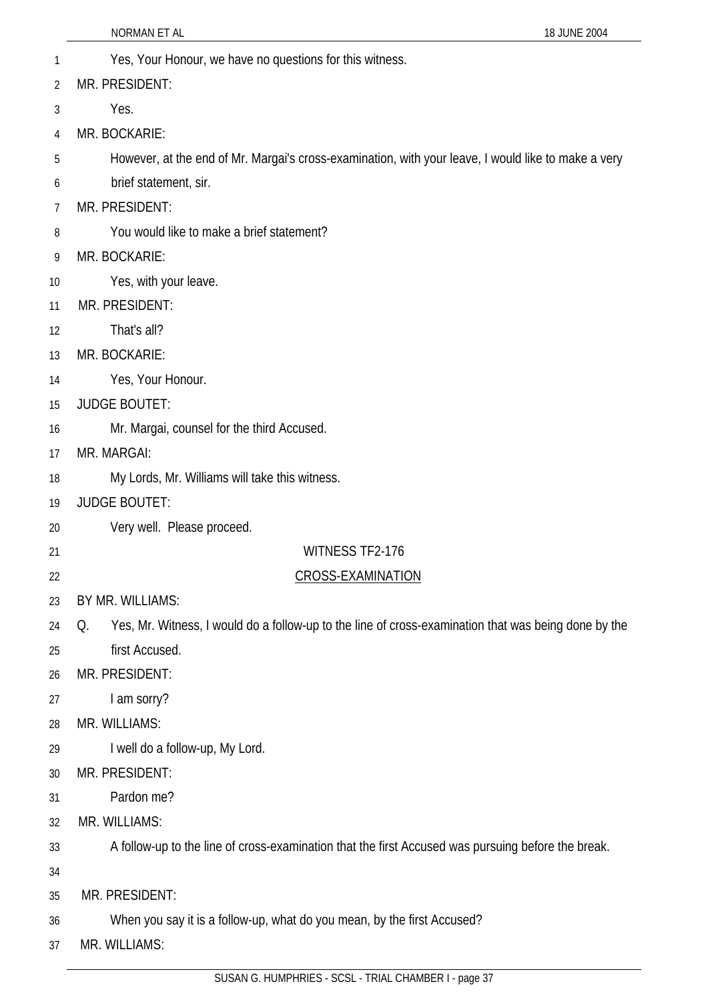|    | <b>NORMAN ET AL</b><br>18 JUNE 2004                                                                        |
|----|------------------------------------------------------------------------------------------------------------|
| 1  | Yes, Your Honour, we have no questions for this witness.                                                   |
| 2  | MR. PRESIDENT:                                                                                             |
| 3  | Yes.                                                                                                       |
| 4  | MR. BOCKARIE:                                                                                              |
| 5  | However, at the end of Mr. Margai's cross-examination, with your leave, I would like to make a very        |
| 6  | brief statement, sir.                                                                                      |
| 7  | MR. PRESIDENT:                                                                                             |
| 8  | You would like to make a brief statement?                                                                  |
| 9  | MR. BOCKARIE:                                                                                              |
| 10 | Yes, with your leave.                                                                                      |
| 11 | MR. PRESIDENT:                                                                                             |
| 12 | That's all?                                                                                                |
| 13 | MR. BOCKARIE:                                                                                              |
| 14 | Yes, Your Honour.                                                                                          |
| 15 | <b>JUDGE BOUTET:</b>                                                                                       |
| 16 | Mr. Margai, counsel for the third Accused.                                                                 |
| 17 | MR. MARGAI:                                                                                                |
| 18 | My Lords, Mr. Williams will take this witness.                                                             |
| 19 | <b>JUDGE BOUTET:</b>                                                                                       |
| 20 | Very well. Please proceed.                                                                                 |
| 21 | WITNESS TF2-176                                                                                            |
| 22 | <b>CROSS-EXAMINATION</b>                                                                                   |
| 23 | BY MR. WILLIAMS:                                                                                           |
| 24 | Yes, Mr. Witness, I would do a follow-up to the line of cross-examination that was being done by the<br>Q. |
| 25 | first Accused.                                                                                             |
| 26 | MR. PRESIDENT:                                                                                             |
| 27 | I am sorry?                                                                                                |
| 28 | MR. WILLIAMS:                                                                                              |
| 29 | I well do a follow-up, My Lord.                                                                            |
| 30 | MR. PRESIDENT:                                                                                             |
| 31 | Pardon me?                                                                                                 |
| 32 | MR. WILLIAMS:                                                                                              |
| 33 | A follow-up to the line of cross-examination that the first Accused was pursuing before the break.         |
| 34 |                                                                                                            |
| 35 | MR. PRESIDENT:                                                                                             |
| 36 | When you say it is a follow-up, what do you mean, by the first Accused?                                    |
| 37 | MR. WILLIAMS:                                                                                              |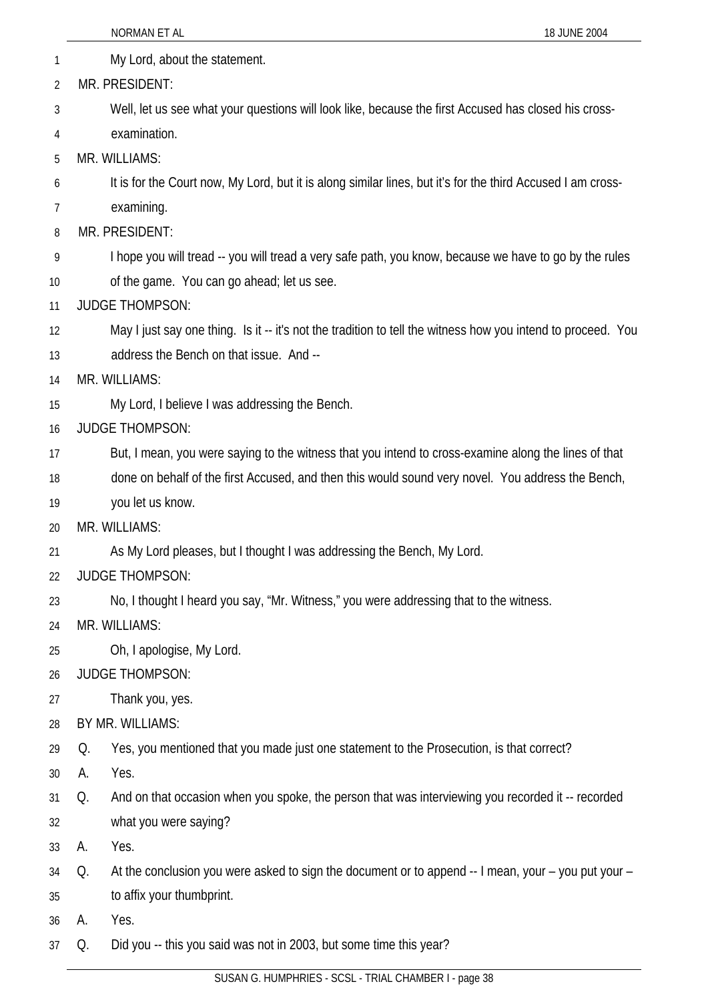| 1  |    | My Lord, about the statement.                                                                                |
|----|----|--------------------------------------------------------------------------------------------------------------|
|    |    |                                                                                                              |
| 2  |    | MR. PRESIDENT:                                                                                               |
| 3  |    | Well, let us see what your questions will look like, because the first Accused has closed his cross-         |
| 4  |    | examination.                                                                                                 |
| 5  |    | MR. WILLIAMS:                                                                                                |
| 6  |    | It is for the Court now, My Lord, but it is along similar lines, but it's for the third Accused I am cross-  |
| 7  |    | examining.                                                                                                   |
| 8  |    | MR. PRESIDENT:                                                                                               |
| 9  |    | I hope you will tread -- you will tread a very safe path, you know, because we have to go by the rules       |
| 10 |    | of the game. You can go ahead; let us see.                                                                   |
| 11 |    | <b>JUDGE THOMPSON:</b>                                                                                       |
| 12 |    | May I just say one thing. Is it -- it's not the tradition to tell the witness how you intend to proceed. You |
| 13 |    | address the Bench on that issue. And --                                                                      |
| 14 |    | MR. WILLIAMS:                                                                                                |
| 15 |    | My Lord, I believe I was addressing the Bench.                                                               |
| 16 |    | <b>JUDGE THOMPSON:</b>                                                                                       |
| 17 |    | But, I mean, you were saying to the witness that you intend to cross-examine along the lines of that         |
| 18 |    | done on behalf of the first Accused, and then this would sound very novel. You address the Bench,            |
| 19 |    | you let us know.                                                                                             |
| 20 |    | MR. WILLIAMS:                                                                                                |
| 21 |    | As My Lord pleases, but I thought I was addressing the Bench, My Lord.                                       |
| 22 |    | <b>JUDGE THOMPSON:</b>                                                                                       |
| 23 |    | No, I thought I heard you say, "Mr. Witness," you were addressing that to the witness.                       |
| 24 |    | MR. WILLIAMS:                                                                                                |
| 25 |    | Oh, I apologise, My Lord.                                                                                    |
| 26 |    | <b>JUDGE THOMPSON:</b>                                                                                       |
| 27 |    | Thank you, yes.                                                                                              |
| 28 |    | BY MR. WILLIAMS:                                                                                             |
| 29 | Q. | Yes, you mentioned that you made just one statement to the Prosecution, is that correct?                     |
| 30 | А. | Yes.                                                                                                         |
| 31 | Q. | And on that occasion when you spoke, the person that was interviewing you recorded it -- recorded            |
| 32 |    | what you were saying?                                                                                        |
| 33 | А. | Yes.                                                                                                         |
| 34 | Q. | At the conclusion you were asked to sign the document or to append -- I mean, your - you put your -          |
| 35 |    | to affix your thumbprint.                                                                                    |
| 36 | А. | Yes.                                                                                                         |
| 37 | Q. | Did you -- this you said was not in 2003, but some time this year?                                           |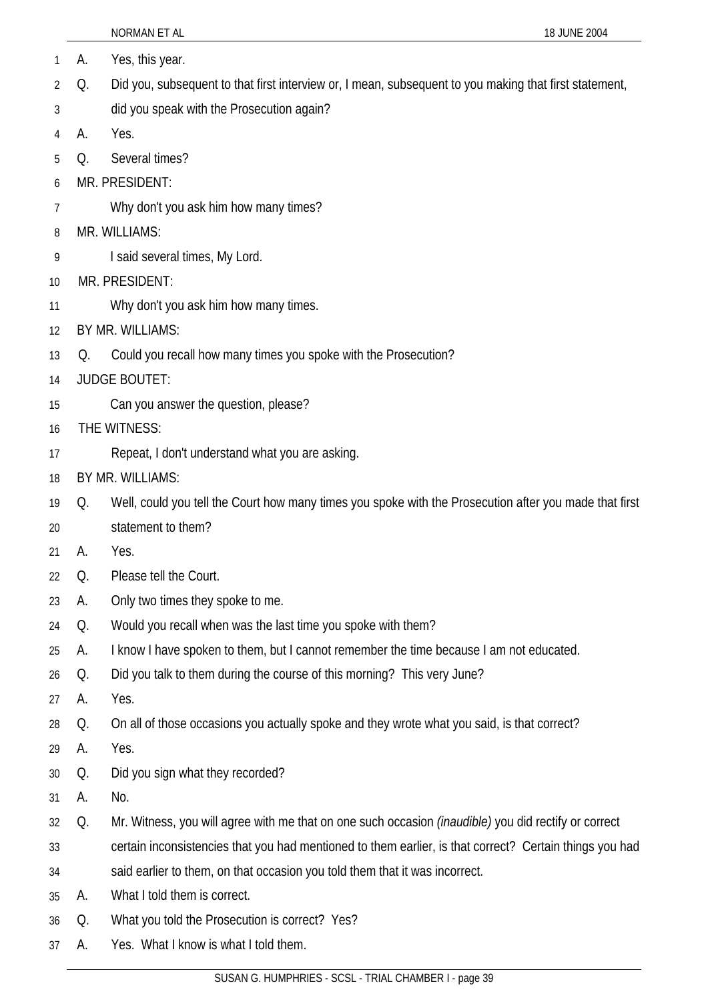|    |    | NORMAN ET AL<br>18 JUNE 2004                                                                                |
|----|----|-------------------------------------------------------------------------------------------------------------|
| 1  | А. | Yes, this year.                                                                                             |
| 2  | Q. | Did you, subsequent to that first interview or, I mean, subsequent to you making that first statement,      |
| 3  |    | did you speak with the Prosecution again?                                                                   |
| 4  | А. | Yes.                                                                                                        |
| 5  | Q. | Several times?                                                                                              |
| 6  |    | MR. PRESIDENT:                                                                                              |
| 7  |    | Why don't you ask him how many times?                                                                       |
| 8  |    | MR. WILLIAMS:                                                                                               |
| 9  |    | I said several times, My Lord.                                                                              |
| 10 |    | MR. PRESIDENT:                                                                                              |
| 11 |    | Why don't you ask him how many times.                                                                       |
| 12 |    | BY MR. WILLIAMS:                                                                                            |
| 13 | Q. | Could you recall how many times you spoke with the Prosecution?                                             |
| 14 |    | <b>JUDGE BOUTET:</b>                                                                                        |
| 15 |    | Can you answer the question, please?                                                                        |
| 16 |    | THE WITNESS:                                                                                                |
| 17 |    | Repeat, I don't understand what you are asking.                                                             |
| 18 |    | BY MR. WILLIAMS:                                                                                            |
| 19 | Q. | Well, could you tell the Court how many times you spoke with the Prosecution after you made that first      |
| 20 |    | statement to them?                                                                                          |
| 21 | A. | Yes.                                                                                                        |
| 22 | Q. | Please tell the Court.                                                                                      |
| 23 | А. | Only two times they spoke to me.                                                                            |
| 24 | Q. | Would you recall when was the last time you spoke with them?                                                |
| 25 | А. | I know I have spoken to them, but I cannot remember the time because I am not educated.                     |
| 26 | Q. | Did you talk to them during the course of this morning? This very June?                                     |
| 27 | А. | Yes.                                                                                                        |
| 28 | Q. | On all of those occasions you actually spoke and they wrote what you said, is that correct?                 |
| 29 | А. | Yes.                                                                                                        |
| 30 | Q. | Did you sign what they recorded?                                                                            |
| 31 | А. | No.                                                                                                         |
| 32 | Q. | Mr. Witness, you will agree with me that on one such occasion <i>(inaudible)</i> you did rectify or correct |
| 33 |    | certain inconsistencies that you had mentioned to them earlier, is that correct? Certain things you had     |
| 34 |    | said earlier to them, on that occasion you told them that it was incorrect.                                 |
| 35 | A. | What I told them is correct.                                                                                |
| 36 | Q. | What you told the Prosecution is correct? Yes?                                                              |
| 37 | А. | Yes. What I know is what I told them.                                                                       |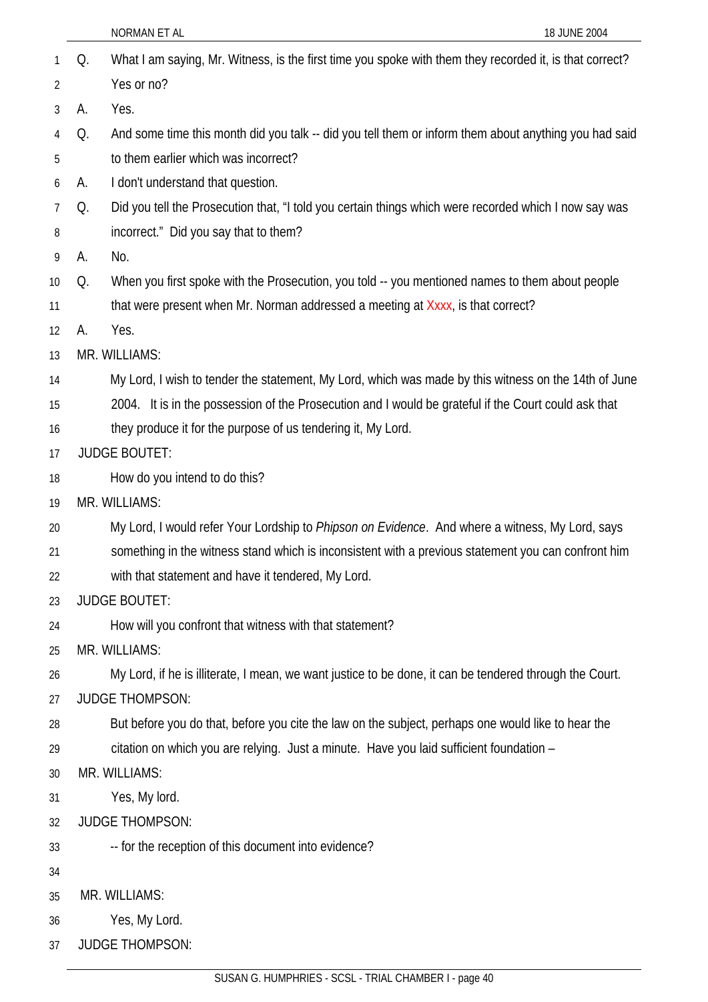|    |    | NORMAN ET AL<br>18 JUNE 2004                                                                            |
|----|----|---------------------------------------------------------------------------------------------------------|
| 1  | Q. | What I am saying, Mr. Witness, is the first time you spoke with them they recorded it, is that correct? |
| 2  |    | Yes or no?                                                                                              |
| 3  | А. | Yes.                                                                                                    |
| 4  | Q. | And some time this month did you talk -- did you tell them or inform them about anything you had said   |
| 5  |    | to them earlier which was incorrect?                                                                    |
| 6  | А. | I don't understand that question.                                                                       |
| 7  | Q. | Did you tell the Prosecution that, "I told you certain things which were recorded which I now say was   |
| 8  |    | incorrect." Did you say that to them?                                                                   |
| 9  | А. | No.                                                                                                     |
| 10 | Q. | When you first spoke with the Prosecution, you told -- you mentioned names to them about people         |
| 11 |    | that were present when Mr. Norman addressed a meeting at Xxxx, is that correct?                         |
| 12 | А. | Yes.                                                                                                    |
| 13 |    | MR. WILLIAMS:                                                                                           |
| 14 |    | My Lord, I wish to tender the statement, My Lord, which was made by this witness on the 14th of June    |
| 15 |    | 2004. It is in the possession of the Prosecution and I would be grateful if the Court could ask that    |
| 16 |    | they produce it for the purpose of us tendering it, My Lord.                                            |
| 17 |    | <b>JUDGE BOUTET:</b>                                                                                    |
| 18 |    | How do you intend to do this?                                                                           |
| 19 |    | MR. WILLIAMS:                                                                                           |
| 20 |    | My Lord, I would refer Your Lordship to Phipson on Evidence. And where a witness, My Lord, says         |
| 21 |    | something in the witness stand which is inconsistent with a previous statement you can confront him     |
| 22 |    | with that statement and have it tendered, My Lord.                                                      |
| 23 |    | <b>JUDGE BOUTET:</b>                                                                                    |
| 24 |    | How will you confront that witness with that statement?                                                 |
| 25 |    | MR. WILLIAMS:                                                                                           |
| 26 |    | My Lord, if he is illiterate, I mean, we want justice to be done, it can be tendered through the Court. |
| 27 |    | <b>JUDGE THOMPSON:</b>                                                                                  |
| 28 |    | But before you do that, before you cite the law on the subject, perhaps one would like to hear the      |
| 29 |    | citation on which you are relying. Just a minute. Have you laid sufficient foundation -                 |
| 30 |    | MR. WILLIAMS:                                                                                           |
| 31 |    | Yes, My lord.                                                                                           |
| 32 |    | <b>JUDGE THOMPSON:</b>                                                                                  |
| 33 |    | -- for the reception of this document into evidence?                                                    |
| 34 |    |                                                                                                         |
| 35 |    | MR. WILLIAMS:                                                                                           |
| 36 |    | Yes, My Lord.                                                                                           |
| 37 |    | <b>JUDGE THOMPSON:</b>                                                                                  |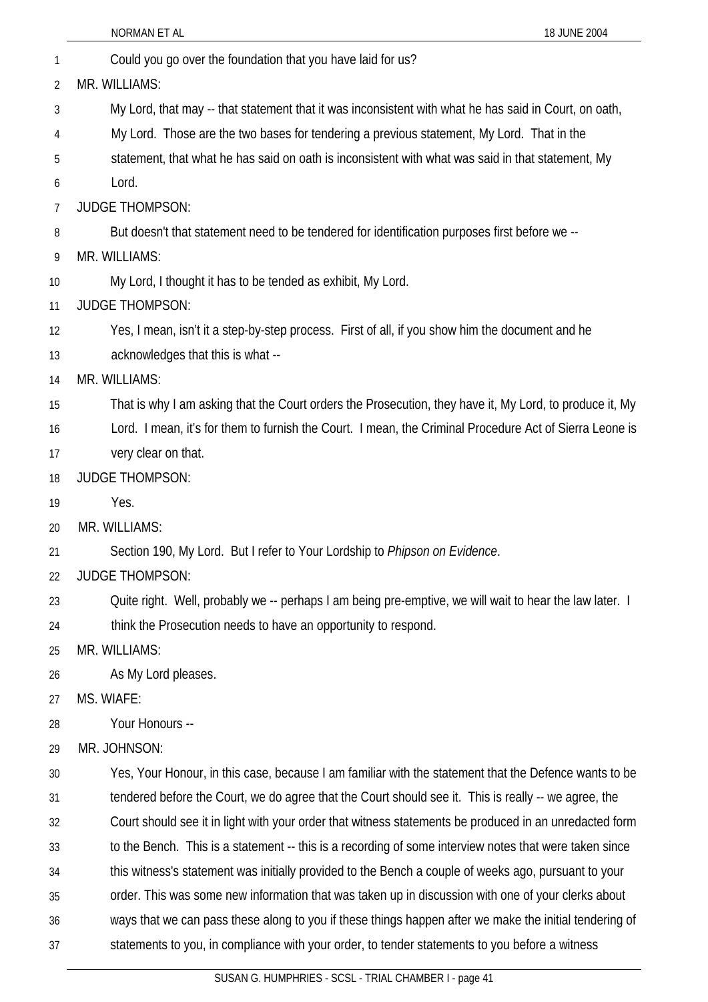|                | NORMAN ET AL<br>18 JUNE 2004                                                                            |
|----------------|---------------------------------------------------------------------------------------------------------|
| 1              | Could you go over the foundation that you have laid for us?                                             |
| $\overline{2}$ | MR. WILLIAMS:                                                                                           |
| 3              | My Lord, that may -- that statement that it was inconsistent with what he has said in Court, on oath,   |
| 4              | My Lord. Those are the two bases for tendering a previous statement, My Lord. That in the               |
| 5              | statement, that what he has said on oath is inconsistent with what was said in that statement, My       |
| 6              | Lord.                                                                                                   |
| 7              | <b>JUDGE THOMPSON:</b>                                                                                  |
| 8              | But doesn't that statement need to be tendered for identification purposes first before we --           |
| 9              | MR. WILLIAMS:                                                                                           |
| 10             | My Lord, I thought it has to be tended as exhibit, My Lord.                                             |
| 11             | <b>JUDGE THOMPSON:</b>                                                                                  |
| 12             | Yes, I mean, isn't it a step-by-step process. First of all, if you show him the document and he         |
| 13             | acknowledges that this is what --                                                                       |
| 14             | MR. WILLIAMS:                                                                                           |
| 15             | That is why I am asking that the Court orders the Prosecution, they have it, My Lord, to produce it, My |
| 16             | Lord. I mean, it's for them to furnish the Court. I mean, the Criminal Procedure Act of Sierra Leone is |
| 17             | very clear on that.                                                                                     |
| 18             | <b>JUDGE THOMPSON:</b>                                                                                  |
| 19             | Yes.                                                                                                    |
| 20             | MR. WILLIAMS:                                                                                           |
| 21             | Section 190, My Lord. But I refer to Your Lordship to <i>Phipson on Evidence</i> .                      |
| 22             | <b>JUDGE THOMPSON:</b>                                                                                  |
| 23             | Quite right. Well, probably we -- perhaps I am being pre-emptive, we will wait to hear the law later. I |
| 24             | think the Prosecution needs to have an opportunity to respond.                                          |
| 25             | MR. WILLIAMS:                                                                                           |
| 26             | As My Lord pleases.                                                                                     |
| 27             | MS. WIAFE:                                                                                              |
| 28             | Your Honours --                                                                                         |
| 29             | MR. JOHNSON:                                                                                            |
| 30             | Yes, Your Honour, in this case, because I am familiar with the statement that the Defence wants to be   |
| 31             | tendered before the Court, we do agree that the Court should see it. This is really -- we agree, the    |
| 32             | Court should see it in light with your order that witness statements be produced in an unredacted form  |
| 33             | to the Bench. This is a statement -- this is a recording of some interview notes that were taken since  |
| 34             | this witness's statement was initially provided to the Bench a couple of weeks ago, pursuant to your    |
| 35             | order. This was some new information that was taken up in discussion with one of your clerks about      |
| 36             | ways that we can pass these along to you if these things happen after we make the initial tendering of  |
| 37             | statements to you, in compliance with your order, to tender statements to you before a witness          |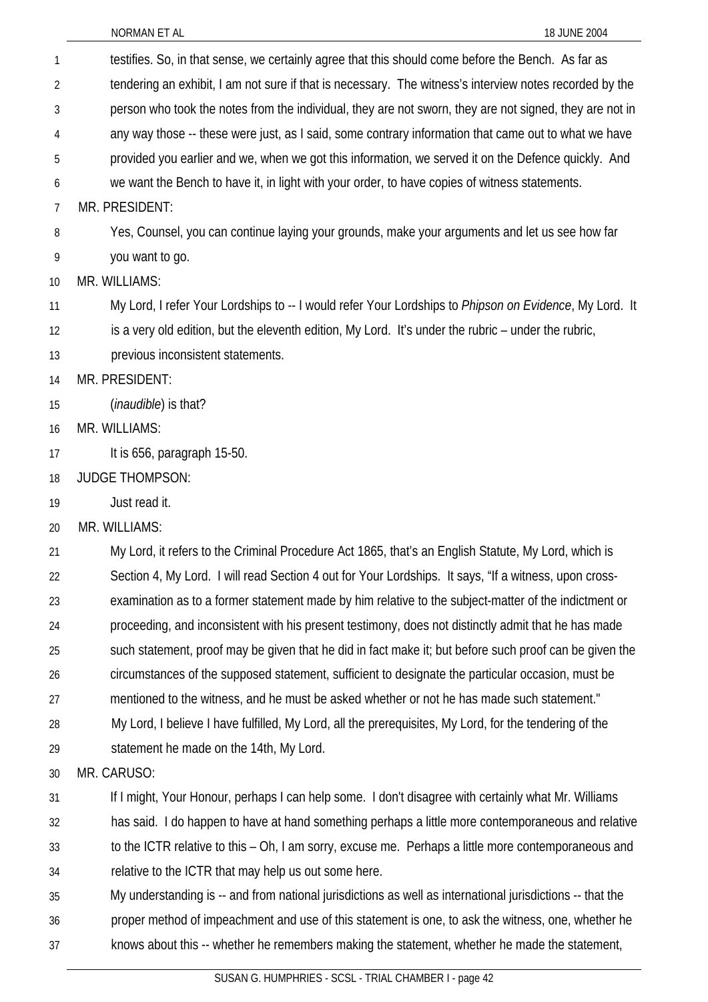| 1  | testifies. So, in that sense, we certainly agree that this should come before the Bench. As far as        |
|----|-----------------------------------------------------------------------------------------------------------|
| 2  | tendering an exhibit, I am not sure if that is necessary. The witness's interview notes recorded by the   |
| 3  | person who took the notes from the individual, they are not sworn, they are not signed, they are not in   |
| 4  | any way those -- these were just, as I said, some contrary information that came out to what we have      |
| 5  | provided you earlier and we, when we got this information, we served it on the Defence quickly. And       |
| 6  | we want the Bench to have it, in light with your order, to have copies of witness statements.             |
| 7  | MR. PRESIDENT:                                                                                            |
| 8  | Yes, Counsel, you can continue laying your grounds, make your arguments and let us see how far            |
| 9  | you want to go.                                                                                           |
| 10 | MR. WILLIAMS:                                                                                             |
| 11 | My Lord, I refer Your Lordships to -- I would refer Your Lordships to Phipson on Evidence, My Lord. It    |
| 12 | is a very old edition, but the eleventh edition, My Lord. It's under the rubric – under the rubric,       |
| 13 | previous inconsistent statements.                                                                         |
| 14 | MR. PRESIDENT:                                                                                            |
| 15 | ( <i>inaudible</i> ) is that?                                                                             |
| 16 | MR. WILLIAMS:                                                                                             |
| 17 | It is 656, paragraph 15-50.                                                                               |
| 18 | <b>JUDGE THOMPSON:</b>                                                                                    |
| 19 | Just read it.                                                                                             |
| 20 | MR. WILLIAMS:                                                                                             |
| 21 | My Lord, it refers to the Criminal Procedure Act 1865, that's an English Statute, My Lord, which is       |
| 22 | Section 4, My Lord. I will read Section 4 out for Your Lordships. It says, "If a witness, upon cross-     |
| 23 | examination as to a former statement made by him relative to the subject-matter of the indictment or      |
| 24 | proceeding, and inconsistent with his present testimony, does not distinctly admit that he has made       |
| 25 | such statement, proof may be given that he did in fact make it; but before such proof can be given the    |
| 26 | circumstances of the supposed statement, sufficient to designate the particular occasion, must be         |
| 27 | mentioned to the witness, and he must be asked whether or not he has made such statement."                |
| 28 | My Lord, I believe I have fulfilled, My Lord, all the prerequisites, My Lord, for the tendering of the    |
| 29 | statement he made on the 14th, My Lord.                                                                   |
| 30 | MR. CARUSO:                                                                                               |
| 31 | If I might, Your Honour, perhaps I can help some. I don't disagree with certainly what Mr. Williams       |
| 32 | has said. I do happen to have at hand something perhaps a little more contemporaneous and relative        |
| 33 | to the ICTR relative to this - Oh, I am sorry, excuse me. Perhaps a little more contemporaneous and       |
| 34 | relative to the ICTR that may help us out some here.                                                      |
| 35 | My understanding is -- and from national jurisdictions as well as international jurisdictions -- that the |

36 proper method of impeachment and use of this statement is one, to ask the witness, one, whether he

37 knows about this -- whether he remembers making the statement, whether he made the statement,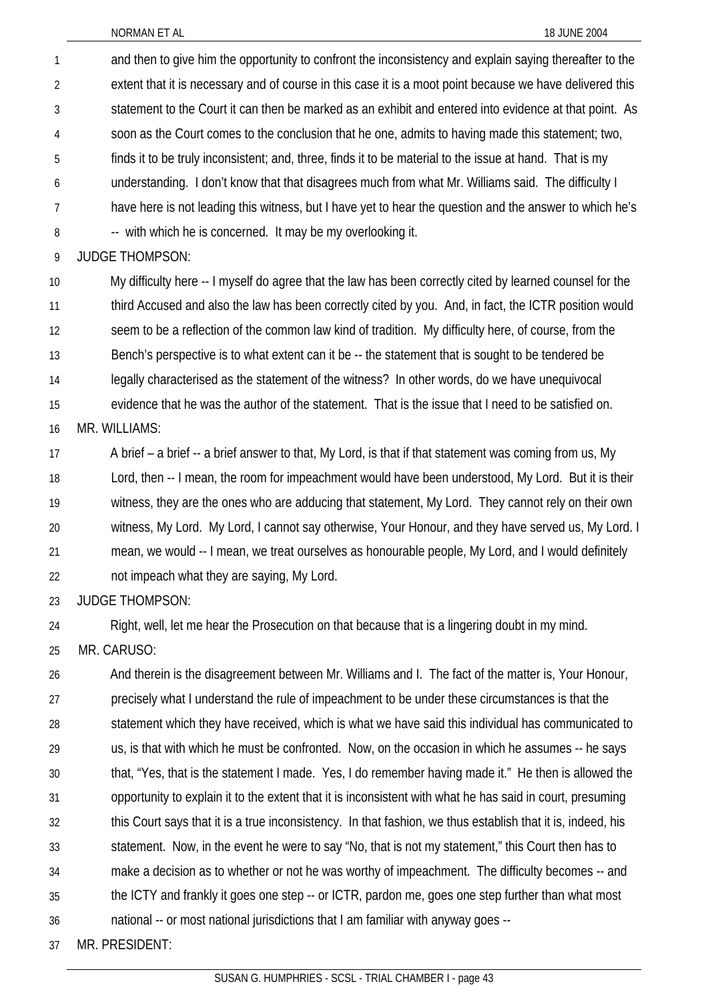and then to give him the opportunity to confront the inconsistency and explain saying thereafter to the extent that it is necessary and of course in this case it is a moot point because we have delivered this statement to the Court it can then be marked as an exhibit and entered into evidence at that point. As soon as the Court comes to the conclusion that he one, admits to having made this statement; two, finds it to be truly inconsistent; and, three, finds it to be material to the issue at hand. That is my understanding. I don't know that that disagrees much from what Mr. Williams said. The difficulty I have here is not leading this witness, but I have yet to hear the question and the answer to which he's -- with which he is concerned. It may be my overlooking it. 1 2 3 4 5 6 7 8

9 JUDGE THOMPSON:

10 11 12 13 14 15 My difficulty here -- I myself do agree that the law has been correctly cited by learned counsel for the third Accused and also the law has been correctly cited by you. And, in fact, the ICTR position would seem to be a reflection of the common law kind of tradition. My difficulty here, of course, from the Bench's perspective is to what extent can it be -- the statement that is sought to be tendered be legally characterised as the statement of the witness? In other words, do we have unequivocal evidence that he was the author of the statement. That is the issue that I need to be satisfied on.

16 MR. WILLIAMS:

17 18 19 20 21 22 A brief – a brief -- a brief answer to that, My Lord, is that if that statement was coming from us, My Lord, then -- I mean, the room for impeachment would have been understood, My Lord. But it is their witness, they are the ones who are adducing that statement, My Lord. They cannot rely on their own witness, My Lord. My Lord, I cannot say otherwise, Your Honour, and they have served us, My Lord. I mean, we would -- I mean, we treat ourselves as honourable people, My Lord, and I would definitely not impeach what they are saying, My Lord.

23 JUDGE THOMPSON:

24 Right, well, let me hear the Prosecution on that because that is a lingering doubt in my mind.

25 MR. CARUSO:

26 27 28 29 30 31 32 33 34 35 36 And therein is the disagreement between Mr. Williams and I. The fact of the matter is, Your Honour, precisely what I understand the rule of impeachment to be under these circumstances is that the statement which they have received, which is what we have said this individual has communicated to us, is that with which he must be confronted. Now, on the occasion in which he assumes -- he says that, "Yes, that is the statement I made. Yes, I do remember having made it." He then is allowed the opportunity to explain it to the extent that it is inconsistent with what he has said in court, presuming this Court says that it is a true inconsistency. In that fashion, we thus establish that it is, indeed, his statement. Now, in the event he were to say "No, that is not my statement," this Court then has to make a decision as to whether or not he was worthy of impeachment. The difficulty becomes -- and the ICTY and frankly it goes one step -- or ICTR, pardon me, goes one step further than what most national -- or most national jurisdictions that I am familiar with anyway goes --

37 MR. PRESIDENT: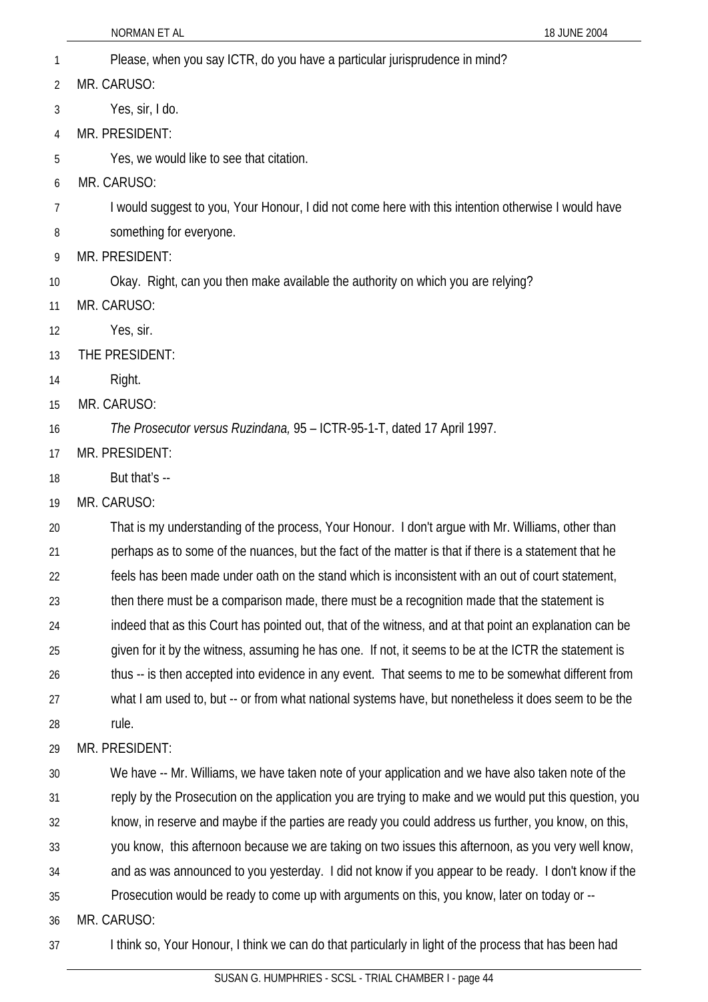|    | NORMAN ET AL                                                                                            | 18 JUNE 2004 |
|----|---------------------------------------------------------------------------------------------------------|--------------|
| 1  | Please, when you say ICTR, do you have a particular jurisprudence in mind?                              |              |
| 2  | MR. CARUSO:                                                                                             |              |
| 3  | Yes, sir, I do.                                                                                         |              |
| 4  | MR. PRESIDENT:                                                                                          |              |
| 5  | Yes, we would like to see that citation.                                                                |              |
| 6  | MR. CARUSO:                                                                                             |              |
| 7  | I would suggest to you, Your Honour, I did not come here with this intention otherwise I would have     |              |
| 8  | something for everyone.                                                                                 |              |
| 9  | MR. PRESIDENT:                                                                                          |              |
| 10 | Okay. Right, can you then make available the authority on which you are relying?                        |              |
| 11 | MR. CARUSO:                                                                                             |              |
| 12 | Yes, sir.                                                                                               |              |
| 13 | THE PRESIDENT:                                                                                          |              |
| 14 | Right.                                                                                                  |              |
| 15 | MR. CARUSO:                                                                                             |              |
| 16 | The Prosecutor versus Ruzindana, 95 - ICTR-95-1-T, dated 17 April 1997.                                 |              |
| 17 | MR. PRESIDENT:                                                                                          |              |
| 18 | But that's --                                                                                           |              |
| 19 | MR. CARUSO:                                                                                             |              |
| 20 | That is my understanding of the process, Your Honour. I don't argue with Mr. Williams, other than       |              |
| 21 | perhaps as to some of the nuances, but the fact of the matter is that if there is a statement that he   |              |
| 22 | feels has been made under oath on the stand which is inconsistent with an out of court statement,       |              |
| 23 | then there must be a comparison made, there must be a recognition made that the statement is            |              |
| 24 | indeed that as this Court has pointed out, that of the witness, and at that point an explanation can be |              |
| 25 | given for it by the witness, assuming he has one. If not, it seems to be at the ICTR the statement is   |              |
| 26 | thus -- is then accepted into evidence in any event. That seems to me to be somewhat different from     |              |
| 27 | what I am used to, but -- or from what national systems have, but nonetheless it does seem to be the    |              |
| 28 | rule.                                                                                                   |              |
| 29 | MR. PRESIDENT:                                                                                          |              |
| 30 | We have -- Mr. Williams, we have taken note of your application and we have also taken note of the      |              |
| 31 | reply by the Prosecution on the application you are trying to make and we would put this question, you  |              |
| 32 | know, in reserve and maybe if the parties are ready you could address us further, you know, on this,    |              |
| 33 | you know, this afternoon because we are taking on two issues this afternoon, as you very well know,     |              |

- 34 and as was announced to you yesterday. I did not know if you appear to be ready. I don't know if the
	- 35 Prosecution would be ready to come up with arguments on this, you know, later on today or --
	- 36 MR. CARUSO:
	- 37 I think so, Your Honour, I think we can do that particularly in light of the process that has been had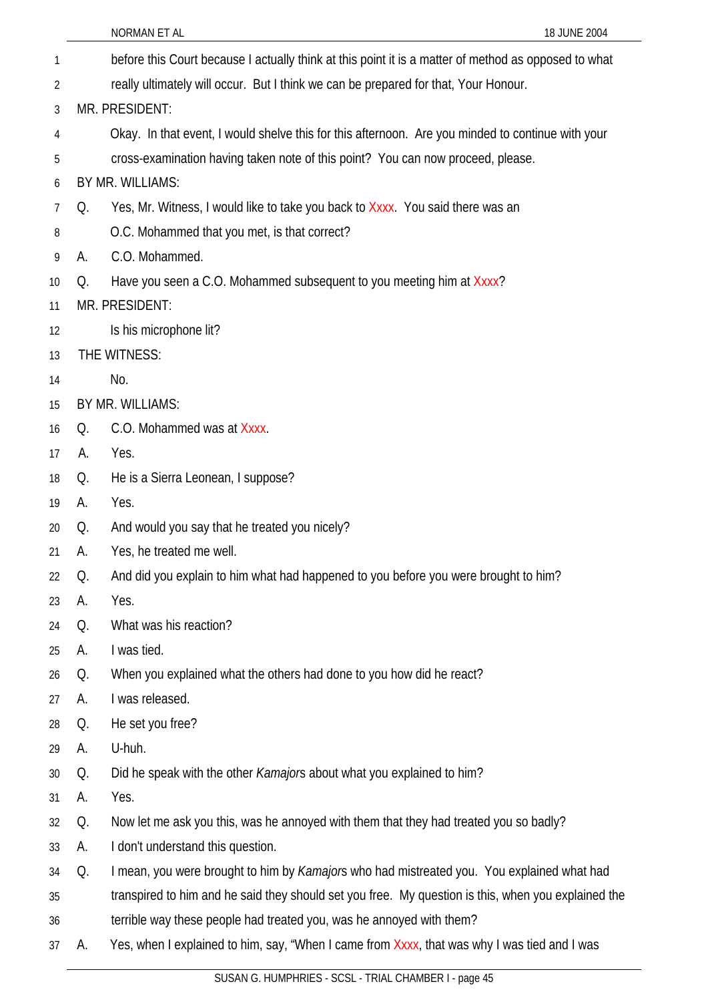|    |                | NORMAN ET AL<br>18 JUNE 2004                                                                         |  |
|----|----------------|------------------------------------------------------------------------------------------------------|--|
| 1  |                | before this Court because I actually think at this point it is a matter of method as opposed to what |  |
| 2  |                | really ultimately will occur. But I think we can be prepared for that, Your Honour.                  |  |
| 3  | MR. PRESIDENT: |                                                                                                      |  |
| 4  |                | Okay. In that event, I would shelve this for this afternoon. Are you minded to continue with your    |  |
| 5  |                | cross-examination having taken note of this point? You can now proceed, please.                      |  |
| 6  |                | BY MR. WILLIAMS:                                                                                     |  |
| 7  | Q.             | Yes, Mr. Witness, I would like to take you back to Xxxx. You said there was an                       |  |
| 8  |                | O.C. Mohammed that you met, is that correct?                                                         |  |
| 9  | А.             | C.O. Mohammed.                                                                                       |  |
| 10 | Q.             | Have you seen a C.O. Mohammed subsequent to you meeting him at Xxxx?                                 |  |
| 11 |                | MR. PRESIDENT:                                                                                       |  |
| 12 |                | Is his microphone lit?                                                                               |  |
| 13 |                | THE WITNESS:                                                                                         |  |
| 14 |                | No.                                                                                                  |  |
| 15 |                | BY MR. WILLIAMS:                                                                                     |  |
| 16 | Q.             | C.O. Mohammed was at Xxxx.                                                                           |  |
| 17 | А.             | Yes.                                                                                                 |  |
| 18 | Q.             | He is a Sierra Leonean, I suppose?                                                                   |  |
| 19 | А.             | Yes.                                                                                                 |  |
| 20 | Q.             | And would you say that he treated you nicely?                                                        |  |
| 21 | Α.             | Yes, he treated me well.                                                                             |  |
| 22 | Q.             | And did you explain to him what had happened to you before you were brought to him?                  |  |
| 23 | А.             | Yes.                                                                                                 |  |
| 24 | Q.             | What was his reaction?                                                                               |  |
| 25 | A.             | I was tied.                                                                                          |  |
| 26 | Q.             | When you explained what the others had done to you how did he react?                                 |  |
| 27 | А.             | I was released.                                                                                      |  |
| 28 | Q.             | He set you free?                                                                                     |  |
| 29 | А.             | U-huh.                                                                                               |  |
| 30 | Q.             | Did he speak with the other <i>Kamajor</i> s about what you explained to him?                        |  |
| 31 | А.             | Yes.                                                                                                 |  |
| 32 | Q.             | Now let me ask you this, was he annoyed with them that they had treated you so badly?                |  |
| 33 | A.             | I don't understand this question.                                                                    |  |
| 34 | Q.             | I mean, you were brought to him by Kamajors who had mistreated you. You explained what had           |  |
| 35 |                | transpired to him and he said they should set you free. My question is this, when you explained the  |  |
| 36 |                | terrible way these people had treated you, was he annoyed with them?                                 |  |
| 37 | А.             | Yes, when I explained to him, say, "When I came from Xxxx, that was why I was tied and I was         |  |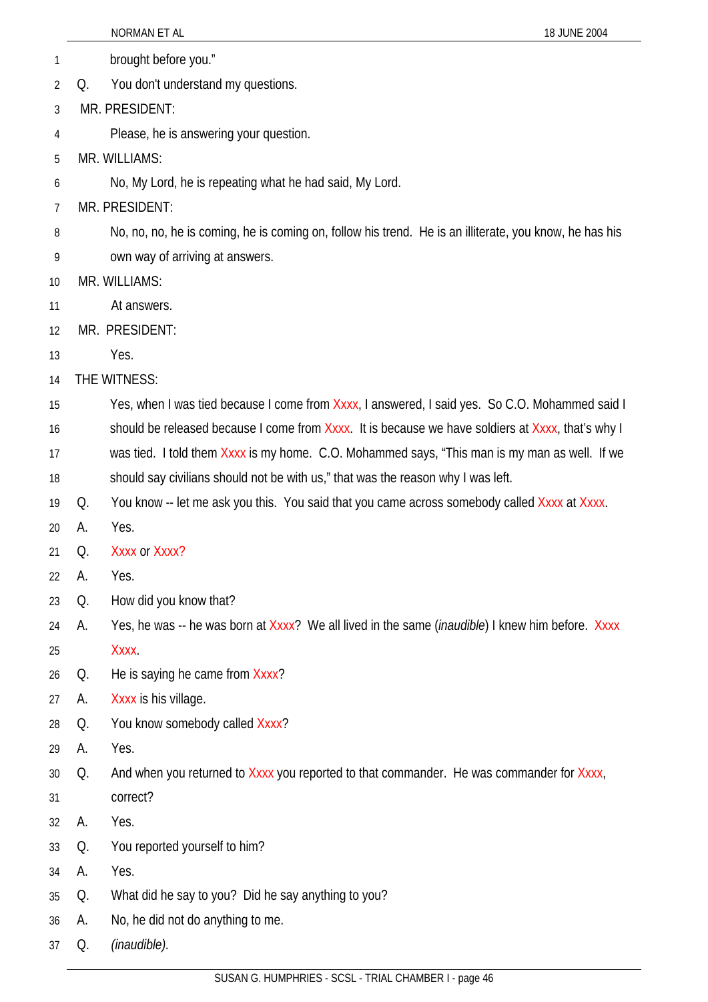|    |    | <b>NORMAN ET AL</b><br>18 JUNE 2004                                                                       |
|----|----|-----------------------------------------------------------------------------------------------------------|
| 1  |    | brought before you."                                                                                      |
| 2  | Q. | You don't understand my questions.                                                                        |
| 3  |    | MR. PRESIDENT:                                                                                            |
| 4  |    | Please, he is answering your question.                                                                    |
| 5  |    | MR. WILLIAMS:                                                                                             |
| 6  |    | No, My Lord, he is repeating what he had said, My Lord.                                                   |
| 7  |    | MR. PRESIDENT:                                                                                            |
| 8  |    | No, no, no, he is coming, he is coming on, follow his trend. He is an illiterate, you know, he has his    |
| 9  |    | own way of arriving at answers.                                                                           |
| 10 |    | MR. WILLIAMS:                                                                                             |
| 11 |    | At answers.                                                                                               |
| 12 |    | MR. PRESIDENT:                                                                                            |
| 13 |    | Yes.                                                                                                      |
| 14 |    | THE WITNESS:                                                                                              |
| 15 |    | Yes, when I was tied because I come from Xxxx, I answered, I said yes. So C.O. Mohammed said I            |
| 16 |    | should be released because I come from Xxxx. It is because we have soldiers at Xxxx, that's why I         |
| 17 |    | was tied. I told them Xxxx is my home. C.O. Mohammed says, "This man is my man as well. If we             |
| 18 |    | should say civilians should not be with us," that was the reason why I was left.                          |
| 19 | Q. | You know -- let me ask you this. You said that you came across somebody called Xxxx at Xxxx.              |
| 20 | А. | Yes.                                                                                                      |
| 21 | Q. | Xxxx or Xxxx?                                                                                             |
| 22 | А. | Yes.                                                                                                      |
| 23 | Q. | How did you know that?                                                                                    |
| 24 | А. | Yes, he was -- he was born at Xxxx? We all lived in the same ( <i>inaudible</i> ) I knew him before. Xxxx |
| 25 |    | <b>Xxxx</b>                                                                                               |
| 26 | Q. | He is saying he came from Xxxx?                                                                           |
| 27 | А. | Xxxx is his village.                                                                                      |
| 28 | Q. | You know somebody called Xxxx?                                                                            |
| 29 | А. | Yes.                                                                                                      |
| 30 | Q. | And when you returned to Xxxx you reported to that commander. He was commander for Xxxx,                  |
| 31 |    | correct?                                                                                                  |
| 32 | А. | Yes.                                                                                                      |
| 33 | Q. | You reported yourself to him?                                                                             |
| 34 | А. | Yes.                                                                                                      |
| 35 | Q. | What did he say to you? Did he say anything to you?                                                       |
| 36 | А. | No, he did not do anything to me.                                                                         |
| 37 | Q. | (inaudible).                                                                                              |
|    |    |                                                                                                           |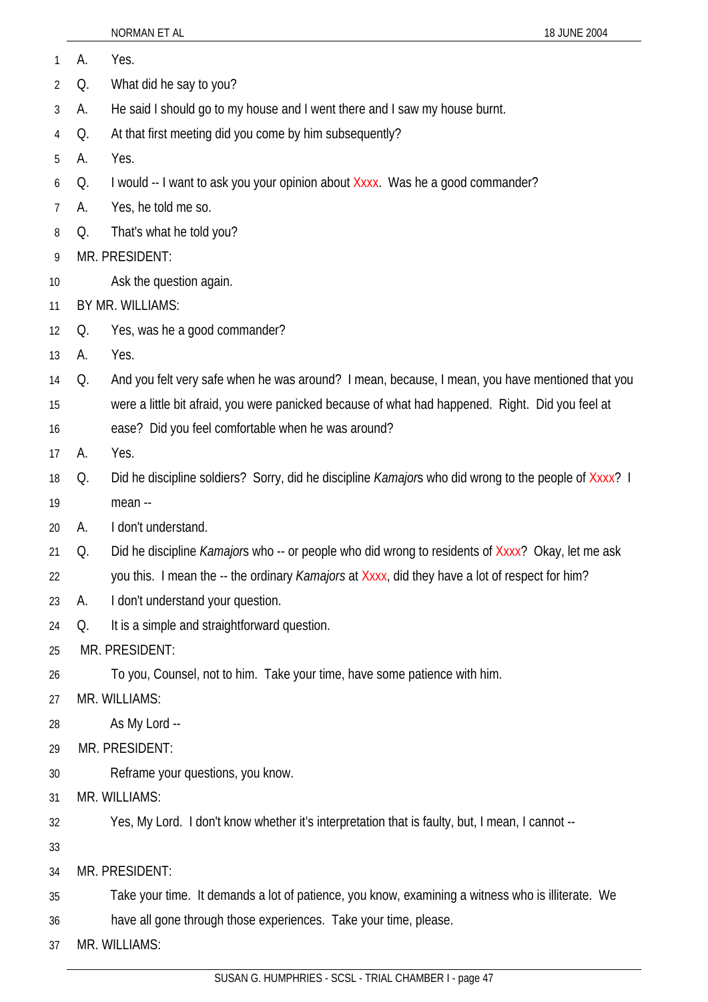| 1              | А.                                                                               | Yes.                                                                                                     |  |
|----------------|----------------------------------------------------------------------------------|----------------------------------------------------------------------------------------------------------|--|
| 2              | Q.                                                                               | What did he say to you?                                                                                  |  |
| 3              | He said I should go to my house and I went there and I saw my house burnt.<br>А. |                                                                                                          |  |
| 4              | At that first meeting did you come by him subsequently?<br>Q.                    |                                                                                                          |  |
| 5              | А.                                                                               | Yes.                                                                                                     |  |
| 6              | Q.                                                                               | I would -- I want to ask you your opinion about Xxxx. Was he a good commander?                           |  |
| $\overline{7}$ | А.                                                                               | Yes, he told me so.                                                                                      |  |
| 8              | Q.                                                                               | That's what he told you?                                                                                 |  |
| 9              |                                                                                  | MR. PRESIDENT:                                                                                           |  |
| 10             |                                                                                  | Ask the question again.                                                                                  |  |
| 11             |                                                                                  | BY MR. WILLIAMS:                                                                                         |  |
| 12             | Q.                                                                               | Yes, was he a good commander?                                                                            |  |
| 13             | А.                                                                               | Yes.                                                                                                     |  |
| 14             | Q.                                                                               | And you felt very safe when he was around? I mean, because, I mean, you have mentioned that you          |  |
| 15             |                                                                                  | were a little bit afraid, you were panicked because of what had happened. Right. Did you feel at         |  |
| 16             |                                                                                  | ease? Did you feel comfortable when he was around?                                                       |  |
| 17             | А.                                                                               | Yes.                                                                                                     |  |
| 18             | Q.                                                                               | Did he discipline soldiers? Sorry, did he discipline Kamajors who did wrong to the people of Xxxx? I     |  |
| 19             |                                                                                  | mean --                                                                                                  |  |
| 20             | А.                                                                               | I don't understand.                                                                                      |  |
| 21             | Q.                                                                               | Did he discipline <i>Kamajor</i> s who -- or people who did wrong to residents of Xxxx? Okay, let me ask |  |
| 22             |                                                                                  | you this. I mean the -- the ordinary Kamajors at Xxxx, did they have a lot of respect for him?           |  |
| 23             | А.                                                                               | I don't understand your question.                                                                        |  |
| 24             | Q.                                                                               | It is a simple and straightforward question.                                                             |  |
| 25             |                                                                                  | MR. PRESIDENT:                                                                                           |  |
| 26             |                                                                                  | To you, Counsel, not to him. Take your time, have some patience with him.                                |  |
| 27             |                                                                                  | MR. WILLIAMS:                                                                                            |  |
| 28             |                                                                                  | As My Lord --                                                                                            |  |
| 29             |                                                                                  | MR. PRESIDENT:                                                                                           |  |
| 30             |                                                                                  | Reframe your questions, you know.                                                                        |  |
| 31             |                                                                                  | MR. WILLIAMS:                                                                                            |  |
| 32             |                                                                                  | Yes, My Lord. I don't know whether it's interpretation that is faulty, but, I mean, I cannot --          |  |
| 33             |                                                                                  |                                                                                                          |  |
| 34             |                                                                                  | MR. PRESIDENT:                                                                                           |  |
| 35             |                                                                                  | Take your time. It demands a lot of patience, you know, examining a witness who is illiterate. We        |  |
| 36             |                                                                                  | have all gone through those experiences. Take your time, please.                                         |  |
| 37             |                                                                                  | MR. WILLIAMS:                                                                                            |  |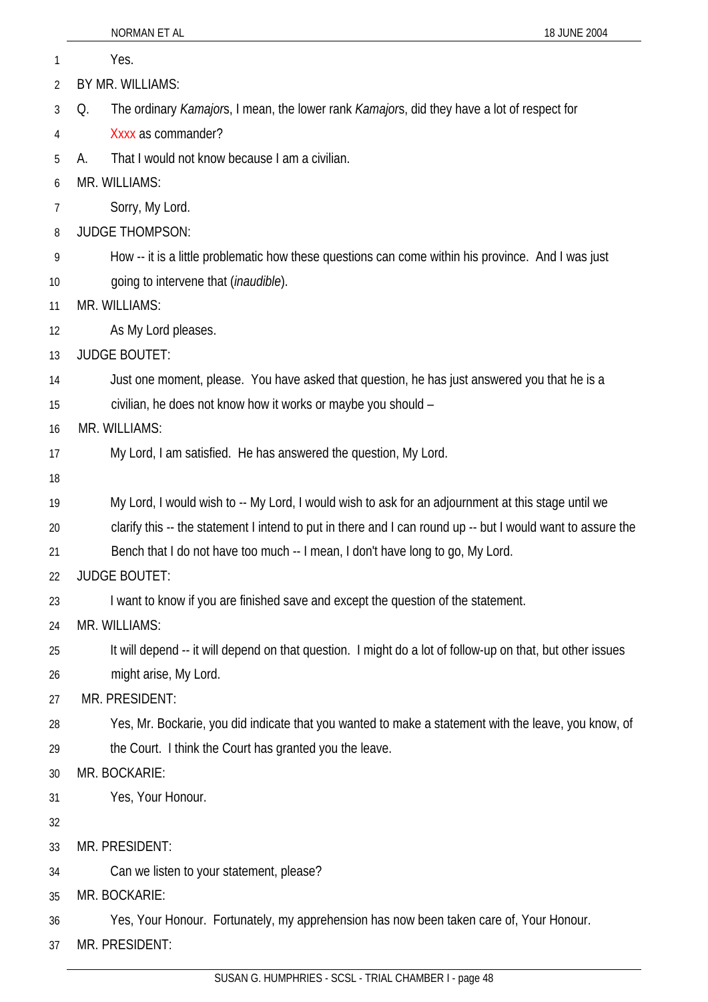| $\mathbf{1}$    | Yes.                                                                                                        |
|-----------------|-------------------------------------------------------------------------------------------------------------|
| $\overline{2}$  | BY MR. WILLIAMS:                                                                                            |
| 3               | The ordinary Kamajors, I mean, the lower rank Kamajors, did they have a lot of respect for<br>Q.            |
| 4               | Xxxx as commander?                                                                                          |
| 5               | That I would not know because I am a civilian.<br>А.                                                        |
| 6               | MR. WILLIAMS:                                                                                               |
| 7               | Sorry, My Lord.                                                                                             |
| 8               | <b>JUDGE THOMPSON:</b>                                                                                      |
| 9               | How -- it is a little problematic how these questions can come within his province. And I was just          |
| 10 <sup>1</sup> | going to intervene that ( <i>inaudible</i> ).                                                               |
| 11              | MR. WILLIAMS:                                                                                               |
| 12              | As My Lord pleases.                                                                                         |
| 13              | <b>JUDGE BOUTET:</b>                                                                                        |
| 14              | Just one moment, please. You have asked that question, he has just answered you that he is a                |
| 15              | civilian, he does not know how it works or maybe you should -                                               |
| 16              | MR. WILLIAMS:                                                                                               |
| 17              | My Lord, I am satisfied. He has answered the question, My Lord.                                             |
| 18              |                                                                                                             |
| 19              | My Lord, I would wish to -- My Lord, I would wish to ask for an adjournment at this stage until we          |
| 20              | clarify this -- the statement I intend to put in there and I can round up -- but I would want to assure the |
| 21              | Bench that I do not have too much -- I mean, I don't have long to go, My Lord.                              |
| 22              | <b>JUDGE BOUTET:</b>                                                                                        |
| 23              | I want to know if you are finished save and except the question of the statement.                           |
| 24              | MR. WILLIAMS:                                                                                               |
| 25              | It will depend -- it will depend on that question. I might do a lot of follow-up on that, but other issues  |
| 26              | might arise, My Lord.                                                                                       |
| 27              | MR. PRESIDENT:                                                                                              |
| 28              | Yes, Mr. Bockarie, you did indicate that you wanted to make a statement with the leave, you know, of        |
| 29              | the Court. I think the Court has granted you the leave.                                                     |
| 30              | MR. BOCKARIE:                                                                                               |
| 31              | Yes, Your Honour.                                                                                           |
| 32              |                                                                                                             |
| 33              | MR. PRESIDENT:                                                                                              |
| 34              | Can we listen to your statement, please?                                                                    |
| 35              | MR. BOCKARIE:                                                                                               |
| 36              | Yes, Your Honour. Fortunately, my apprehension has now been taken care of, Your Honour.                     |
| 37              | MR. PRESIDENT:                                                                                              |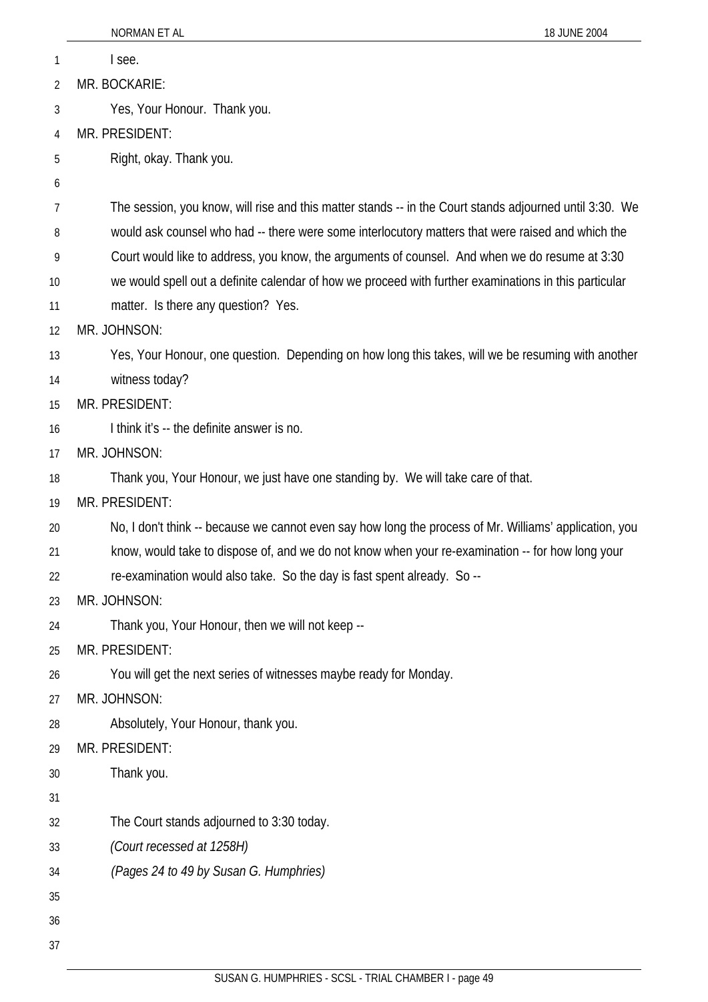|                | I see.                                                                                                  |
|----------------|---------------------------------------------------------------------------------------------------------|
| 1              |                                                                                                         |
| $\overline{2}$ | MR. BOCKARIE:                                                                                           |
| 3              | Yes, Your Honour. Thank you.                                                                            |
| 4              | MR. PRESIDENT:                                                                                          |
| 5              | Right, okay. Thank you.                                                                                 |
| 6              |                                                                                                         |
| 7              | The session, you know, will rise and this matter stands -- in the Court stands adjourned until 3:30. We |
| 8              | would ask counsel who had -- there were some interlocutory matters that were raised and which the       |
| 9              | Court would like to address, you know, the arguments of counsel. And when we do resume at 3:30          |
| 10             | we would spell out a definite calendar of how we proceed with further examinations in this particular   |
| 11             | matter. Is there any question? Yes.                                                                     |
| 12             | MR. JOHNSON:                                                                                            |
| 13             | Yes, Your Honour, one question. Depending on how long this takes, will we be resuming with another      |
| 14             | witness today?                                                                                          |
| 15             | MR. PRESIDENT:                                                                                          |
| 16             | I think it's -- the definite answer is no.                                                              |
| 17             | MR. JOHNSON:                                                                                            |
| 18             | Thank you, Your Honour, we just have one standing by. We will take care of that.                        |
| 19             | MR. PRESIDENT:                                                                                          |
| 20             | No, I don't think -- because we cannot even say how long the process of Mr. Williams' application, you  |
| 21             | know, would take to dispose of, and we do not know when your re-examination -- for how long your        |
| 22             | re-examination would also take. So the day is fast spent already. So --                                 |
| 23             | MR. JOHNSON:                                                                                            |
| 24             | Thank you, Your Honour, then we will not keep --                                                        |
| 25             | MR. PRESIDENT:                                                                                          |
| 26             | You will get the next series of witnesses maybe ready for Monday.                                       |
| 27             | MR. JOHNSON:                                                                                            |
| 28             | Absolutely, Your Honour, thank you.                                                                     |
| 29             | MR. PRESIDENT:                                                                                          |
| 30             | Thank you.                                                                                              |
| 31             |                                                                                                         |
| 32             | The Court stands adjourned to 3:30 today.                                                               |
| 33             | (Court recessed at 1258H)                                                                               |
| 34             | (Pages 24 to 49 by Susan G. Humphries)                                                                  |
| 35             |                                                                                                         |
| 36             |                                                                                                         |
| 37             |                                                                                                         |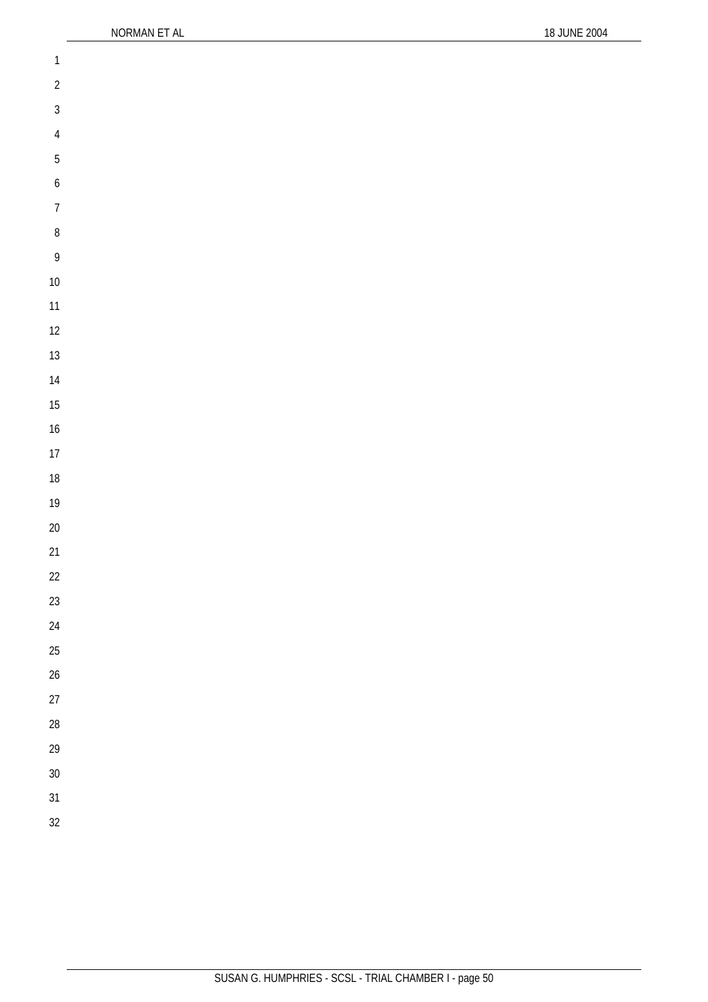| $\mathbf{1}$                      |  |  |  |
|-----------------------------------|--|--|--|
| $\sqrt{2}$                        |  |  |  |
| $\mathfrak{Z}$                    |  |  |  |
| $\overline{4}$                    |  |  |  |
| $\overline{5}$                    |  |  |  |
| $\boldsymbol{6}$                  |  |  |  |
| $\boldsymbol{7}$                  |  |  |  |
| $\, 8$                            |  |  |  |
| $\mathsf{g}% _{T}=\mathsf{g}_{T}$ |  |  |  |
| $10\,$                            |  |  |  |
| 11                                |  |  |  |
| 12                                |  |  |  |
| $13$                              |  |  |  |
| $14\,$                            |  |  |  |
| $15\,$                            |  |  |  |
| $16\,$                            |  |  |  |
| $17\,$                            |  |  |  |
| $18\,$                            |  |  |  |
| $19$                              |  |  |  |
| $20\,$                            |  |  |  |
| 21                                |  |  |  |
| 22                                |  |  |  |
| $23\,$                            |  |  |  |
| $24\,$                            |  |  |  |
| $25\,$                            |  |  |  |
| $26\,$                            |  |  |  |
| $27\,$                            |  |  |  |
| $28\,$                            |  |  |  |
| $29\,$                            |  |  |  |
| $30\,$                            |  |  |  |
| 31                                |  |  |  |
| 32                                |  |  |  |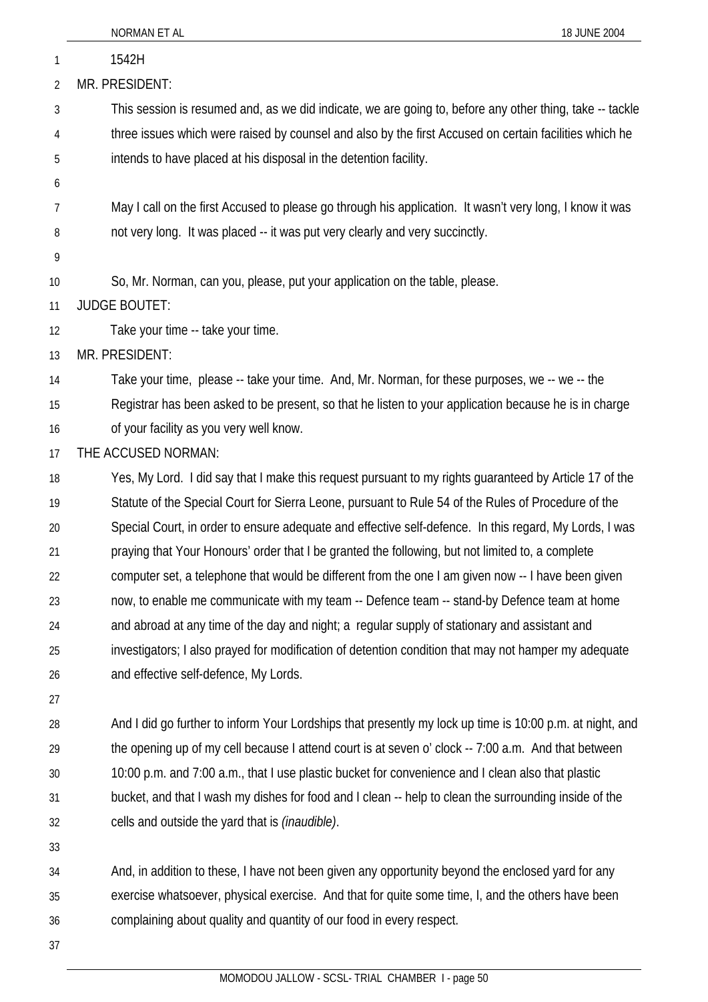|          | NORMAN ET AL<br>18 JUNE 2004                                                                                                                                                                                    |
|----------|-----------------------------------------------------------------------------------------------------------------------------------------------------------------------------------------------------------------|
| 1        | 1542H                                                                                                                                                                                                           |
| 2        | MR. PRESIDENT:                                                                                                                                                                                                  |
| 3        | This session is resumed and, as we did indicate, we are going to, before any other thing, take -- tackle                                                                                                        |
| 4        | three issues which were raised by counsel and also by the first Accused on certain facilities which he                                                                                                          |
| 5        | intends to have placed at his disposal in the detention facility.                                                                                                                                               |
| 6        |                                                                                                                                                                                                                 |
| 7        | May I call on the first Accused to please go through his application. It wasn't very long, I know it was                                                                                                        |
| 8        | not very long. It was placed -- it was put very clearly and very succinctly.                                                                                                                                    |
| 9        |                                                                                                                                                                                                                 |
| 10       | So, Mr. Norman, can you, please, put your application on the table, please.                                                                                                                                     |
| 11       | <b>JUDGE BOUTET:</b>                                                                                                                                                                                            |
| 12       | Take your time -- take your time.                                                                                                                                                                               |
| 13       | MR. PRESIDENT:                                                                                                                                                                                                  |
| 14       | Take your time, please -- take your time. And, Mr. Norman, for these purposes, we -- we -- the                                                                                                                  |
| 15       | Registrar has been asked to be present, so that he listen to your application because he is in charge                                                                                                           |
| 16       | of your facility as you very well know.                                                                                                                                                                         |
| 17       | THE ACCUSED NORMAN:                                                                                                                                                                                             |
| 18       | Yes, My Lord. I did say that I make this request pursuant to my rights guaranteed by Article 17 of the                                                                                                          |
| 19       | Statute of the Special Court for Sierra Leone, pursuant to Rule 54 of the Rules of Procedure of the                                                                                                             |
| 20       | Special Court, in order to ensure adequate and effective self-defence. In this regard, My Lords, I was                                                                                                          |
| 21       | praying that Your Honours' order that I be granted the following, but not limited to, a complete                                                                                                                |
| 22       | computer set, a telephone that would be different from the one I am given now -- I have been given                                                                                                              |
| 23       | now, to enable me communicate with my team -- Defence team -- stand-by Defence team at home                                                                                                                     |
| 24       | and abroad at any time of the day and night; a regular supply of stationary and assistant and                                                                                                                   |
| 25       | investigators; I also prayed for modification of detention condition that may not hamper my adequate                                                                                                            |
| 26       | and effective self-defence, My Lords.                                                                                                                                                                           |
| 27       |                                                                                                                                                                                                                 |
| 28<br>29 | And I did go further to inform Your Lordships that presently my lock up time is 10:00 p.m. at night, and<br>the opening up of my cell because I attend court is at seven o' clock -- 7:00 a.m. And that between |
| 30       | 10:00 p.m. and 7:00 a.m., that I use plastic bucket for convenience and I clean also that plastic                                                                                                               |
| 31       | bucket, and that I wash my dishes for food and I clean -- help to clean the surrounding inside of the                                                                                                           |
| 32       | cells and outside the yard that is (inaudible).                                                                                                                                                                 |
| 33       |                                                                                                                                                                                                                 |
| 34       | And, in addition to these, I have not been given any opportunity beyond the enclosed yard for any                                                                                                               |
| 35       | exercise whatsoever, physical exercise. And that for quite some time, I, and the others have been                                                                                                               |
| 36       | complaining about quality and quantity of our food in every respect.                                                                                                                                            |

37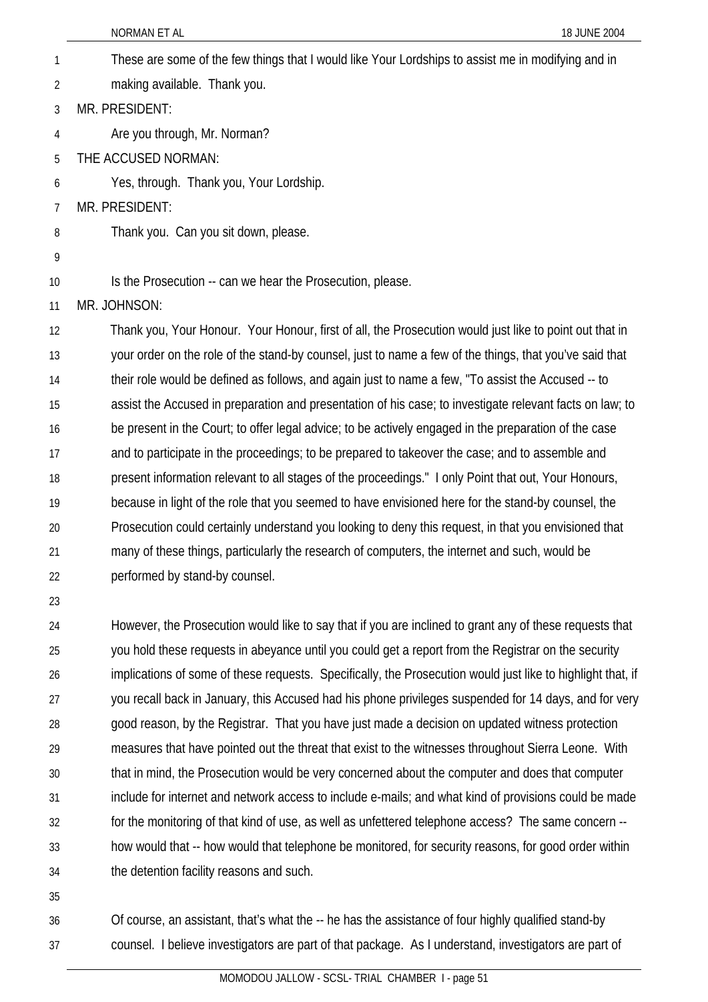|                | NORMAN ET AL<br>18 JUNE 2004                                                                             |
|----------------|----------------------------------------------------------------------------------------------------------|
| $\mathbf{1}$   | These are some of the few things that I would like Your Lordships to assist me in modifying and in       |
| 2              | making available. Thank you.                                                                             |
| 3              | MR. PRESIDENT:                                                                                           |
| 4              | Are you through, Mr. Norman?                                                                             |
| 5              | THE ACCUSED NORMAN:                                                                                      |
| 6              | Yes, through. Thank you, Your Lordship.                                                                  |
| $\overline{7}$ | MR. PRESIDENT:                                                                                           |
| 8              | Thank you. Can you sit down, please.                                                                     |
| 9              |                                                                                                          |
| 10             | Is the Prosecution -- can we hear the Prosecution, please.                                               |
| 11             | MR. JOHNSON:                                                                                             |
| 12             | Thank you, Your Honour. Your Honour, first of all, the Prosecution would just like to point out that in  |
| 13             | your order on the role of the stand-by counsel, just to name a few of the things, that you've said that  |
| 14             | their role would be defined as follows, and again just to name a few, "To assist the Accused -- to       |
| 15             | assist the Accused in preparation and presentation of his case; to investigate relevant facts on law; to |
| 16             | be present in the Court; to offer legal advice; to be actively engaged in the preparation of the case    |
| 17             | and to participate in the proceedings; to be prepared to takeover the case; and to assemble and          |
| 18             | present information relevant to all stages of the proceedings." I only Point that out, Your Honours,     |
| 19             | because in light of the role that you seemed to have envisioned here for the stand-by counsel, the       |
| 20             | Prosecution could certainly understand you looking to deny this request, in that you envisioned that     |
| 21             | many of these things, particularly the research of computers, the internet and such, would be            |
| 22             | performed by stand-by counsel.                                                                           |
| 23             |                                                                                                          |
| 24             | However, the Prosecution would like to say that if you are inclined to grant any of these requests that  |
| 25             | you hold these requests in abeyance until you could get a report from the Registrar on the security      |

26 27 28 29 30 31 32 33 34 implications of some of these requests. Specifically, the Prosecution would just like to highlight that, if you recall back in January, this Accused had his phone privileges suspended for 14 days, and for very good reason, by the Registrar. That you have just made a decision on updated witness protection measures that have pointed out the threat that exist to the witnesses throughout Sierra Leone. With that in mind, the Prosecution would be very concerned about the computer and does that computer include for internet and network access to include e-mails; and what kind of provisions could be made for the monitoring of that kind of use, as well as unfettered telephone access? The same concern - how would that -- how would that telephone be monitored, for security reasons, for good order within the detention facility reasons and such.

35

36 37 Of course, an assistant, that's what the -- he has the assistance of four highly qualified stand-by counsel. I believe investigators are part of that package. As I understand, investigators are part of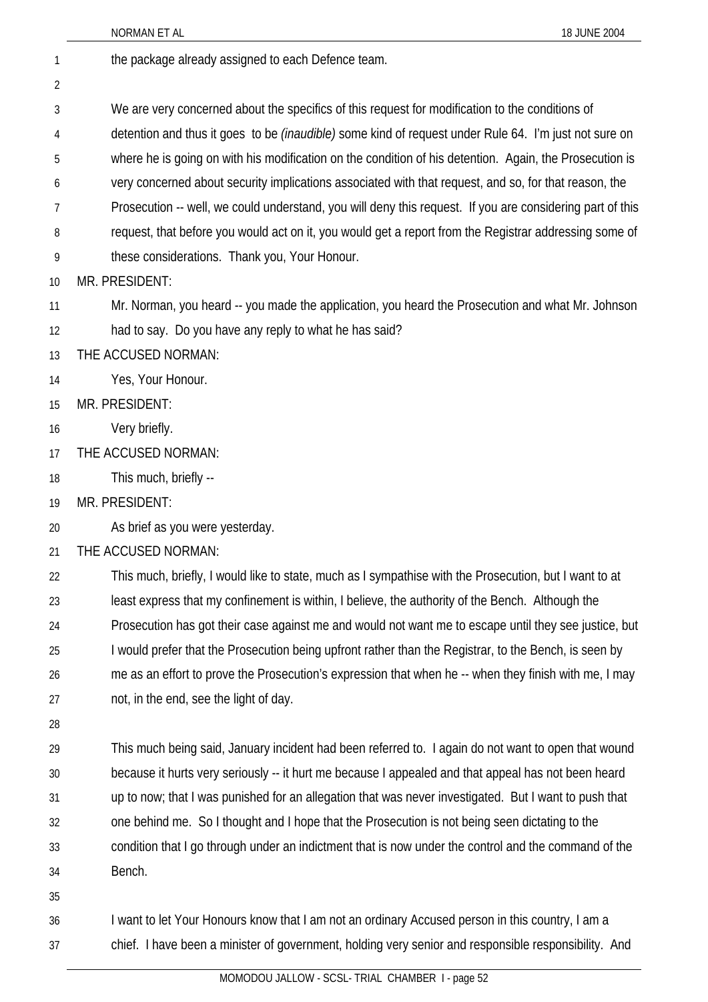|    | NORMAN ET AL<br>18 JUNE 2004                                                                                 |
|----|--------------------------------------------------------------------------------------------------------------|
| 1  | the package already assigned to each Defence team.                                                           |
| 2  |                                                                                                              |
| 3  | We are very concerned about the specifics of this request for modification to the conditions of              |
| 4  | detention and thus it goes to be <i>(inaudible)</i> some kind of request under Rule 64. I'm just not sure on |
| 5  | where he is going on with his modification on the condition of his detention. Again, the Prosecution is      |
| 6  | very concerned about security implications associated with that request, and so, for that reason, the        |
| 7  | Prosecution -- well, we could understand, you will deny this request. If you are considering part of this    |
| 8  | request, that before you would act on it, you would get a report from the Registrar addressing some of       |
| 9  | these considerations. Thank you, Your Honour.                                                                |
| 10 | MR. PRESIDENT:                                                                                               |
| 11 | Mr. Norman, you heard -- you made the application, you heard the Prosecution and what Mr. Johnson            |
| 12 | had to say. Do you have any reply to what he has said?                                                       |
| 13 | THE ACCUSED NORMAN:                                                                                          |
| 14 | Yes, Your Honour.                                                                                            |
| 15 | MR. PRESIDENT:                                                                                               |
| 16 | Very briefly.                                                                                                |
| 17 | THE ACCUSED NORMAN:                                                                                          |
| 18 | This much, briefly --                                                                                        |
| 19 | MR. PRESIDENT:                                                                                               |
| 20 | As brief as you were yesterday.                                                                              |
| 21 | THE ACCUSED NORMAN:                                                                                          |
| 22 | This much, briefly, I would like to state, much as I sympathise with the Prosecution, but I want to at       |
| 23 | least express that my confinement is within, I believe, the authority of the Bench. Although the             |
| 24 | Prosecution has got their case against me and would not want me to escape until they see justice, but        |
| 25 | I would prefer that the Prosecution being upfront rather than the Registrar, to the Bench, is seen by        |
| 26 | me as an effort to prove the Prosecution's expression that when he -- when they finish with me, I may        |
| 27 | not, in the end, see the light of day.                                                                       |
| 28 |                                                                                                              |
| 29 | This much being said, January incident had been referred to. I again do not want to open that wound          |
| 30 | because it hurts very seriously -- it hurt me because I appealed and that appeal has not been heard          |
| 31 | up to now; that I was punished for an allegation that was never investigated. But I want to push that        |
| 32 | one behind me. So I thought and I hope that the Prosecution is not being seen dictating to the               |
| 33 | condition that I go through under an indictment that is now under the control and the command of the         |
| 34 | Bench.                                                                                                       |
| 35 |                                                                                                              |
| 36 | I want to let Your Honours know that I am not an ordinary Accused person in this country, I am a             |
| 37 | chief. I have been a minister of government, holding very senior and responsible responsibility. And         |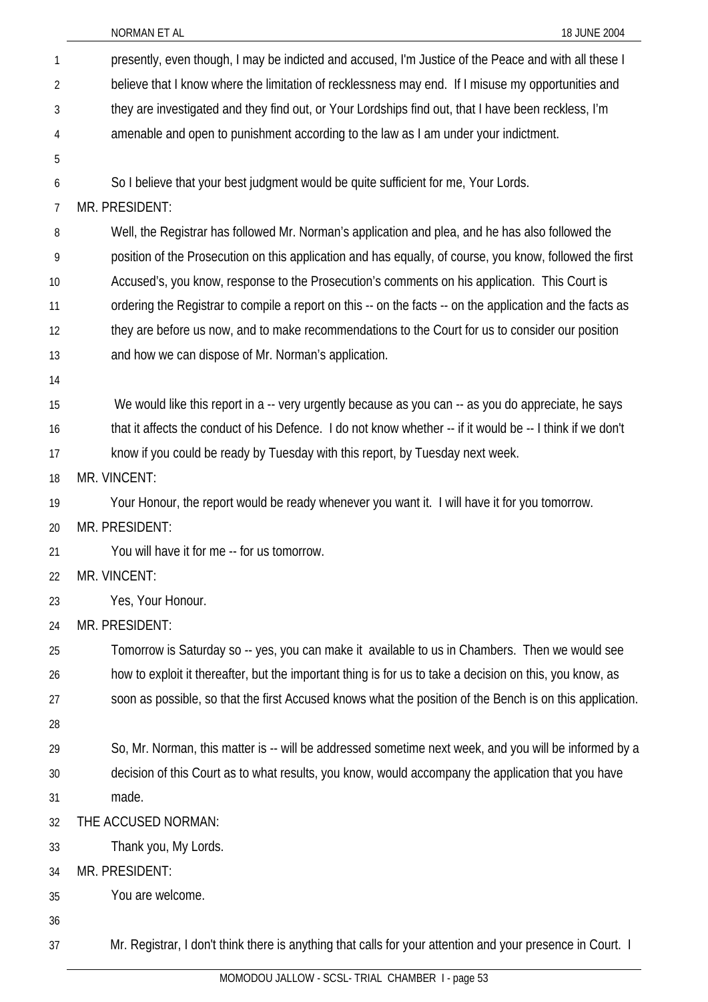| 1  | presently, even though, I may be indicted and accused, I'm Justice of the Peace and with all these I       |  |  |
|----|------------------------------------------------------------------------------------------------------------|--|--|
| 2  | believe that I know where the limitation of recklessness may end. If I misuse my opportunities and         |  |  |
| 3  | they are investigated and they find out, or Your Lordships find out, that I have been reckless, I'm        |  |  |
| 4  | amenable and open to punishment according to the law as I am under your indictment.                        |  |  |
| 5  |                                                                                                            |  |  |
| 6  | So I believe that your best judgment would be quite sufficient for me, Your Lords.                         |  |  |
| 7  | MR. PRESIDENT:                                                                                             |  |  |
| 8  | Well, the Registrar has followed Mr. Norman's application and plea, and he has also followed the           |  |  |
| 9  | position of the Prosecution on this application and has equally, of course, you know, followed the first   |  |  |
| 10 | Accused's, you know, response to the Prosecution's comments on his application. This Court is              |  |  |
| 11 | ordering the Registrar to compile a report on this -- on the facts -- on the application and the facts as  |  |  |
| 12 | they are before us now, and to make recommendations to the Court for us to consider our position           |  |  |
| 13 | and how we can dispose of Mr. Norman's application.                                                        |  |  |
| 14 |                                                                                                            |  |  |
| 15 | We would like this report in a -- very urgently because as you can -- as you do appreciate, he says        |  |  |
| 16 | that it affects the conduct of his Defence. I do not know whether -- if it would be -- I think if we don't |  |  |
| 17 | know if you could be ready by Tuesday with this report, by Tuesday next week.                              |  |  |
| 18 | MR. VINCENT:                                                                                               |  |  |
| 19 | Your Honour, the report would be ready whenever you want it. I will have it for you tomorrow.              |  |  |
| 20 | MR. PRESIDENT:                                                                                             |  |  |
| 21 | You will have it for me -- for us tomorrow.                                                                |  |  |
| 22 | MR. VINCENT:                                                                                               |  |  |
| 23 | Yes, Your Honour.                                                                                          |  |  |
| 24 | MR. PRESIDENT:                                                                                             |  |  |
| 25 | Tomorrow is Saturday so -- yes, you can make it available to us in Chambers. Then we would see             |  |  |
| 26 | how to exploit it thereafter, but the important thing is for us to take a decision on this, you know, as   |  |  |
| 27 | soon as possible, so that the first Accused knows what the position of the Bench is on this application.   |  |  |
| 28 |                                                                                                            |  |  |
| 29 | So, Mr. Norman, this matter is -- will be addressed sometime next week, and you will be informed by a      |  |  |
| 30 | decision of this Court as to what results, you know, would accompany the application that you have         |  |  |
| 31 | made.                                                                                                      |  |  |
| 32 | THE ACCUSED NORMAN:                                                                                        |  |  |
| 33 | Thank you, My Lords.                                                                                       |  |  |
| 34 | MR. PRESIDENT:                                                                                             |  |  |
| 35 | You are welcome.                                                                                           |  |  |
| 36 |                                                                                                            |  |  |
| 37 | Mr. Registrar, I don't think there is anything that calls for your attention and your presence in Court. I |  |  |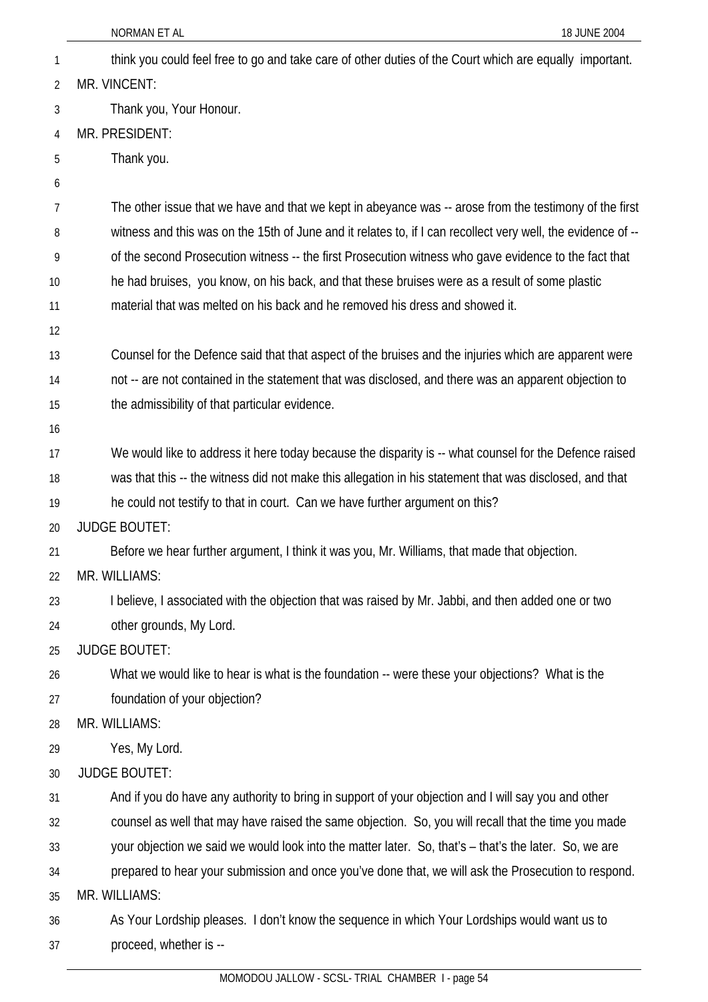| 1  | think you could feel free to go and take care of other duties of the Court which are equally important.      |  |  |
|----|--------------------------------------------------------------------------------------------------------------|--|--|
| 2  | MR. VINCENT:                                                                                                 |  |  |
| 3  | Thank you, Your Honour.                                                                                      |  |  |
| 4  | MR. PRESIDENT:                                                                                               |  |  |
| 5  | Thank you.                                                                                                   |  |  |
| 6  |                                                                                                              |  |  |
| 7  | The other issue that we have and that we kept in abeyance was -- arose from the testimony of the first       |  |  |
| 8  | witness and this was on the 15th of June and it relates to, if I can recollect very well, the evidence of -- |  |  |
| 9  | of the second Prosecution witness -- the first Prosecution witness who gave evidence to the fact that        |  |  |
| 10 | he had bruises, you know, on his back, and that these bruises were as a result of some plastic               |  |  |
| 11 | material that was melted on his back and he removed his dress and showed it.                                 |  |  |
| 12 |                                                                                                              |  |  |
| 13 | Counsel for the Defence said that that aspect of the bruises and the injuries which are apparent were        |  |  |
| 14 | not -- are not contained in the statement that was disclosed, and there was an apparent objection to         |  |  |
| 15 | the admissibility of that particular evidence.                                                               |  |  |
| 16 |                                                                                                              |  |  |
| 17 | We would like to address it here today because the disparity is -- what counsel for the Defence raised       |  |  |
| 18 | was that this -- the witness did not make this allegation in his statement that was disclosed, and that      |  |  |
| 19 | he could not testify to that in court. Can we have further argument on this?                                 |  |  |
| 20 | <b>JUDGE BOUTET:</b>                                                                                         |  |  |
| 21 | Before we hear further argument, I think it was you, Mr. Williams, that made that objection.                 |  |  |
| 22 | MR. WILLIAMS:                                                                                                |  |  |
| 23 | I believe, I associated with the objection that was raised by Mr. Jabbi, and then added one or two           |  |  |
| 24 | other grounds, My Lord.                                                                                      |  |  |
| 25 | <b>JUDGE BOUTET:</b>                                                                                         |  |  |
| 26 | What we would like to hear is what is the foundation -- were these your objections? What is the              |  |  |
| 27 | foundation of your objection?                                                                                |  |  |
| 28 | MR. WILLIAMS:                                                                                                |  |  |
| 29 | Yes, My Lord.                                                                                                |  |  |
| 30 | <b>JUDGE BOUTET:</b>                                                                                         |  |  |
| 31 | And if you do have any authority to bring in support of your objection and I will say you and other          |  |  |
| 32 | counsel as well that may have raised the same objection. So, you will recall that the time you made          |  |  |
| 33 | your objection we said we would look into the matter later. So, that's - that's the later. So, we are        |  |  |
| 34 | prepared to hear your submission and once you've done that, we will ask the Prosecution to respond.          |  |  |
| 35 | MR. WILLIAMS:                                                                                                |  |  |
| 36 | As Your Lordship pleases. I don't know the sequence in which Your Lordships would want us to                 |  |  |
| 37 | proceed, whether is --                                                                                       |  |  |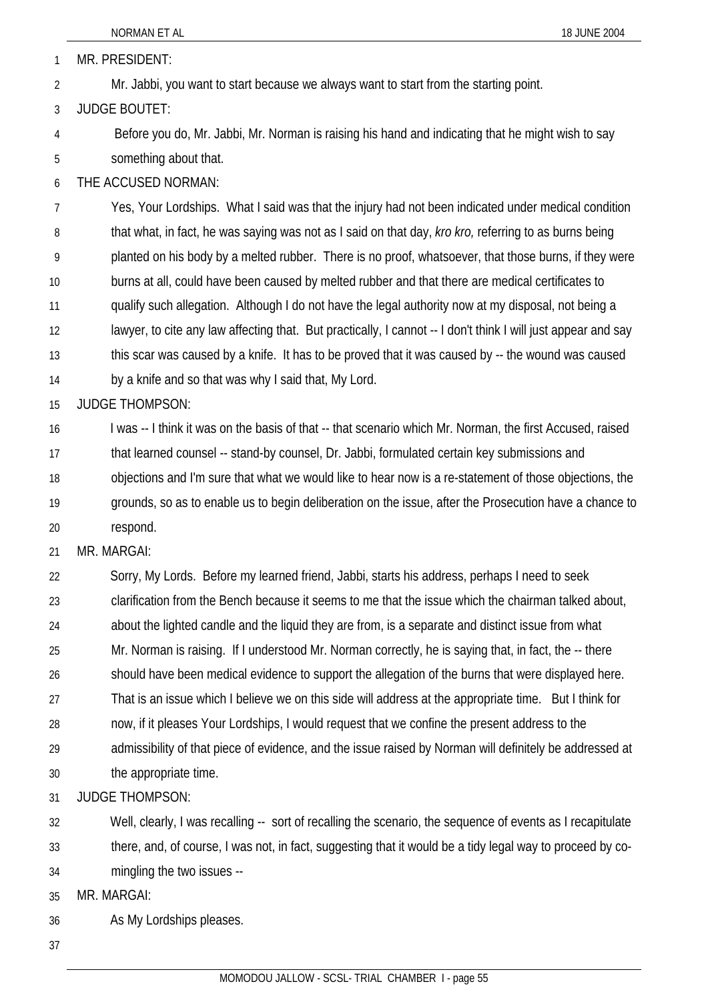MR. PRESIDENT: 1

Mr. Jabbi, you want to start because we always want to start from the starting point. 2

3 JUDGE BOUTET:

4 5 Before you do, Mr. Jabbi, Mr. Norman is raising his hand and indicating that he might wish to say something about that.

6 THE ACCUSED NORMAN:

7 8 9 10 11 12 13 14 Yes, Your Lordships. What I said was that the injury had not been indicated under medical condition that what, in fact, he was saying was not as I said on that day, *kro kro,* referring to as burns being planted on his body by a melted rubber. There is no proof, whatsoever, that those burns, if they were burns at all, could have been caused by melted rubber and that there are medical certificates to qualify such allegation. Although I do not have the legal authority now at my disposal, not being a lawyer, to cite any law affecting that. But practically, I cannot -- I don't think I will just appear and say this scar was caused by a knife. It has to be proved that it was caused by -- the wound was caused by a knife and so that was why I said that, My Lord.

15 JUDGE THOMPSON:

16 17 18 19 I was -- I think it was on the basis of that -- that scenario which Mr. Norman, the first Accused, raised that learned counsel -- stand-by counsel, Dr. Jabbi, formulated certain key submissions and objections and I'm sure that what we would like to hear now is a re-statement of those objections, the grounds, so as to enable us to begin deliberation on the issue, after the Prosecution have a chance to

20 respond.

21 MR. MARGAI:

22 23 24 25 26 27 28 29 30 Sorry, My Lords. Before my learned friend, Jabbi, starts his address, perhaps I need to seek clarification from the Bench because it seems to me that the issue which the chairman talked about, about the lighted candle and the liquid they are from, is a separate and distinct issue from what Mr. Norman is raising. If I understood Mr. Norman correctly, he is saying that, in fact, the -- there should have been medical evidence to support the allegation of the burns that were displayed here. That is an issue which I believe we on this side will address at the appropriate time. But I think for now, if it pleases Your Lordships, I would request that we confine the present address to the admissibility of that piece of evidence, and the issue raised by Norman will definitely be addressed at the appropriate time.

31 JUDGE THOMPSON:

32 33 Well, clearly, I was recalling -- sort of recalling the scenario, the sequence of events as I recapitulate there, and, of course, I was not, in fact, suggesting that it would be a tidy legal way to proceed by co-

34 mingling the two issues --

35 MR. MARGAI:

36 As My Lordships pleases.

37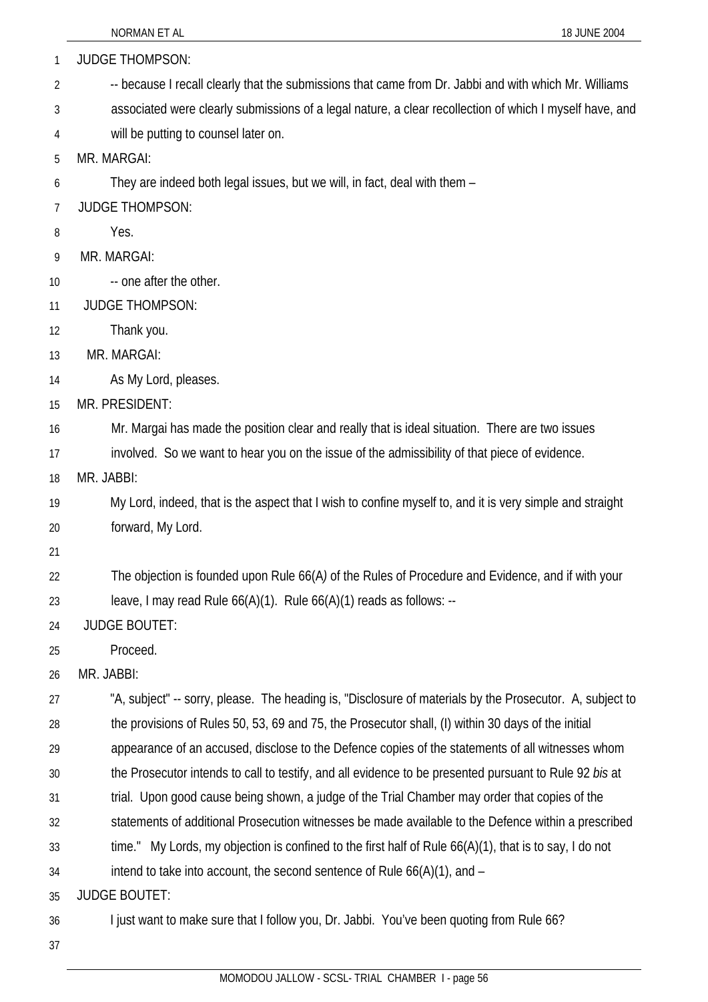|    | 18 JUNE 2004<br>NORMAN ET AL                                                                             |
|----|----------------------------------------------------------------------------------------------------------|
| 1  | <b>JUDGE THOMPSON:</b>                                                                                   |
| 2  | -- because I recall clearly that the submissions that came from Dr. Jabbi and with which Mr. Williams    |
| 3  | associated were clearly submissions of a legal nature, a clear recollection of which I myself have, and  |
| 4  | will be putting to counsel later on.                                                                     |
| 5  | MR. MARGAI:                                                                                              |
| 6  | They are indeed both legal issues, but we will, in fact, deal with them -                                |
| 7  | <b>JUDGE THOMPSON:</b>                                                                                   |
| 8  | Yes.                                                                                                     |
| 9  | MR. MARGAI:                                                                                              |
| 10 | -- one after the other.                                                                                  |
| 11 | <b>JUDGE THOMPSON:</b>                                                                                   |
| 12 | Thank you.                                                                                               |
| 13 | MR. MARGAI:                                                                                              |
| 14 | As My Lord, pleases.                                                                                     |
| 15 | MR. PRESIDENT:                                                                                           |
| 16 | Mr. Margai has made the position clear and really that is ideal situation. There are two issues          |
| 17 | involved. So we want to hear you on the issue of the admissibility of that piece of evidence.            |
| 18 | MR. JABBI:                                                                                               |
| 19 | My Lord, indeed, that is the aspect that I wish to confine myself to, and it is very simple and straight |
| 20 | forward, My Lord.                                                                                        |
| 21 |                                                                                                          |
| 22 | The objection is founded upon Rule 66(A) of the Rules of Procedure and Evidence, and if with your        |
| 23 | leave, I may read Rule $66(A)(1)$ . Rule $66(A)(1)$ reads as follows: --                                 |
| 24 | <b>JUDGE BOUTET:</b>                                                                                     |
| 25 | Proceed.                                                                                                 |
| 26 | MR. JABBI:                                                                                               |
| 27 | "A, subject" -- sorry, please. The heading is, "Disclosure of materials by the Prosecutor. A, subject to |
| 28 | the provisions of Rules 50, 53, 69 and 75, the Prosecutor shall, (I) within 30 days of the initial       |
| 29 | appearance of an accused, disclose to the Defence copies of the statements of all witnesses whom         |
| 30 | the Prosecutor intends to call to testify, and all evidence to be presented pursuant to Rule 92 bis at   |
| 31 | trial. Upon good cause being shown, a judge of the Trial Chamber may order that copies of the            |
| 32 | statements of additional Prosecution witnesses be made available to the Defence within a prescribed      |
| 33 | time." My Lords, my objection is confined to the first half of Rule 66(A)(1), that is to say, I do not   |
| 34 | intend to take into account, the second sentence of Rule $66(A)(1)$ , and $-$                            |
| 35 | <b>JUDGE BOUTET:</b>                                                                                     |
| 36 | I just want to make sure that I follow you, Dr. Jabbi. You've been quoting from Rule 66?                 |
| 37 |                                                                                                          |
|    |                                                                                                          |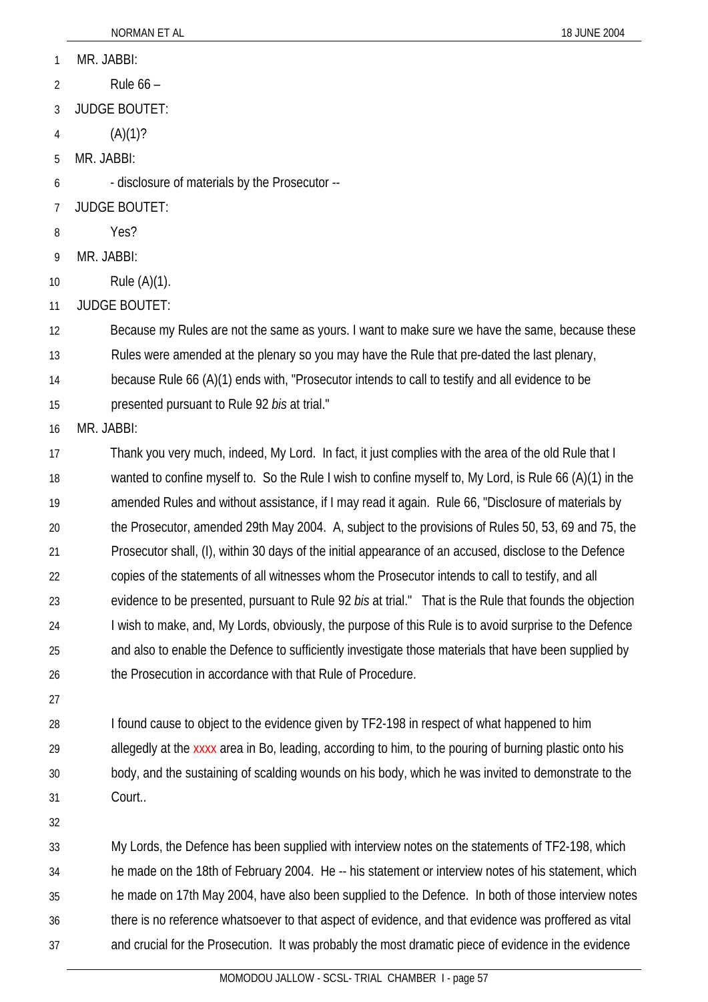- 1 MR. JABBI:
- 2 Rule 66 –
- 3 JUDGE BOUTET:
- 4  $(A)(1)?$
- 5 MR. JABBI:
- 6 - disclosure of materials by the Prosecutor --
- 7 JUDGE BOUTET:
- 8 Yes?
- 9 MR. JABBI:
- 10 Rule (A)(1).
- 11 JUDGE BOUTET:
- 12 Because my Rules are not the same as yours. I want to make sure we have the same, because these
- 13 Rules were amended at the plenary so you may have the Rule that pre-dated the last plenary,
- 14 because Rule 66 (A)(1) ends with, "Prosecutor intends to call to testify and all evidence to be
- 15 presented pursuant to Rule 92 *bis* at trial."
- 16 MR. JABBI:
- 17 18 19 20 21 22 23 24 25 26 Thank you very much, indeed, My Lord. In fact, it just complies with the area of the old Rule that I wanted to confine myself to. So the Rule I wish to confine myself to, My Lord, is Rule 66 (A)(1) in the amended Rules and without assistance, if I may read it again. Rule 66, "Disclosure of materials by the Prosecutor, amended 29th May 2004. A, subject to the provisions of Rules 50, 53, 69 and 75, the Prosecutor shall, (I), within 30 days of the initial appearance of an accused, disclose to the Defence copies of the statements of all witnesses whom the Prosecutor intends to call to testify, and all evidence to be presented, pursuant to Rule 92 *bis* at trial." That is the Rule that founds the objection I wish to make, and, My Lords, obviously, the purpose of this Rule is to avoid surprise to the Defence and also to enable the Defence to sufficiently investigate those materials that have been supplied by the Prosecution in accordance with that Rule of Procedure.
- 27

28 29 30 31 I found cause to object to the evidence given by TF2-198 in respect of what happened to him allegedly at the xxxx area in Bo, leading, according to him, to the pouring of burning plastic onto his body, and the sustaining of scalding wounds on his body, which he was invited to demonstrate to the Court..

32

33 34 35 36 37 My Lords, the Defence has been supplied with interview notes on the statements of TF2-198, which he made on the 18th of February 2004. He -- his statement or interview notes of his statement, which he made on 17th May 2004, have also been supplied to the Defence. In both of those interview notes there is no reference whatsoever to that aspect of evidence, and that evidence was proffered as vital and crucial for the Prosecution. It was probably the most dramatic piece of evidence in the evidence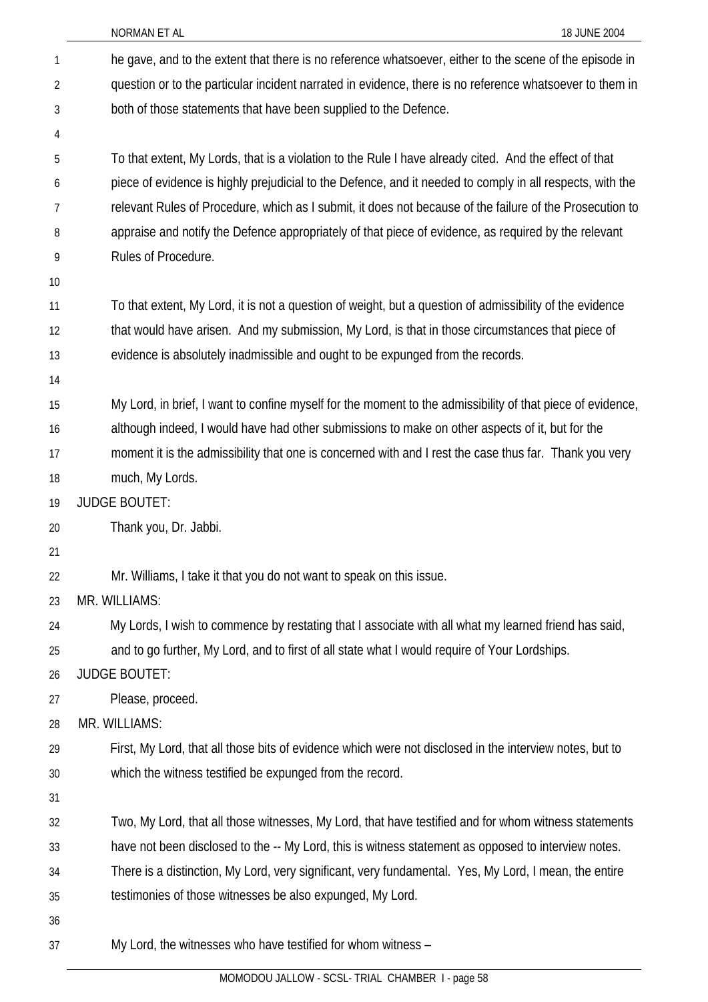| 1  | he gave, and to the extent that there is no reference whatsoever, either to the scene of the episode in    |  |  |
|----|------------------------------------------------------------------------------------------------------------|--|--|
| 2  | question or to the particular incident narrated in evidence, there is no reference whatsoever to them in   |  |  |
| 3  | both of those statements that have been supplied to the Defence.                                           |  |  |
| 4  |                                                                                                            |  |  |
| 5  | To that extent, My Lords, that is a violation to the Rule I have already cited. And the effect of that     |  |  |
| 6  | piece of evidence is highly prejudicial to the Defence, and it needed to comply in all respects, with the  |  |  |
| 7  | relevant Rules of Procedure, which as I submit, it does not because of the failure of the Prosecution to   |  |  |
| 8  | appraise and notify the Defence appropriately of that piece of evidence, as required by the relevant       |  |  |
| 9  | Rules of Procedure.                                                                                        |  |  |
| 10 |                                                                                                            |  |  |
| 11 | To that extent, My Lord, it is not a question of weight, but a question of admissibility of the evidence   |  |  |
| 12 | that would have arisen. And my submission, My Lord, is that in those circumstances that piece of           |  |  |
| 13 | evidence is absolutely inadmissible and ought to be expunged from the records.                             |  |  |
| 14 |                                                                                                            |  |  |
| 15 | My Lord, in brief, I want to confine myself for the moment to the admissibility of that piece of evidence, |  |  |
| 16 | although indeed, I would have had other submissions to make on other aspects of it, but for the            |  |  |
| 17 | moment it is the admissibility that one is concerned with and I rest the case thus far. Thank you very     |  |  |
| 18 | much, My Lords.                                                                                            |  |  |
| 19 | <b>JUDGE BOUTET:</b>                                                                                       |  |  |
| 20 | Thank you, Dr. Jabbi.                                                                                      |  |  |
| 21 |                                                                                                            |  |  |
| 22 | Mr. Williams, I take it that you do not want to speak on this issue.                                       |  |  |
| 23 | MR. WILLIAMS:                                                                                              |  |  |
| 24 | My Lords, I wish to commence by restating that I associate with all what my learned friend has said,       |  |  |
| 25 | and to go further, My Lord, and to first of all state what I would require of Your Lordships.              |  |  |
| 26 | <b>JUDGE BOUTET:</b>                                                                                       |  |  |
| 27 | Please, proceed.                                                                                           |  |  |
| 28 | MR. WILLIAMS:                                                                                              |  |  |
| 29 | First, My Lord, that all those bits of evidence which were not disclosed in the interview notes, but to    |  |  |
| 30 | which the witness testified be expunged from the record.                                                   |  |  |
| 31 |                                                                                                            |  |  |
| 32 | Two, My Lord, that all those witnesses, My Lord, that have testified and for whom witness statements       |  |  |
| 33 | have not been disclosed to the -- My Lord, this is witness statement as opposed to interview notes.        |  |  |
| 34 | There is a distinction, My Lord, very significant, very fundamental. Yes, My Lord, I mean, the entire      |  |  |
| 35 | testimonies of those witnesses be also expunged, My Lord.                                                  |  |  |
| 36 |                                                                                                            |  |  |
| 37 | My Lord, the witnesses who have testified for whom witness -                                               |  |  |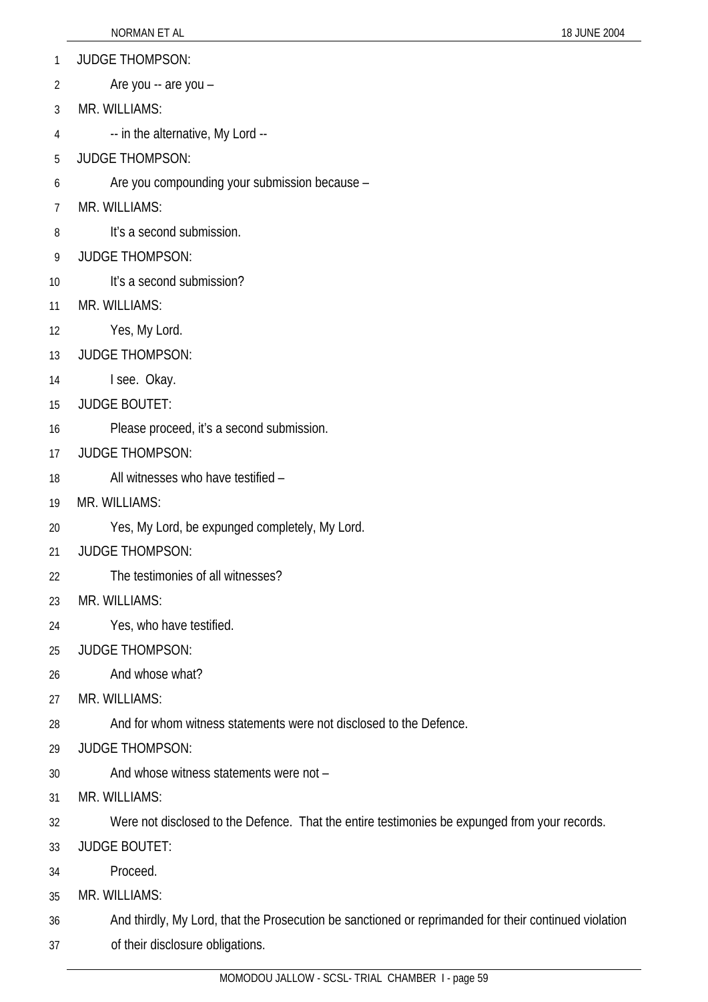- 2 Are you -- are you –
- 3 MR. WILLIAMS:
- 4 -- in the alternative, My Lord --
- 5 JUDGE THOMPSON:
- 6 Are you compounding your submission because –
- 7 MR. WILLIAMS:
- 8 It's a second submission.
- 9 JUDGE THOMPSON:
- 10 It's a second submission?
- 11 MR. WILLIAMS:
- 12 Yes, My Lord.
- 13 JUDGE THOMPSON:
- 14 I see. Okay.
- 15 JUDGE BOUTET:
- 16 Please proceed, it's a second submission.
- 17 JUDGE THOMPSON:
- 18 All witnesses who have testified –
- 19 MR. WILLIAMS:
- 20 Yes, My Lord, be expunged completely, My Lord.
- 21 JUDGE THOMPSON:
- 22 The testimonies of all witnesses?
- 23 MR. WILLIAMS:
- 24 Yes, who have testified.
- 25 JUDGE THOMPSON:
- 26 And whose what?
- 27 MR. WILLIAMS:
- 28 And for whom witness statements were not disclosed to the Defence.
- 29 JUDGE THOMPSON:
- 30 And whose witness statements were not –
- 31 MR. WILLIAMS:
- 32 Were not disclosed to the Defence. That the entire testimonies be expunged from your records.
- 33 JUDGE BOUTET:
- 34 Proceed.
- 35 MR. WILLIAMS:
- 36 37 And thirdly, My Lord, that the Prosecution be sanctioned or reprimanded for their continued violation of their disclosure obligations.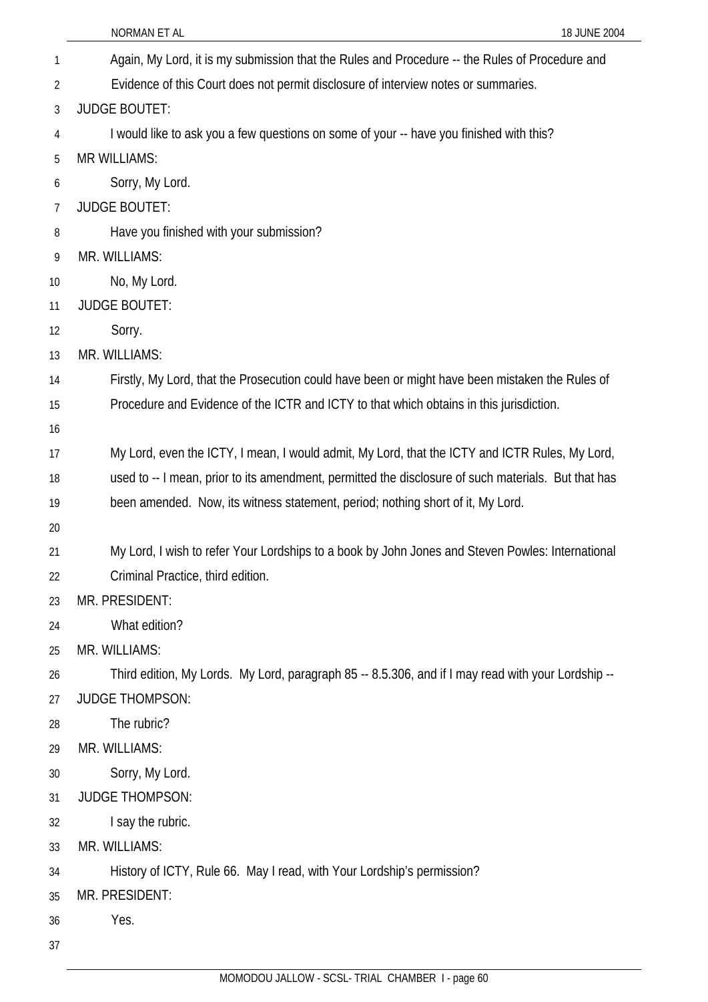|    | NORMAN ET AL<br>18 JUNE 2004                                                                        |
|----|-----------------------------------------------------------------------------------------------------|
| 1  | Again, My Lord, it is my submission that the Rules and Procedure -- the Rules of Procedure and      |
| 2  | Evidence of this Court does not permit disclosure of interview notes or summaries.                  |
| 3  | <b>JUDGE BOUTET:</b>                                                                                |
| 4  | I would like to ask you a few questions on some of your -- have you finished with this?             |
| 5  | <b>MR WILLIAMS:</b>                                                                                 |
| 6  | Sorry, My Lord.                                                                                     |
| 7  | <b>JUDGE BOUTET:</b>                                                                                |
| 8  | Have you finished with your submission?                                                             |
| 9  | MR. WILLIAMS:                                                                                       |
| 10 | No, My Lord.                                                                                        |
| 11 | <b>JUDGE BOUTET:</b>                                                                                |
| 12 | Sorry.                                                                                              |
| 13 | MR. WILLIAMS:                                                                                       |
| 14 | Firstly, My Lord, that the Prosecution could have been or might have been mistaken the Rules of     |
| 15 | Procedure and Evidence of the ICTR and ICTY to that which obtains in this jurisdiction.             |
| 16 |                                                                                                     |
| 17 | My Lord, even the ICTY, I mean, I would admit, My Lord, that the ICTY and ICTR Rules, My Lord,      |
| 18 | used to -- I mean, prior to its amendment, permitted the disclosure of such materials. But that has |
| 19 | been amended. Now, its witness statement, period; nothing short of it, My Lord.                     |
| 20 |                                                                                                     |
| 21 | My Lord, I wish to refer Your Lordships to a book by John Jones and Steven Powles: International    |
| 22 | Criminal Practice, third edition.                                                                   |
| 23 | MR. PRESIDENT:                                                                                      |
| 24 | What edition?                                                                                       |
| 25 | MR. WILLIAMS:                                                                                       |
| 26 | Third edition, My Lords. My Lord, paragraph 85 -- 8.5.306, and if I may read with your Lordship --  |
| 27 | <b>JUDGE THOMPSON:</b>                                                                              |
| 28 | The rubric?                                                                                         |
| 29 | MR. WILLIAMS:                                                                                       |
| 30 | Sorry, My Lord.                                                                                     |
| 31 | <b>JUDGE THOMPSON:</b>                                                                              |
| 32 | I say the rubric.                                                                                   |
| 33 | MR. WILLIAMS:                                                                                       |
| 34 | History of ICTY, Rule 66. May I read, with Your Lordship's permission?                              |
| 35 | MR. PRESIDENT:                                                                                      |
| 36 | Yes.                                                                                                |
| 37 |                                                                                                     |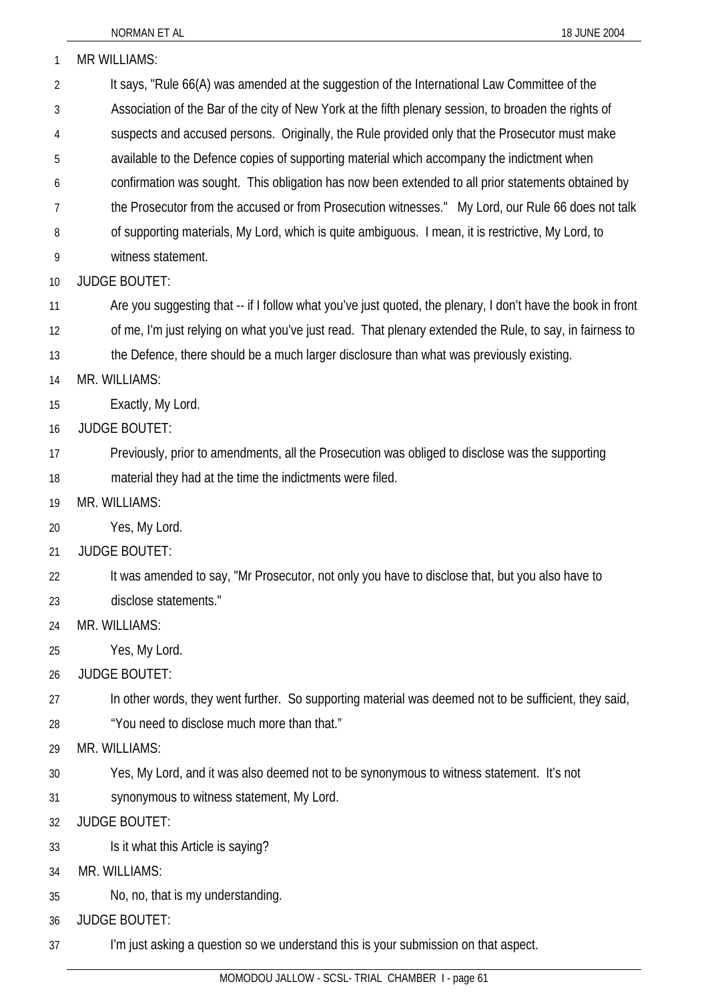37

1 MR WILLIAMS: 2 3 4 5 6 7 8 9 10 11 12 13 14 15 16 17 18 19 20 21 22 23 24 25  $26$ 27 28 29 30 31 32 33 34 35 36 It says, "Rule 66(A) was amended at the suggestion of the International Law Committee of the Association of the Bar of the city of New York at the fifth plenary session, to broaden the rights of suspects and accused persons. Originally, the Rule provided only that the Prosecutor must make available to the Defence copies of supporting material which accompany the indictment when confirmation was sought. This obligation has now been extended to all prior statements obtained by the Prosecutor from the accused or from Prosecution witnesses." My Lord, our Rule 66 does not talk of supporting materials, My Lord, which is quite ambiguous. I mean, it is restrictive, My Lord, to witness statement. JUDGE BOUTET: Are you suggesting that -- if I follow what you've just quoted, the plenary, I don't have the book in front of me, I'm just relying on what you've just read. That plenary extended the Rule, to say, in fairness to the Defence, there should be a much larger disclosure than what was previously existing. MR. WILLIAMS: Exactly, My Lord. JUDGE BOUTET: Previously, prior to amendments, all the Prosecution was obliged to disclose was the supporting material they had at the time the indictments were filed. MR. WILLIAMS: Yes, My Lord. JUDGE BOUTET: It was amended to say, "Mr Prosecutor, not only you have to disclose that, but you also have to disclose statements." MR. WILLIAMS: Yes, My Lord. JUDGE BOUTET: In other words, they went further. So supporting material was deemed not to be sufficient, they said, "You need to disclose much more than that." MR. WILLIAMS: Yes, My Lord, and it was also deemed not to be synonymous to witness statement. It's not synonymous to witness statement, My Lord. JUDGE BOUTET: Is it what this Article is saying? MR. WILLIAMS: No, no, that is my understanding. JUDGE BOUTET:

I'm just asking a question so we understand this is your submission on that aspect.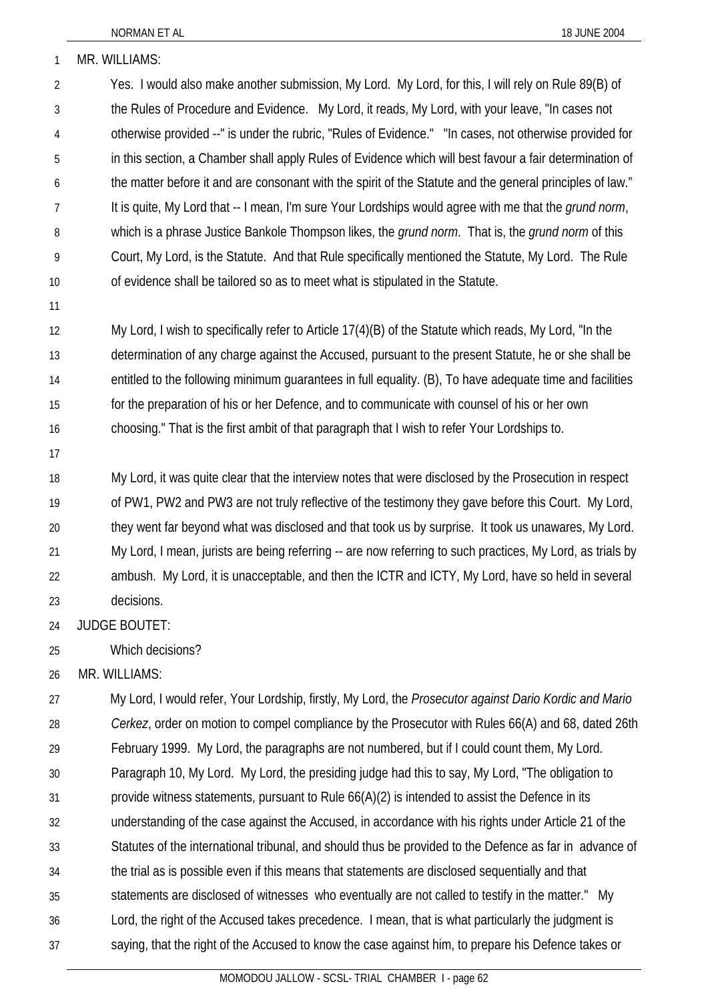1 MR. WILLIAMS:

2 3 4 5 6 7 8 9 10 Yes. I would also make another submission, My Lord. My Lord, for this, I will rely on Rule 89(B) of the Rules of Procedure and Evidence. My Lord, it reads, My Lord, with your leave, "In cases not otherwise provided --" is under the rubric, "Rules of Evidence." "In cases, not otherwise provided for in this section, a Chamber shall apply Rules of Evidence which will best favour a fair determination of the matter before it and are consonant with the spirit of the Statute and the general principles of law." It is quite, My Lord that -- I mean, I'm sure Your Lordships would agree with me that the *grund norm*, which is a phrase Justice Bankole Thompson likes, the *grund norm*. That is, the *grund norm* of this Court, My Lord, is the Statute. And that Rule specifically mentioned the Statute, My Lord. The Rule of evidence shall be tailored so as to meet what is stipulated in the Statute.

11

12 13 14 15 My Lord, I wish to specifically refer to Article 17(4)(B) of the Statute which reads, My Lord, "In the determination of any charge against the Accused, pursuant to the present Statute, he or she shall be entitled to the following minimum guarantees in full equality. (B), To have adequate time and facilities for the preparation of his or her Defence, and to communicate with counsel of his or her own

16 choosing." That is the first ambit of that paragraph that I wish to refer Your Lordships to.

17

18 19 20 21 22 23 My Lord, it was quite clear that the interview notes that were disclosed by the Prosecution in respect of PW1, PW2 and PW3 are not truly reflective of the testimony they gave before this Court. My Lord, they went far beyond what was disclosed and that took us by surprise. It took us unawares, My Lord. My Lord, I mean, jurists are being referring -- are now referring to such practices, My Lord, as trials by ambush. My Lord, it is unacceptable, and then the ICTR and ICTY, My Lord, have so held in several decisions.

24 JUDGE BOUTET:

25 Which decisions?

26 MR. WILLIAMS:

27 28 29 30 31 32 33 34 35 36 37 My Lord, I would refer, Your Lordship, firstly, My Lord, the *Prosecutor against Dario Kordic and Mario Cerkez*, order on motion to compel compliance by the Prosecutor with Rules 66(A) and 68, dated 26th February 1999. My Lord, the paragraphs are not numbered, but if I could count them, My Lord. Paragraph 10, My Lord. My Lord, the presiding judge had this to say, My Lord, "The obligation to provide witness statements, pursuant to Rule 66(A)(2) is intended to assist the Defence in its understanding of the case against the Accused, in accordance with his rights under Article 21 of the Statutes of the international tribunal, and should thus be provided to the Defence as far in advance of the trial as is possible even if this means that statements are disclosed sequentially and that statements are disclosed of witnesses who eventually are not called to testify in the matter." My Lord, the right of the Accused takes precedence. I mean, that is what particularly the judgment is saying, that the right of the Accused to know the case against him, to prepare his Defence takes or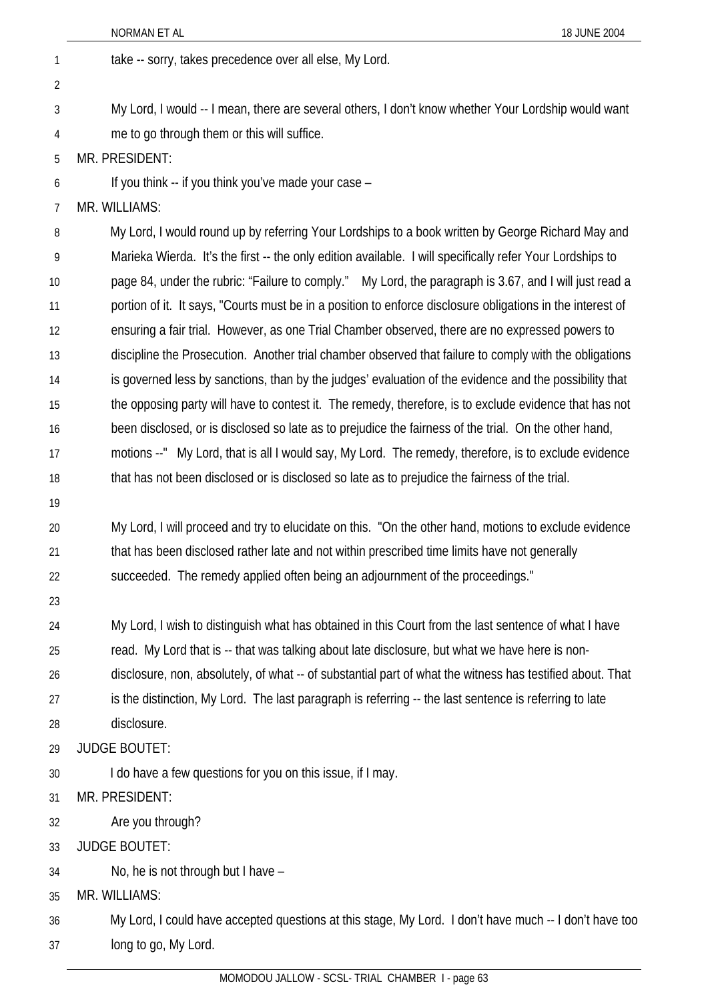|                | NORMAN ET AL<br>18 JUNE 2004                                                                                                   |
|----------------|--------------------------------------------------------------------------------------------------------------------------------|
| 1              | take -- sorry, takes precedence over all else, My Lord.                                                                        |
| $\overline{2}$ |                                                                                                                                |
| 3              | My Lord, I would -- I mean, there are several others, I don't know whether Your Lordship would want                            |
| 4              | me to go through them or this will suffice.                                                                                    |
| 5              | MR. PRESIDENT:                                                                                                                 |
| 6              | If you think -- if you think you've made your case -                                                                           |
| 7              | MR. WILLIAMS:                                                                                                                  |
| 8              | My Lord, I would round up by referring Your Lordships to a book written by George Richard May and                              |
| 9              | Marieka Wierda. It's the first -- the only edition available. I will specifically refer Your Lordships to                      |
| 10             | page 84, under the rubric: "Failure to comply." My Lord, the paragraph is 3.67, and I will just read a                         |
| 11             | portion of it. It says, "Courts must be in a position to enforce disclosure obligations in the interest of                     |
| 12             | ensuring a fair trial. However, as one Trial Chamber observed, there are no expressed powers to                                |
| 13             | discipline the Prosecution. Another trial chamber observed that failure to comply with the obligations                         |
| 14             | is governed less by sanctions, than by the judges' evaluation of the evidence and the possibility that                         |
| 15             | the opposing party will have to contest it. The remedy, therefore, is to exclude evidence that has not                         |
| 16             | been disclosed, or is disclosed so late as to prejudice the fairness of the trial. On the other hand,                          |
| 17             | motions --" My Lord, that is all I would say, My Lord. The remedy, therefore, is to exclude evidence                           |
| 18             | that has not been disclosed or is disclosed so late as to prejudice the fairness of the trial.                                 |
| 19             |                                                                                                                                |
| 20             | My Lord, I will proceed and try to elucidate on this. "On the other hand, motions to exclude evidence                          |
| 21             | that has been disclosed rather late and not within prescribed time limits have not generally                                   |
| 22             | succeeded. The remedy applied often being an adjournment of the proceedings."                                                  |
| 23             |                                                                                                                                |
| 24             | My Lord, I wish to distinguish what has obtained in this Court from the last sentence of what I have                           |
| 25             | read. My Lord that is -- that was talking about late disclosure, but what we have here is non-                                 |
| 26             | disclosure, non, absolutely, of what -- of substantial part of what the witness has testified about. That                      |
| 27             | is the distinction, My Lord. The last paragraph is referring -- the last sentence is referring to late                         |
| 28             | disclosure.                                                                                                                    |
| 29             | <b>JUDGE BOUTET:</b>                                                                                                           |
| 30             | I do have a few questions for you on this issue, if I may.                                                                     |
| 31             | MR. PRESIDENT:                                                                                                                 |
| 32             | Are you through?                                                                                                               |
| 33             | <b>JUDGE BOUTET:</b>                                                                                                           |
| 34             | No, he is not through but I have -                                                                                             |
| 35             | MR. WILLIAMS:                                                                                                                  |
| 36<br>37       | My Lord, I could have accepted questions at this stage, My Lord. I don't have much -- I don't have too<br>long to go, My Lord. |
|                |                                                                                                                                |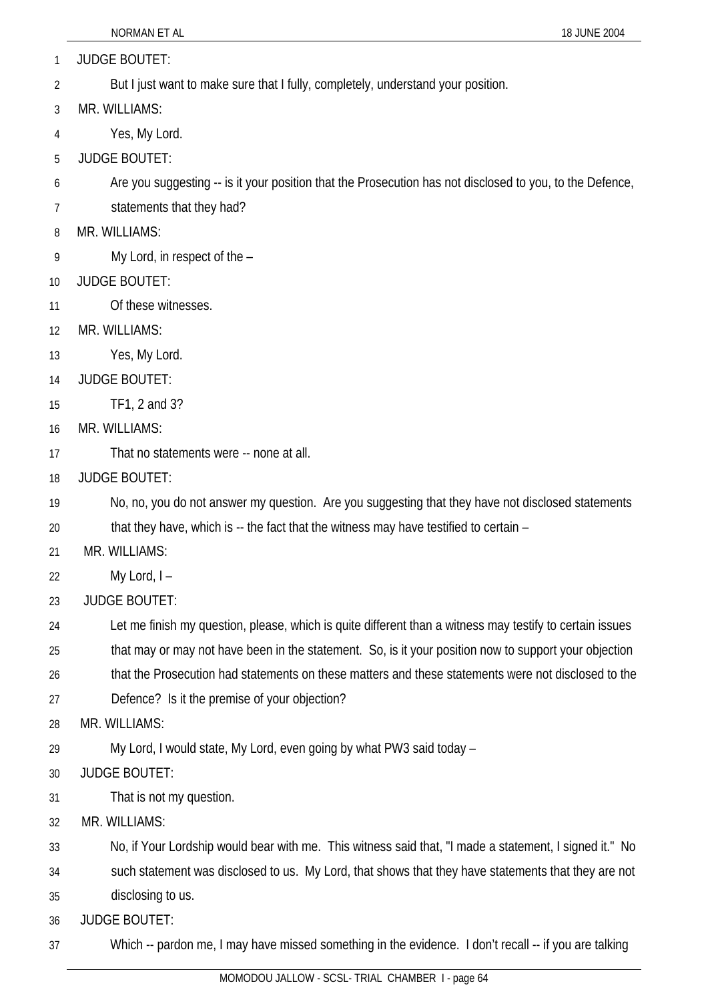|    | NORMAN ET AL                                                                                             | 18 JUNE 2004 |
|----|----------------------------------------------------------------------------------------------------------|--------------|
| 1  | <b>JUDGE BOUTET:</b>                                                                                     |              |
| 2  | But I just want to make sure that I fully, completely, understand your position.                         |              |
| 3  | MR. WILLIAMS:                                                                                            |              |
| 4  | Yes, My Lord.                                                                                            |              |
| 5  | <b>JUDGE BOUTET:</b>                                                                                     |              |
| 6  | Are you suggesting -- is it your position that the Prosecution has not disclosed to you, to the Defence, |              |
| 7  | statements that they had?                                                                                |              |
| 8  | MR. WILLIAMS:                                                                                            |              |
| 9  | My Lord, in respect of the -                                                                             |              |
| 10 | <b>JUDGE BOUTET:</b>                                                                                     |              |
| 11 | Of these witnesses.                                                                                      |              |
| 12 | MR. WILLIAMS:                                                                                            |              |
| 13 | Yes, My Lord.                                                                                            |              |
| 14 | <b>JUDGE BOUTET:</b>                                                                                     |              |
| 15 | TF1, 2 and 3?                                                                                            |              |
| 16 | MR. WILLIAMS:                                                                                            |              |
| 17 | That no statements were -- none at all.                                                                  |              |
| 18 | <b>JUDGE BOUTET:</b>                                                                                     |              |
| 19 | No, no, you do not answer my question. Are you suggesting that they have not disclosed statements        |              |
| 20 | that they have, which is -- the fact that the witness may have testified to certain -                    |              |
| 21 | MR. WILLIAMS:                                                                                            |              |
| 22 | My Lord, $I -$                                                                                           |              |
| 23 | <b>JUDGE BOUTET:</b>                                                                                     |              |
| 24 | Let me finish my question, please, which is quite different than a witness may testify to certain issues |              |
| 25 | that may or may not have been in the statement. So, is it your position now to support your objection    |              |
| 26 | that the Prosecution had statements on these matters and these statements were not disclosed to the      |              |
| 27 | Defence? Is it the premise of your objection?                                                            |              |
| 28 | MR. WILLIAMS:                                                                                            |              |
| 29 | My Lord, I would state, My Lord, even going by what PW3 said today -                                     |              |
| 30 | <b>JUDGE BOUTET:</b>                                                                                     |              |
| 31 | That is not my question.                                                                                 |              |
| 32 | MR. WILLIAMS:                                                                                            |              |
| 33 | No, if Your Lordship would bear with me. This witness said that, "I made a statement, I signed it." No   |              |
| 34 | such statement was disclosed to us. My Lord, that shows that they have statements that they are not      |              |
| 35 | disclosing to us.                                                                                        |              |
| 36 | <b>JUDGE BOUTET:</b>                                                                                     |              |
| 37 | Which -- pardon me, I may have missed something in the evidence. I don't recall -- if you are talking    |              |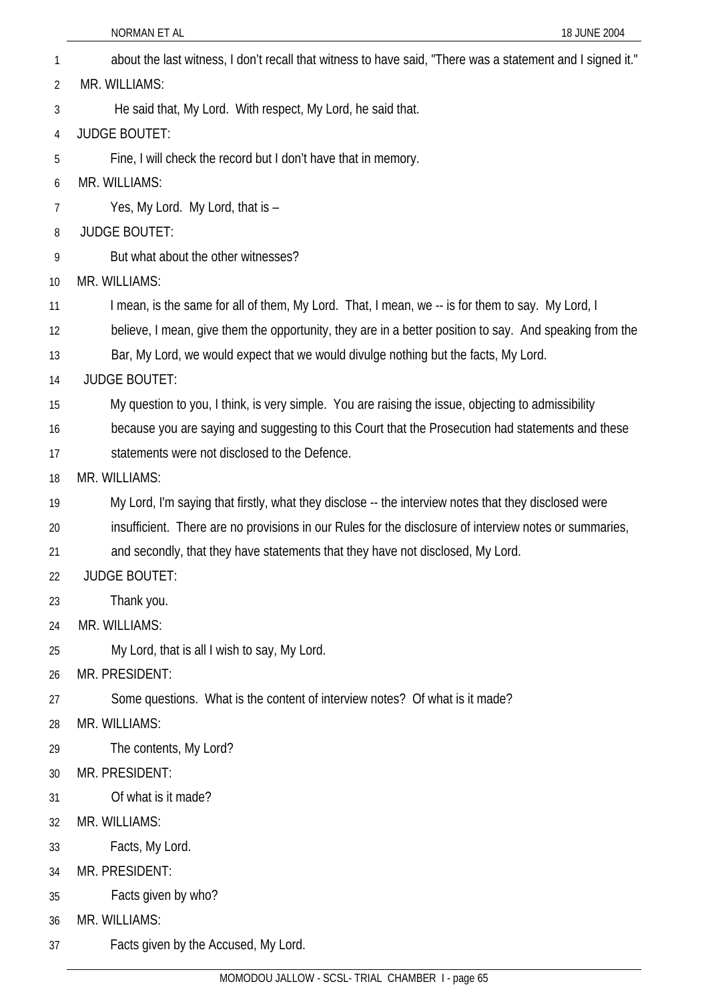| 1              | about the last witness, I don't recall that witness to have said, "There was a statement and I signed it." |
|----------------|------------------------------------------------------------------------------------------------------------|
| 2              | MR. WILLIAMS:                                                                                              |
| 3              | He said that, My Lord. With respect, My Lord, he said that.                                                |
| 4              | <b>JUDGE BOUTET:</b>                                                                                       |
| 5              | Fine, I will check the record but I don't have that in memory.                                             |
| 6              | MR. WILLIAMS:                                                                                              |
| $\overline{7}$ | Yes, My Lord. My Lord, that is -                                                                           |
| 8              | <b>JUDGE BOUTET:</b>                                                                                       |
| 9              | But what about the other witnesses?                                                                        |
| 10             | MR. WILLIAMS:                                                                                              |
| 11             | I mean, is the same for all of them, My Lord. That, I mean, we -- is for them to say. My Lord, I           |
| 12             | believe, I mean, give them the opportunity, they are in a better position to say. And speaking from the    |
| 13             | Bar, My Lord, we would expect that we would divulge nothing but the facts, My Lord.                        |
| 14             | <b>JUDGE BOUTET:</b>                                                                                       |
| 15             | My question to you, I think, is very simple. You are raising the issue, objecting to admissibility         |
| 16             | because you are saying and suggesting to this Court that the Prosecution had statements and these          |
| 17             | statements were not disclosed to the Defence.                                                              |
| 18             | MR. WILLIAMS:                                                                                              |
| 19             | My Lord, I'm saying that firstly, what they disclose -- the interview notes that they disclosed were       |
| 20             | insufficient. There are no provisions in our Rules for the disclosure of interview notes or summaries,     |
| 21             | and secondly, that they have statements that they have not disclosed, My Lord.                             |
| 22             | <b>JUDGE BOUTET:</b>                                                                                       |
| 23             | Thank you.                                                                                                 |
| 24             | MR. WILLIAMS:                                                                                              |
| 25             | My Lord, that is all I wish to say, My Lord.                                                               |
| 26             | MR. PRESIDENT:                                                                                             |
| 27             | Some questions. What is the content of interview notes? Of what is it made?                                |
| 28             | MR. WILLIAMS:                                                                                              |
| 29             | The contents, My Lord?                                                                                     |
| 30             | MR. PRESIDENT:                                                                                             |
| 31             | Of what is it made?                                                                                        |
| 32             | MR. WILLIAMS:                                                                                              |
| 33             | Facts, My Lord.                                                                                            |
| 34             | MR. PRESIDENT:                                                                                             |
| 35             | Facts given by who?                                                                                        |
| 36             | MR. WILLIAMS:                                                                                              |

37 Facts given by the Accused, My Lord.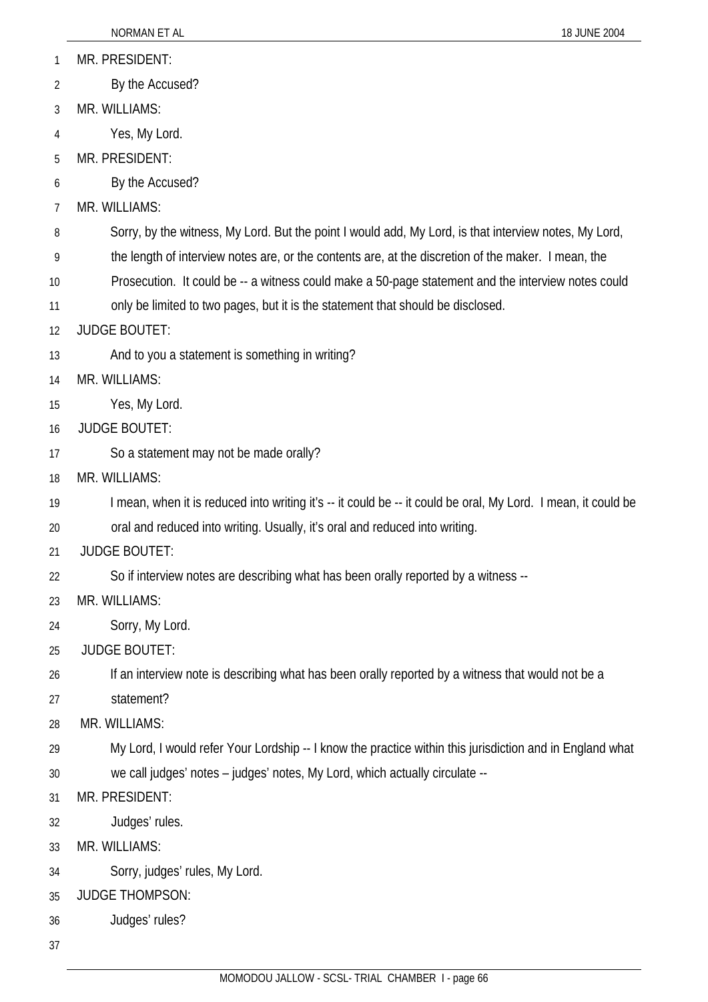- MR. PRESIDENT: 1
- By the Accused? 2
- 3 MR. WILLIAMS:
- 4 Yes, My Lord.
- 5 MR. PRESIDENT:
- 6 By the Accused?
- 7 MR. WILLIAMS:
- 8 Sorry, by the witness, My Lord. But the point I would add, My Lord, is that interview notes, My Lord,
- 9 the length of interview notes are, or the contents are, at the discretion of the maker. I mean, the
- 10 Prosecution. It could be -- a witness could make a 50-page statement and the interview notes could
- 11 only be limited to two pages, but it is the statement that should be disclosed.
- 12 JUDGE BOUTET:
- 13 And to you a statement is something in writing?
- 14 MR. WILLIAMS:
- 15 Yes, My Lord.
- 16 JUDGE BOUTET:
- 17 So a statement may not be made orally?
- 18 MR. WILLIAMS:
- 19 I mean, when it is reduced into writing it's -- it could be -- it could be oral, My Lord. I mean, it could be
- 20 oral and reduced into writing. Usually, it's oral and reduced into writing.
- 21 JUDGE BOUTET:
- 22 So if interview notes are describing what has been orally reported by a witness --
- 23 MR. WILLIAMS:
- 24 Sorry, My Lord.
- 25 JUDGE BOUTET:
- 26 If an interview note is describing what has been orally reported by a witness that would not be a
- 27 statement?
- 28 MR. WILLIAMS:
- 29 My Lord, I would refer Your Lordship -- I know the practice within this jurisdiction and in England what
- 30 we call judges' notes – judges' notes, My Lord, which actually circulate --
- 31 MR. PRESIDENT:
- 32 Judges' rules.
- 33 MR. WILLIAMS:
- 34 Sorry, judges' rules, My Lord.
- 35 JUDGE THOMPSON:
- 36 Judges' rules?
- 37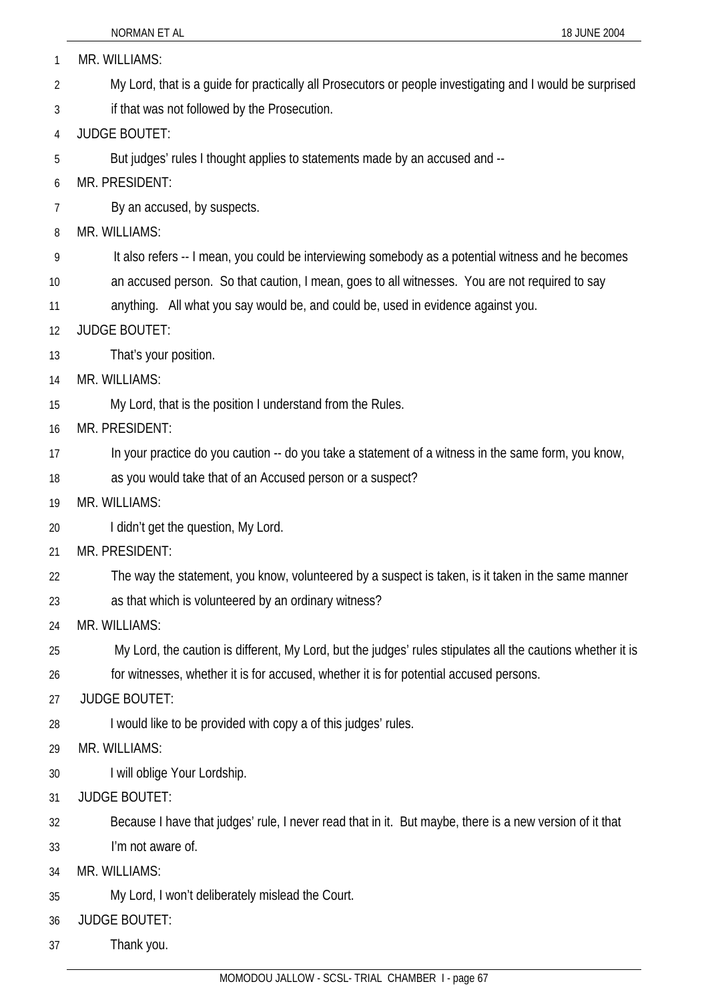| 1  | MR. WILLIAMS:                                                                                               |
|----|-------------------------------------------------------------------------------------------------------------|
| 2  | My Lord, that is a guide for practically all Prosecutors or people investigating and I would be surprised   |
| 3  | if that was not followed by the Prosecution.                                                                |
| 4  | <b>JUDGE BOUTET:</b>                                                                                        |
| 5  | But judges' rules I thought applies to statements made by an accused and --                                 |
| 6  | MR. PRESIDENT:                                                                                              |
| 7  | By an accused, by suspects.                                                                                 |
| 8  | MR. WILLIAMS:                                                                                               |
| 9  | It also refers -- I mean, you could be interviewing somebody as a potential witness and he becomes          |
| 10 | an accused person. So that caution, I mean, goes to all witnesses. You are not required to say              |
| 11 | anything. All what you say would be, and could be, used in evidence against you.                            |
| 12 | <b>JUDGE BOUTET:</b>                                                                                        |
| 13 | That's your position.                                                                                       |
| 14 | MR. WILLIAMS:                                                                                               |
| 15 | My Lord, that is the position I understand from the Rules.                                                  |
| 16 | MR. PRESIDENT:                                                                                              |
| 17 | In your practice do you caution -- do you take a statement of a witness in the same form, you know,         |
| 18 | as you would take that of an Accused person or a suspect?                                                   |
| 19 | MR. WILLIAMS:                                                                                               |
| 20 | I didn't get the question, My Lord.                                                                         |
| 21 | MR. PRESIDENT:                                                                                              |
| 22 | The way the statement, you know, volunteered by a suspect is taken, is it taken in the same manner          |
| 23 | as that which is volunteered by an ordinary witness?                                                        |
| 24 | MR. WILLIAMS:                                                                                               |
| 25 | My Lord, the caution is different, My Lord, but the judges' rules stipulates all the cautions whether it is |
| 26 | for witnesses, whether it is for accused, whether it is for potential accused persons.                      |
| 27 | <b>JUDGE BOUTET:</b>                                                                                        |
| 28 | I would like to be provided with copy a of this judges' rules.                                              |
| 29 | MR. WILLIAMS:                                                                                               |
| 30 | I will oblige Your Lordship.                                                                                |
| 31 | <b>JUDGE BOUTET:</b>                                                                                        |
| 32 | Because I have that judges' rule, I never read that in it. But maybe, there is a new version of it that     |
| 33 | I'm not aware of.                                                                                           |
| 34 | MR. WILLIAMS:                                                                                               |
| 35 | My Lord, I won't deliberately mislead the Court.                                                            |
| 36 | <b>JUDGE BOUTET:</b>                                                                                        |
| 37 | Thank you.                                                                                                  |

NORMAN ET AL 18 JUNE 2004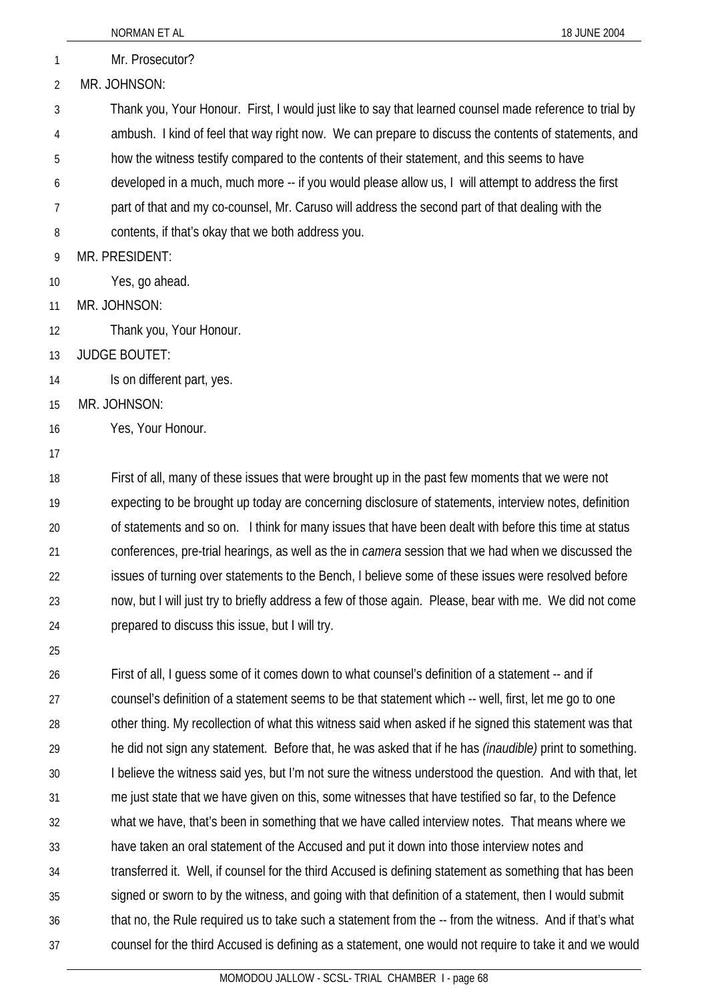|    | 18 JUNE 2004<br>NORMAN ET AL                                                                                   |
|----|----------------------------------------------------------------------------------------------------------------|
| 1  | Mr. Prosecutor?                                                                                                |
| 2  | MR. JOHNSON:                                                                                                   |
| 3  | Thank you, Your Honour. First, I would just like to say that learned counsel made reference to trial by        |
| 4  | ambush. I kind of feel that way right now. We can prepare to discuss the contents of statements, and           |
| 5  | how the witness testify compared to the contents of their statement, and this seems to have                    |
| 6  | developed in a much, much more -- if you would please allow us, I will attempt to address the first            |
| 7  | part of that and my co-counsel, Mr. Caruso will address the second part of that dealing with the               |
| 8  | contents, if that's okay that we both address you.                                                             |
| 9  | MR. PRESIDENT:                                                                                                 |
| 10 | Yes, go ahead.                                                                                                 |
| 11 | MR. JOHNSON:                                                                                                   |
| 12 | Thank you, Your Honour.                                                                                        |
| 13 | <b>JUDGE BOUTET:</b>                                                                                           |
| 14 | Is on different part, yes.                                                                                     |
| 15 | MR. JOHNSON:                                                                                                   |
| 16 | Yes, Your Honour.                                                                                              |
| 17 |                                                                                                                |
| 18 | First of all, many of these issues that were brought up in the past few moments that we were not               |
| 19 | expecting to be brought up today are concerning disclosure of statements, interview notes, definition          |
| 20 | of statements and so on. I think for many issues that have been dealt with before this time at status          |
| 21 | conferences, pre-trial hearings, as well as the in <i>camera</i> session that we had when we discussed the     |
| 22 | issues of turning over statements to the Bench, I believe some of these issues were resolved before            |
| 23 | now, but I will just try to briefly address a few of those again. Please, bear with me. We did not come        |
| 24 | prepared to discuss this issue, but I will try.                                                                |
| 25 |                                                                                                                |
| 26 | First of all, I guess some of it comes down to what counsel's definition of a statement -- and if              |
| 27 | counsel's definition of a statement seems to be that statement which -- well, first, let me go to one          |
| 28 | other thing. My recollection of what this witness said when asked if he signed this statement was that         |
| 29 | he did not sign any statement. Before that, he was asked that if he has <i>(inaudible)</i> print to something. |
| 30 | I believe the witness said yes, but I'm not sure the witness understood the question. And with that, let       |
| 31 | me just state that we have given on this, some witnesses that have testified so far, to the Defence            |

- 32 what we have, that's been in something that we have called interview notes. That means where we
- 33 have taken an oral statement of the Accused and put it down into those interview notes and
- 34 transferred it. Well, if counsel for the third Accused is defining statement as something that has been
- 35 signed or sworn to by the witness, and going with that definition of a statement, then I would submit
- 36 37 that no, the Rule required us to take such a statement from the -- from the witness. And if that's what counsel for the third Accused is defining as a statement, one would not require to take it and we would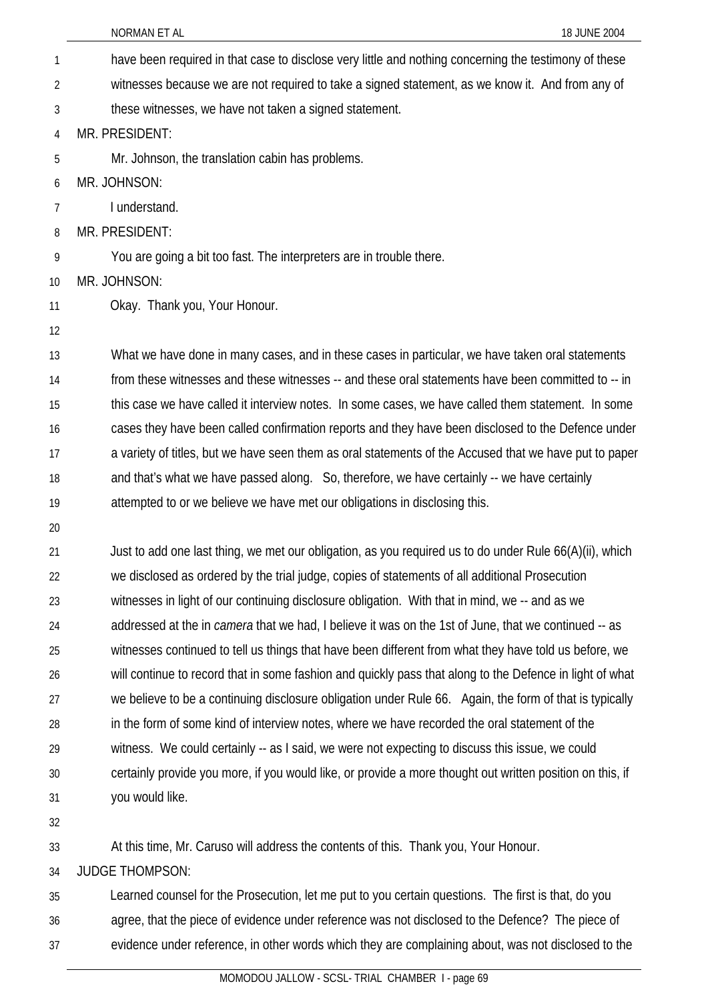| 1  | have been required in that case to disclose very little and nothing concerning the testimony of these       |
|----|-------------------------------------------------------------------------------------------------------------|
| 2  | witnesses because we are not required to take a signed statement, as we know it. And from any of            |
| 3  | these witnesses, we have not taken a signed statement.                                                      |
| 4  | MR. PRESIDENT:                                                                                              |
| 5  | Mr. Johnson, the translation cabin has problems.                                                            |
| 6  | MR. JOHNSON:                                                                                                |
| 7  | I understand.                                                                                               |
| 8  | MR. PRESIDENT:                                                                                              |
| 9  | You are going a bit too fast. The interpreters are in trouble there.                                        |
| 10 | MR. JOHNSON:                                                                                                |
| 11 | Okay. Thank you, Your Honour.                                                                               |
| 12 |                                                                                                             |
| 13 | What we have done in many cases, and in these cases in particular, we have taken oral statements            |
| 14 | from these witnesses and these witnesses -- and these oral statements have been committed to -- in          |
| 15 | this case we have called it interview notes. In some cases, we have called them statement. In some          |
| 16 | cases they have been called confirmation reports and they have been disclosed to the Defence under          |
| 17 | a variety of titles, but we have seen them as oral statements of the Accused that we have put to paper      |
| 18 | and that's what we have passed along. So, therefore, we have certainly -- we have certainly                 |
| 19 | attempted to or we believe we have met our obligations in disclosing this.                                  |
| 20 |                                                                                                             |
| 21 | Just to add one last thing, we met our obligation, as you required us to do under Rule 66(A)(ii), which     |
| 22 | we disclosed as ordered by the trial judge, copies of statements of all additional Prosecution              |
| 23 | witnesses in light of our continuing disclosure obligation. With that in mind, we -- and as we              |
| 24 | addressed at the in <i>camera</i> that we had, I believe it was on the 1st of June, that we continued -- as |
| 25 | witnesses continued to tell us things that have been different from what they have told us before, we       |
| 26 | will continue to record that in some fashion and quickly pass that along to the Defence in light of what    |
| 27 | we believe to be a continuing disclosure obligation under Rule 66. Again, the form of that is typically     |
| 28 | in the form of some kind of interview notes, where we have recorded the oral statement of the               |
| 29 | witness. We could certainly -- as I said, we were not expecting to discuss this issue, we could             |
| 30 | certainly provide you more, if you would like, or provide a more thought out written position on this, if   |
| 31 | you would like.                                                                                             |

32

33 At this time, Mr. Caruso will address the contents of this. Thank you, Your Honour.

34 JUDGE THOMPSON:

35 Learned counsel for the Prosecution, let me put to you certain questions. The first is that, do you

36 agree, that the piece of evidence under reference was not disclosed to the Defence? The piece of

37 evidence under reference, in other words which they are complaining about, was not disclosed to the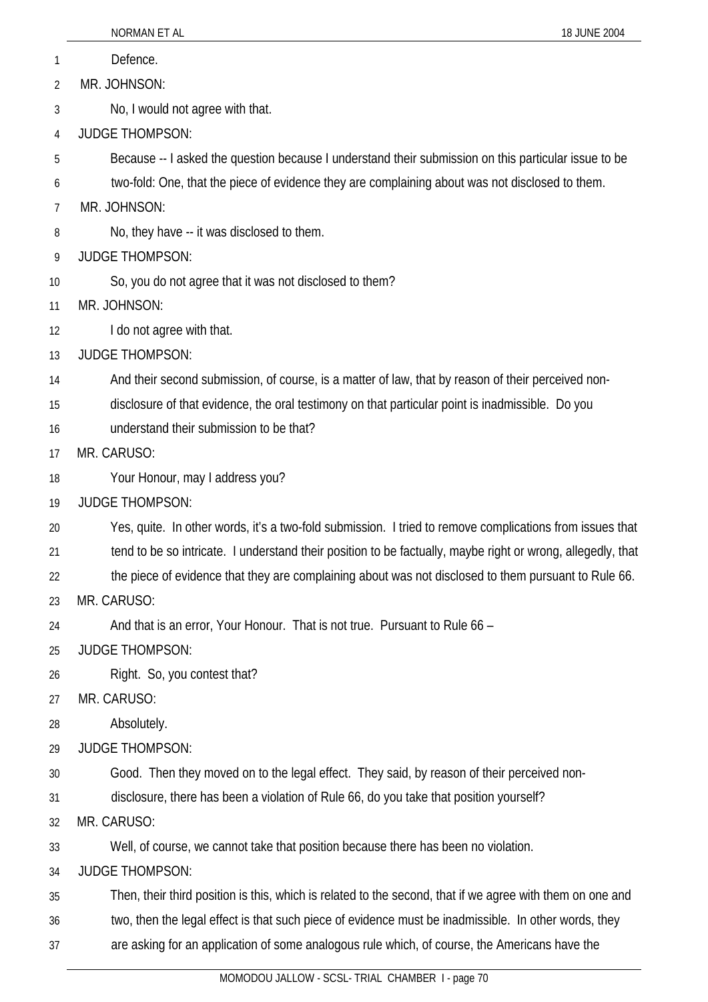|    | NORMAN ET AL<br>18 JUNE 2004                                                                                |
|----|-------------------------------------------------------------------------------------------------------------|
| 1  | Defence.                                                                                                    |
| 2  | MR. JOHNSON:                                                                                                |
| 3  | No, I would not agree with that.                                                                            |
| 4  | <b>JUDGE THOMPSON:</b>                                                                                      |
| 5  | Because -- I asked the question because I understand their submission on this particular issue to be        |
| 6  | two-fold: One, that the piece of evidence they are complaining about was not disclosed to them.             |
| 7  | MR. JOHNSON:                                                                                                |
| 8  | No, they have -- it was disclosed to them.                                                                  |
| 9  | <b>JUDGE THOMPSON:</b>                                                                                      |
| 10 | So, you do not agree that it was not disclosed to them?                                                     |
| 11 | MR. JOHNSON:                                                                                                |
| 12 | I do not agree with that.                                                                                   |
| 13 | <b>JUDGE THOMPSON:</b>                                                                                      |
| 14 | And their second submission, of course, is a matter of law, that by reason of their perceived non-          |
| 15 | disclosure of that evidence, the oral testimony on that particular point is inadmissible. Do you            |
| 16 | understand their submission to be that?                                                                     |
| 17 | MR. CARUSO:                                                                                                 |
| 18 | Your Honour, may I address you?                                                                             |
| 19 | <b>JUDGE THOMPSON:</b>                                                                                      |
| 20 | Yes, quite. In other words, it's a two-fold submission. I tried to remove complications from issues that    |
| 21 | tend to be so intricate. I understand their position to be factually, maybe right or wrong, allegedly, that |
| 22 | the piece of evidence that they are complaining about was not disclosed to them pursuant to Rule 66.        |
| 23 | MR. CARUSO:                                                                                                 |
| 24 | And that is an error, Your Honour. That is not true. Pursuant to Rule 66 -                                  |
| 25 | <b>JUDGE THOMPSON:</b>                                                                                      |
| 26 | Right. So, you contest that?                                                                                |
| 27 | MR. CARUSO:                                                                                                 |
| 28 | Absolutely.                                                                                                 |
| 29 | <b>JUDGE THOMPSON:</b>                                                                                      |
| 30 | Good. Then they moved on to the legal effect. They said, by reason of their perceived non-                  |
| 31 | disclosure, there has been a violation of Rule 66, do you take that position yourself?                      |
| 32 | MR. CARUSO:                                                                                                 |
| 33 | Well, of course, we cannot take that position because there has been no violation.                          |
| 34 | <b>JUDGE THOMPSON:</b>                                                                                      |
| 35 | Then, their third position is this, which is related to the second, that if we agree with them on one and   |
| 36 | two, then the legal effect is that such piece of evidence must be inadmissible. In other words, they        |
| 37 | are asking for an application of some analogous rule which, of course, the Americans have the               |
|    |                                                                                                             |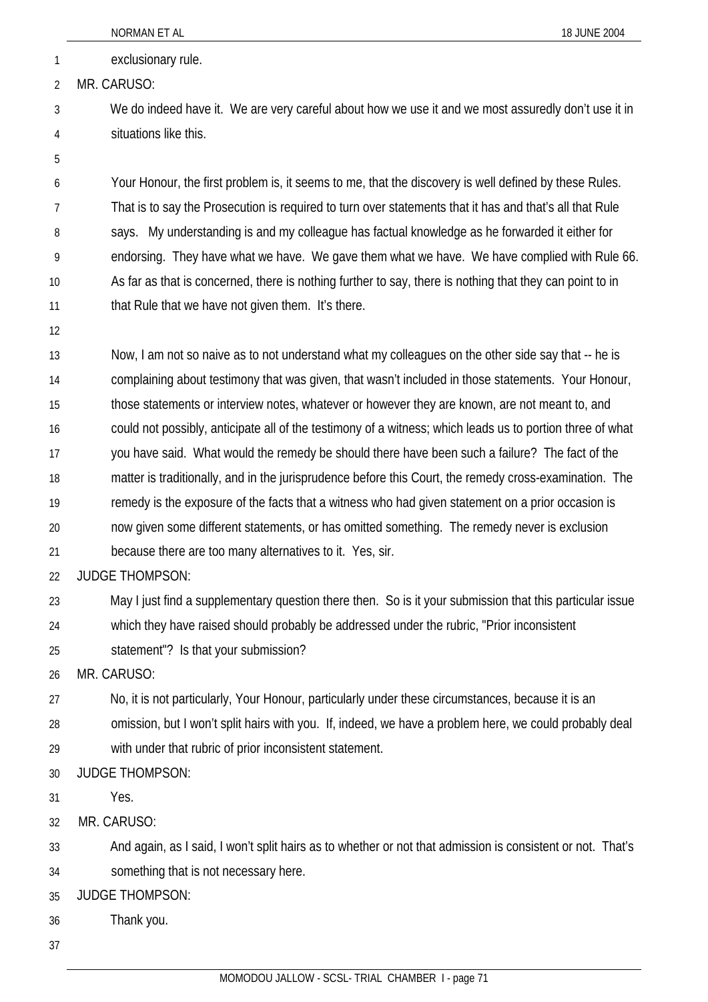| $\overline{1}$  | exclusionary rule.                                                                                         |
|-----------------|------------------------------------------------------------------------------------------------------------|
| $\overline{2}$  | MR. CARUSO:                                                                                                |
| 3               | We do indeed have it. We are very careful about how we use it and we most assuredly don't use it in        |
| 4               | situations like this.                                                                                      |
| 5               |                                                                                                            |
| 6               | Your Honour, the first problem is, it seems to me, that the discovery is well defined by these Rules.      |
| 7               | That is to say the Prosecution is required to turn over statements that it has and that's all that Rule    |
| 8               | says. My understanding is and my colleague has factual knowledge as he forwarded it either for             |
| 9               | endorsing. They have what we have. We gave them what we have. We have complied with Rule 66.               |
| 10 <sup>1</sup> | As far as that is concerned, there is nothing further to say, there is nothing that they can point to in   |
| 11              | that Rule that we have not given them. It's there.                                                         |
| 12              |                                                                                                            |
| 13              | Now, I am not so naive as to not understand what my colleagues on the other side say that -- he is         |
| 14              | complaining about testimony that was given, that wasn't included in those statements. Your Honour,         |
| 15              | those statements or interview notes, whatever or however they are known, are not meant to, and             |
| 16              | could not possibly, anticipate all of the testimony of a witness; which leads us to portion three of what  |
| 17              | you have said. What would the remedy be should there have been such a failure? The fact of the             |
| 18              | matter is traditionally, and in the jurisprudence before this Court, the remedy cross-examination. The     |
| 19              | remedy is the exposure of the facts that a witness who had given statement on a prior occasion is          |
| 20              | now given some different statements, or has omitted something. The remedy never is exclusion               |
| 21              | because there are too many alternatives to it. Yes, sir.                                                   |
| 22              | <b>JUDGE THOMPSON:</b>                                                                                     |
| 23              | May I just find a supplementary question there then. So is it your submission that this particular issue   |
| 24              | which they have raised should probably be addressed under the rubric, "Prior inconsistent                  |
| 25              | statement"? Is that your submission?                                                                       |
| 26              | MR. CARUSO:                                                                                                |
| 27              | No, it is not particularly, Your Honour, particularly under these circumstances, because it is an          |
| 28              | omission, but I won't split hairs with you. If, indeed, we have a problem here, we could probably deal     |
| 29              | with under that rubric of prior inconsistent statement.                                                    |
| 30              | <b>JUDGE THOMPSON:</b>                                                                                     |
| 31              | Yes.                                                                                                       |
| 32              | MR. CARUSO:                                                                                                |
| 33              | And again, as I said, I won't split hairs as to whether or not that admission is consistent or not. That's |
| 34              | something that is not necessary here.                                                                      |
| 35              | <b>JUDGE THOMPSON:</b>                                                                                     |
| 36              | Thank you.                                                                                                 |
| 37              |                                                                                                            |

NORMAN ET AL 18 JUNE 2004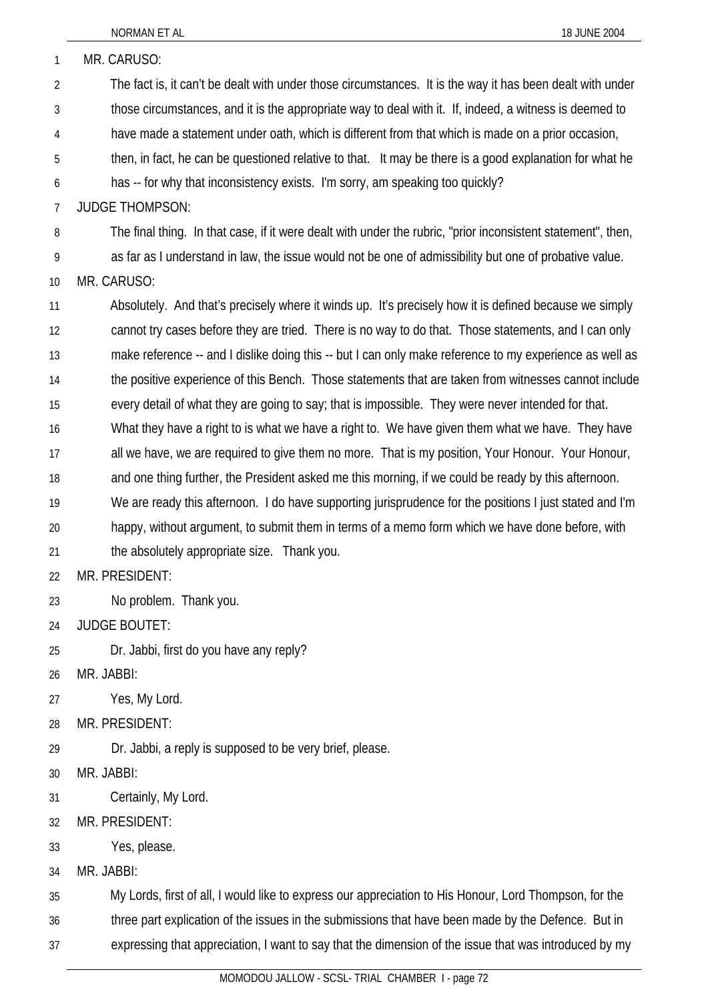37

| 1              | MR. CARUSO:                                                                                                  |
|----------------|--------------------------------------------------------------------------------------------------------------|
| $\overline{2}$ | The fact is, it can't be dealt with under those circumstances. It is the way it has been dealt with under    |
| 3              | those circumstances, and it is the appropriate way to deal with it. If, indeed, a witness is deemed to       |
| 4              | have made a statement under oath, which is different from that which is made on a prior occasion,            |
| 5              | then, in fact, he can be questioned relative to that. It may be there is a good explanation for what he      |
| 6              | has -- for why that inconsistency exists. I'm sorry, am speaking too quickly?                                |
| $\overline{7}$ | <b>JUDGE THOMPSON:</b>                                                                                       |
| 8              | The final thing. In that case, if it were dealt with under the rubric, "prior inconsistent statement", then, |
| 9              | as far as I understand in law, the issue would not be one of admissibility but one of probative value.       |
| 10             | MR. CARUSO:                                                                                                  |
| 11             | Absolutely. And that's precisely where it winds up. It's precisely how it is defined because we simply       |
| 12             | cannot try cases before they are tried. There is no way to do that. Those statements, and I can only         |
| 13             | make reference -- and I dislike doing this -- but I can only make reference to my experience as well as      |
| 14             | the positive experience of this Bench. Those statements that are taken from witnesses cannot include         |
| 15             | every detail of what they are going to say; that is impossible. They were never intended for that.           |
| 16             | What they have a right to is what we have a right to. We have given them what we have. They have             |
| 17             | all we have, we are required to give them no more. That is my position, Your Honour. Your Honour,            |
| 18             | and one thing further, the President asked me this morning, if we could be ready by this afternoon.          |
| 19             | We are ready this afternoon. I do have supporting jurisprudence for the positions I just stated and I'm      |
| 20             | happy, without argument, to submit them in terms of a memo form which we have done before, with              |
| 21             | the absolutely appropriate size. Thank you.                                                                  |
| 22             | MR. PRESIDENT:                                                                                               |
| 23             | No problem. Thank you.                                                                                       |
| 24             | <b>JUDGE BOUTET:</b>                                                                                         |
| 25             | Dr. Jabbi, first do you have any reply?                                                                      |
| 26             | MR. JABBI:                                                                                                   |
| 27             | Yes, My Lord.                                                                                                |
| 28             | MR. PRESIDENT:                                                                                               |
| 29             | Dr. Jabbi, a reply is supposed to be very brief, please.                                                     |
| 30             | MR. JABBI:                                                                                                   |
| 31             | Certainly, My Lord.                                                                                          |
| 32             | MR. PRESIDENT:                                                                                               |
| 33             | Yes, please.                                                                                                 |
| 34             | MR. JABBI:                                                                                                   |
| 35             | My Lords, first of all, I would like to express our appreciation to His Honour, Lord Thompson, for the       |
| 36             | three part explication of the issues in the submissions that have been made by the Defence. But in           |

expressing that appreciation, I want to say that the dimension of the issue that was introduced by my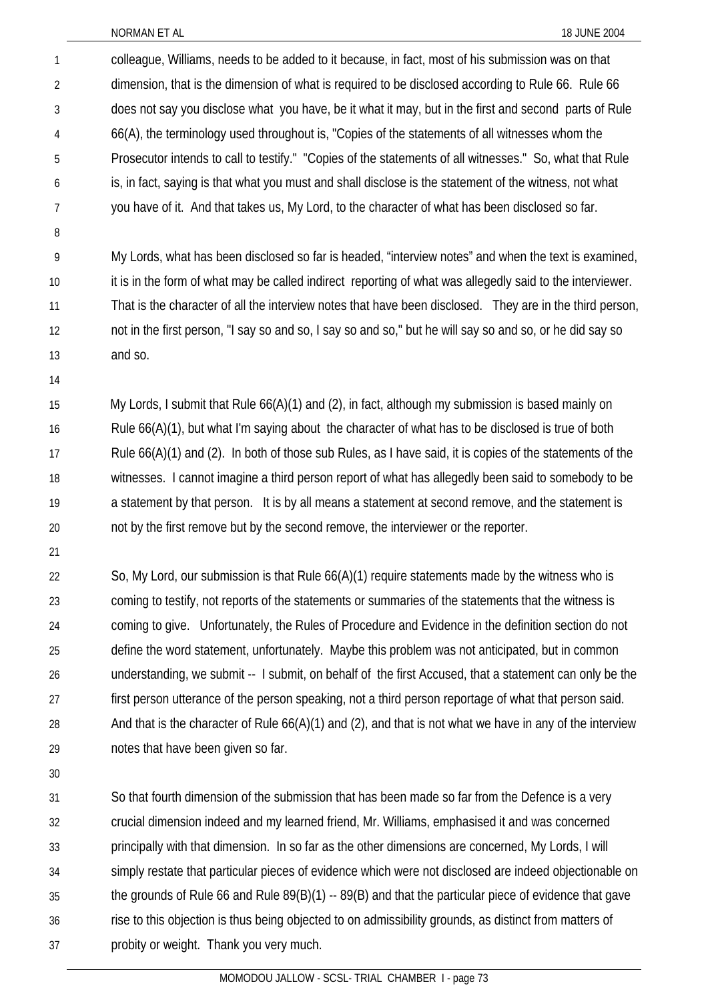colleague, Williams, needs to be added to it because, in fact, most of his submission was on that dimension, that is the dimension of what is required to be disclosed according to Rule 66. Rule 66 does not say you disclose what you have, be it what it may, but in the first and second parts of Rule 66(A), the terminology used throughout is, "Copies of the statements of all witnesses whom the Prosecutor intends to call to testify." "Copies of the statements of all witnesses." So, what that Rule is, in fact, saying is that what you must and shall disclose is the statement of the witness, not what you have of it. And that takes us, My Lord, to the character of what has been disclosed so far. 1 2 3 4 5 6 7

8

My Lords, what has been disclosed so far is headed, "interview notes" and when the text is examined, it is in the form of what may be called indirect reporting of what was allegedly said to the interviewer. That is the character of all the interview notes that have been disclosed. They are in the third person, not in the first person, "I say so and so, I say so and so," but he will say so and so, or he did say so and so. 9 10 11 12 13

14

15 16 17 18 19 20 My Lords, I submit that Rule 66(A)(1) and (2), in fact, although my submission is based mainly on Rule 66(A)(1), but what I'm saying about the character of what has to be disclosed is true of both Rule 66(A)(1) and (2). In both of those sub Rules, as I have said, it is copies of the statements of the witnesses. I cannot imagine a third person report of what has allegedly been said to somebody to be a statement by that person. It is by all means a statement at second remove, and the statement is not by the first remove but by the second remove, the interviewer or the reporter.

21

22 23 24 25 26 27 28 29 So, My Lord, our submission is that Rule 66(A)(1) require statements made by the witness who is coming to testify, not reports of the statements or summaries of the statements that the witness is coming to give. Unfortunately, the Rules of Procedure and Evidence in the definition section do not define the word statement, unfortunately. Maybe this problem was not anticipated, but in common understanding, we submit -- I submit, on behalf of the first Accused, that a statement can only be the first person utterance of the person speaking, not a third person reportage of what that person said. And that is the character of Rule 66(A)(1) and (2), and that is not what we have in any of the interview notes that have been given so far.

30

31 32 33 34 35 36 37 So that fourth dimension of the submission that has been made so far from the Defence is a very crucial dimension indeed and my learned friend, Mr. Williams, emphasised it and was concerned principally with that dimension. In so far as the other dimensions are concerned, My Lords, I will simply restate that particular pieces of evidence which were not disclosed are indeed objectionable on the grounds of Rule 66 and Rule 89(B)(1) -- 89(B) and that the particular piece of evidence that gave rise to this objection is thus being objected to on admissibility grounds, as distinct from matters of probity or weight. Thank you very much.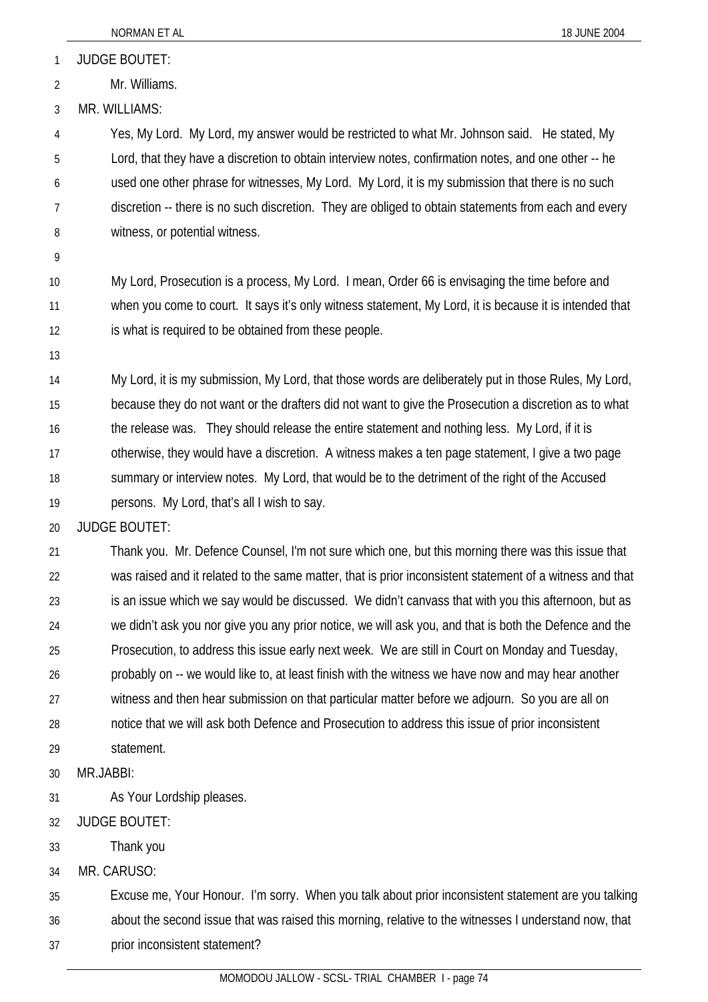|                | NORMAN ET AL<br>18 JUNE 2004                                                                            |  |  |
|----------------|---------------------------------------------------------------------------------------------------------|--|--|
| 1              | <b>JUDGE BOUTET:</b>                                                                                    |  |  |
| $\overline{2}$ | Mr. Williams.                                                                                           |  |  |
| 3              | MR. WILLIAMS:                                                                                           |  |  |
| 4              | Yes, My Lord. My Lord, my answer would be restricted to what Mr. Johnson said. He stated, My            |  |  |
| 5              | Lord, that they have a discretion to obtain interview notes, confirmation notes, and one other -- he    |  |  |
| 6              | used one other phrase for witnesses, My Lord. My Lord, it is my submission that there is no such        |  |  |
| 7              | discretion -- there is no such discretion. They are obliged to obtain statements from each and every    |  |  |
| 8              | witness, or potential witness.                                                                          |  |  |
| 9              |                                                                                                         |  |  |
| 10             | My Lord, Prosecution is a process, My Lord. I mean, Order 66 is envisaging the time before and          |  |  |
| 11             | when you come to court. It says it's only witness statement, My Lord, it is because it is intended that |  |  |
| 12             | is what is required to be obtained from these people.                                                   |  |  |
| 13             |                                                                                                         |  |  |
| 14             | My Lord, it is my submission, My Lord, that those words are deliberately put in those Rules, My Lord,   |  |  |
| 15             | because they do not want or the drafters did not want to give the Prosecution a discretion as to what   |  |  |
| 16             | the release was. They should release the entire statement and nothing less. My Lord, if it is           |  |  |
| 17             | otherwise, they would have a discretion. A witness makes a ten page statement, I give a two page        |  |  |
| 18             | summary or interview notes. My Lord, that would be to the detriment of the right of the Accused         |  |  |
| 19             | persons. My Lord, that's all I wish to say.                                                             |  |  |
| 20             | <b>JUDGE BOUTET:</b>                                                                                    |  |  |
| 21             | Thank you. Mr. Defence Counsel, I'm not sure which one, but this morning there was this issue that      |  |  |

22 23 24 25 26 27 28 29 was raised and it related to the same matter, that is prior inconsistent statement of a witness and that is an issue which we say would be discussed. We didn't canvass that with you this afternoon, but as we didn't ask you nor give you any prior notice, we will ask you, and that is both the Defence and the Prosecution, to address this issue early next week. We are still in Court on Monday and Tuesday, probably on -- we would like to, at least finish with the witness we have now and may hear another witness and then hear submission on that particular matter before we adjourn. So you are all on notice that we will ask both Defence and Prosecution to address this issue of prior inconsistent statement.

- 
- 30 MR.JABBI:
- 31 As Your Lordship pleases.
- 32 JUDGE BOUTET:
- 33 Thank you
- 34 MR. CARUSO:

35 36 37 Excuse me, Your Honour. I'm sorry. When you talk about prior inconsistent statement are you talking about the second issue that was raised this morning, relative to the witnesses I understand now, that prior inconsistent statement?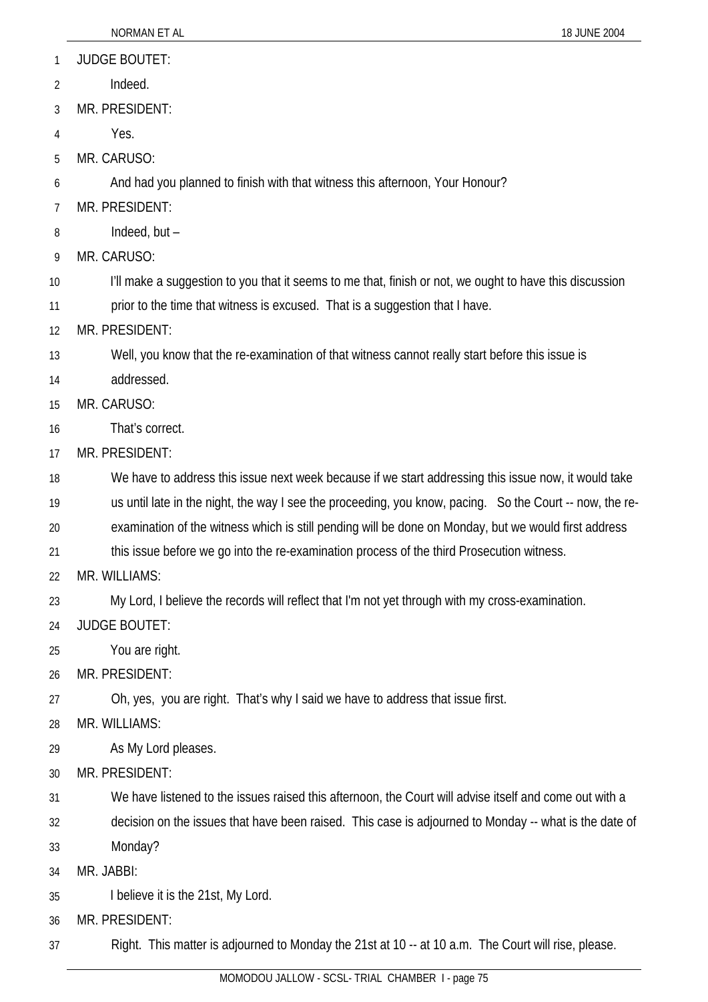- 1 JUDGE BOUTET:
- 2 Indeed.
- 3 MR. PRESIDENT:
- 4 Yes.
- 5 MR. CARUSO:

6 And had you planned to finish with that witness this afternoon, Your Honour?

- 7 MR. PRESIDENT:
- 8 Indeed, but –
- 9 MR. CARUSO:

10 11 I'll make a suggestion to you that it seems to me that, finish or not, we ought to have this discussion prior to the time that witness is excused. That is a suggestion that I have.

12 MR. PRESIDENT:

13 Well, you know that the re-examination of that witness cannot really start before this issue is

- 14 addressed.
- 15 MR. CARUSO:
- 16 That's correct.
- 17 MR. PRESIDENT:
- 18 We have to address this issue next week because if we start addressing this issue now, it would take
- 19 us until late in the night, the way I see the proceeding, you know, pacing. So the Court -- now, the re-

20 examination of the witness which is still pending will be done on Monday, but we would first address

21 this issue before we go into the re-examination process of the third Prosecution witness.

22 MR. WILLIAMS:

23 My Lord, I believe the records will reflect that I'm not yet through with my cross-examination.

- 24 JUDGE BOUTET:
- 25 You are right.
- 26 MR. PRESIDENT:

27 Oh, yes, you are right. That's why I said we have to address that issue first.

- 28 MR. WILLIAMS:
- 29 As My Lord pleases.
- 30 MR. PRESIDENT:

31 We have listened to the issues raised this afternoon, the Court will advise itself and come out with a

32 33 decision on the issues that have been raised. This case is adjourned to Monday -- what is the date of Monday?

34 MR. JABBI:

35 I believe it is the 21st, My Lord.

36 MR. PRESIDENT:

37 Right. This matter is adjourned to Monday the 21st at 10 -- at 10 a.m. The Court will rise, please.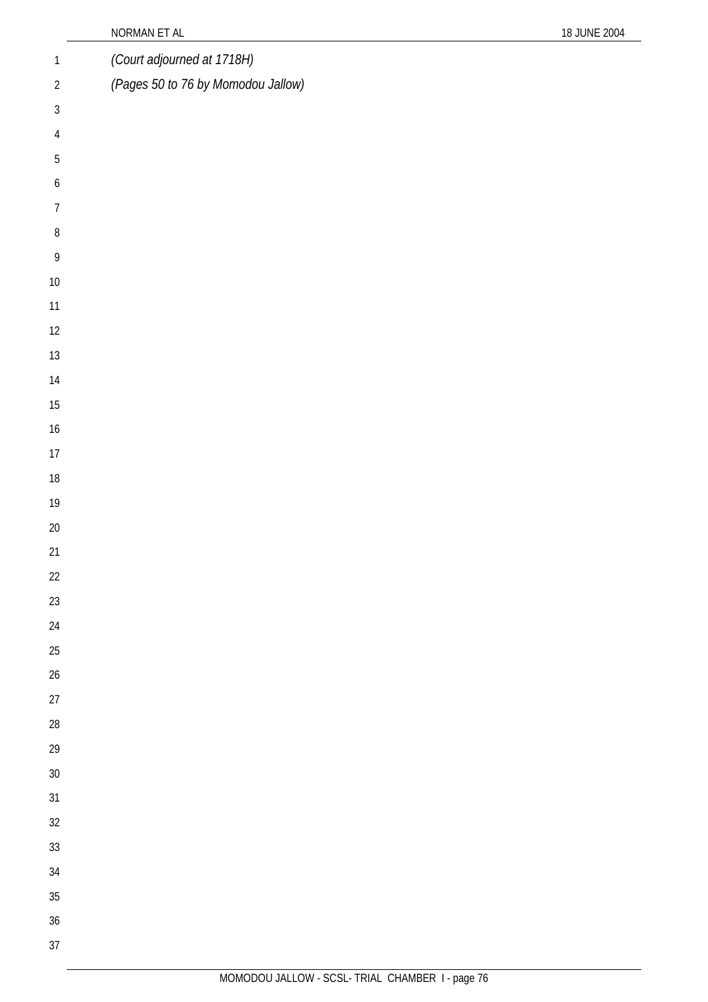|                  | NORMAN ET AL                       | 18 JUNE 2004 |
|------------------|------------------------------------|--------------|
| $\mathbf{1}$     | (Court adjourned at 1718H)         |              |
| $\sqrt{2}$       | (Pages 50 to 76 by Momodou Jallow) |              |
| $\sqrt{3}$       |                                    |              |
| $\overline{4}$   |                                    |              |
| $\sqrt{5}$       |                                    |              |
| 6                |                                    |              |
| $\overline{7}$   |                                    |              |
| $\, 8$           |                                    |              |
| $\boldsymbol{9}$ |                                    |              |
| $10\,$           |                                    |              |
| 11               |                                    |              |
| 12               |                                    |              |
| $13\,$           |                                    |              |
| $14\,$           |                                    |              |
| $15\,$           |                                    |              |
| $16\,$           |                                    |              |
| $17\,$           |                                    |              |
| $18\,$           |                                    |              |
| $19\,$           |                                    |              |
| $20\,$           |                                    |              |
| 21               |                                    |              |
| 22               |                                    |              |
| 23               |                                    |              |
| 24               |                                    |              |
| 25               |                                    |              |
| 26               |                                    |              |
| 27               |                                    |              |
| 28               |                                    |              |
| 29               |                                    |              |
| 30 <sub>o</sub>  |                                    |              |
| 31               |                                    |              |
| 32<br>33         |                                    |              |
| 34               |                                    |              |
| 35               |                                    |              |
| 36               |                                    |              |
| 37               |                                    |              |
|                  |                                    |              |